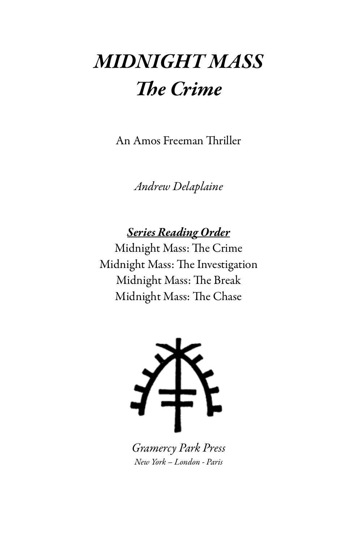## MIDNIGHT MASS The Crime

An Amos Freeman Thriller

Andrew Delaplaine

Series Reading Order

Midnight Mass: The Crime Midnight Mass: The Investigation Midnight Mass: The Break Midnight Mass: The Chase



Gramercy Park Press New York – London - Paris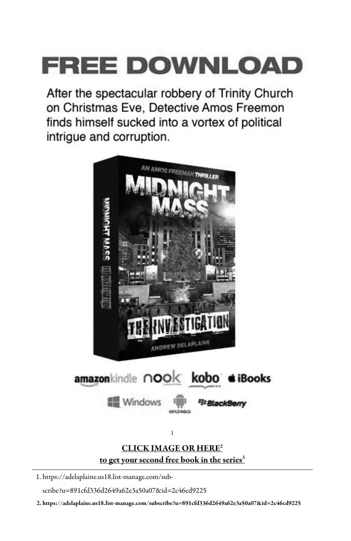# **FREE DOWNLOAD**

After the spectacular robbery of Trinity Church on Christmas Eve, Detective Amos Freemon finds himself sucked into a vortex of political intrigue and corruption.



1. https://adelaplaine.us18.list-manage.com/sub-

scribe?u=891cfd336d2649a62e3a50a07&id=2c46cd9225

2. https://adelaplaine.us18.list-manage.com/subscribe?u=891cfd336d2649a62e3a50a07&id=2c46cd9225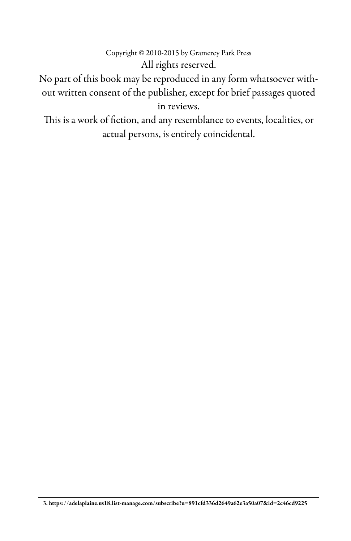#### Copyright © 2010-2015 by Gramercy Park Press All rights reserved.

No part of this book may be reproduced in any form whatsoever without written consent of the publisher, except for brief passages quoted in reviews.

This is a work of fiction, and any resemblance to events, localities, or actual persons, is entirely coincidental.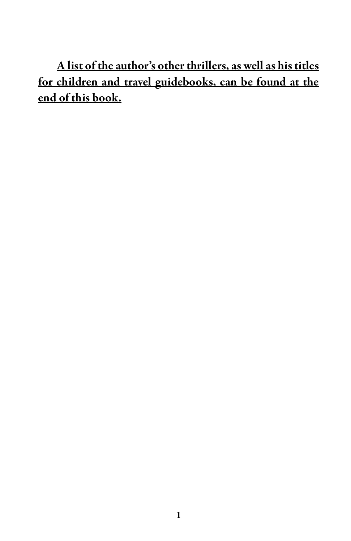A list of the author's other thrillers, as well as his titles for children and travel guidebooks, can be found at the end of this book.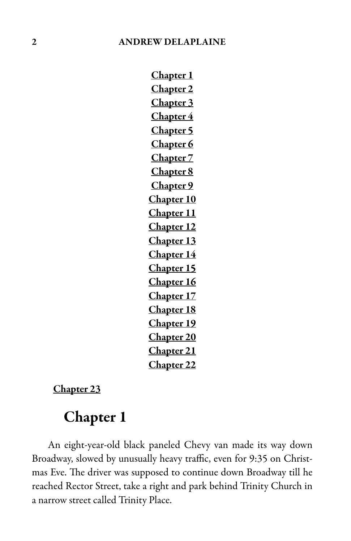Chapter 1 Chapter 2 Chapter 3 Chapter 4 Chapter 5 Chapter 6 Chapter 7 Chapter 8 Chapter 9 Chapter 10 Chapter 11 Chapter 12 Chapter 13 Chapter 14 Chapter 15 Chapter 16 Chapter 17 Chapter 18 Chapter 19 Chapter<sub>20</sub> Chapter 21 Chapter 22

Chapter 23

### Chapter 1

An eight-year-old black paneled Chevy van made its way down Broadway, slowed by unusually heavy traffic, even for 9:35 on Christmas Eve. The driver was supposed to continue down Broadway till he reached Rector Street, take a right and park behind Trinity Church in a narrow street called Trinity Place.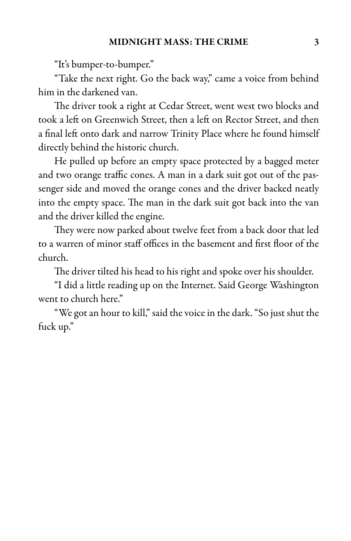"It's bumper-to-bumper."

"Take the next right. Go the back way," came a voice from behind him in the darkened van.

The driver took a right at Cedar Street, went west two blocks and took a left on Greenwich Street, then a left on Rector Street, and then a final left onto dark and narrow Trinity Place where he found himself directly behind the historic church.

He pulled up before an empty space protected by a bagged meter and two orange traffic cones. A man in a dark suit got out of the passenger side and moved the orange cones and the driver backed neatly into the empty space. The man in the dark suit got back into the van and the driver killed the engine.

They were now parked about twelve feet from a back door that led to a warren of minor staff offices in the basement and first floor of the church.

The driver tilted his head to his right and spoke over his shoulder.

"I did a little reading up on the Internet. Said George Washington went to church here."

"We got an hour to kill," said the voice in the dark. "So just shut the fuck up."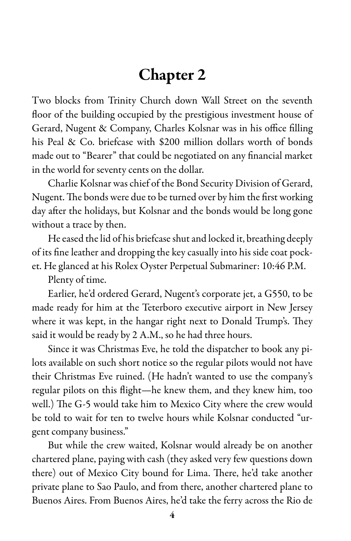### Chapter 2

Two blocks from Trinity Church down Wall Street on the seventh floor of the building occupied by the prestigious investment house of Gerard, Nugent & Company, Charles Kolsnar was in his office filling his Peal & Co. briefcase with \$200 million dollars worth of bonds made out to "Bearer" that could be negotiated on any financial market in the world for seventy cents on the dollar.

Charlie Kolsnar waschief of the Bond Security Division of Gerard, Nugent. The bonds were due to be turned over by him the first working day after the holidays, but Kolsnar and the bonds would be long gone without a trace by then.

He eased the lid of his briefcase shut and locked it, breathing deeply of its fine leather and dropping the key casually into his side coat pocket. He glanced at his Rolex Oyster Perpetual Submariner: 10:46 P.M.

Plenty of time.

Earlier, he'd ordered Gerard, Nugent's corporate jet, a G550, to be made ready for him at the Teterboro executive airport in New Jersey where it was kept, in the hangar right next to Donald Trump's. They said it would be ready by 2 A.M., so he had three hours.

Since it was Christmas Eve, he told the dispatcher to book any pilots available on such short notice so the regular pilots would not have their Christmas Eve ruined. (He hadn't wanted to use the company's regular pilots on this flight—he knew them, and they knew him, too well.) The G-5 would take him to Mexico City where the crew would be told to wait for ten to twelve hours while Kolsnar conducted "urgent company business."

But while the crew waited, Kolsnar would already be on another chartered plane, paying with cash (they asked very few questions down there) out of Mexico City bound for Lima. There, he'd take another private plane to Sao Paulo, and from there, another chartered plane to Buenos Aires. From Buenos Aires, he'd take the ferry across the Rio de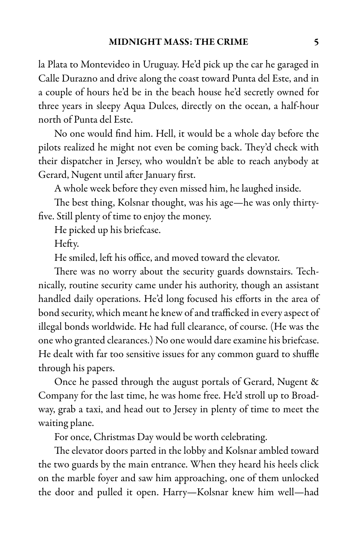la Plata to Montevideo in Uruguay. He'd pick up the car he garaged in Calle Durazno and drive along the coast toward Punta del Este, and in a couple of hours he'd be in the beach house he'd secretly owned for three years in sleepy Aqua Dulces, directly on the ocean, a half-hour north of Punta del Este.

No one would find him. Hell, it would be a whole day before the pilots realized he might not even be coming back. They'd check with their dispatcher in Jersey, who wouldn't be able to reach anybody at Gerard, Nugent until after January first.

A whole week before they even missed him, he laughed inside.

The best thing, Kolsnar thought, was his age—he was only thirtyfive. Still plenty of time to enjoy the money.

He picked up his briefcase.

Hefty.

He smiled, left his office, and moved toward the elevator.

There was no worry about the security guards downstairs. Technically, routine security came under his authority, though an assistant handled daily operations. He'd long focused his efforts in the area of bond security, which meant he knew of and trafficked in every aspect of illegal bonds worldwide. He had full clearance, of course. (He was the one who granted clearances.) No one would dare examine his briefcase. He dealt with far too sensitive issues for any common guard to shuffle through his papers.

Once he passed through the august portals of Gerard, Nugent & Company for the last time, he was home free. He'd stroll up to Broadway, grab a taxi, and head out to Jersey in plenty of time to meet the waiting plane.

For once, Christmas Day would be worth celebrating.

The elevator doors parted in the lobby and Kolsnar ambled toward the two guards by the main entrance. When they heard his heels click on the marble foyer and saw him approaching, one of them unlocked the door and pulled it open. Harry—Kolsnar knew him well—had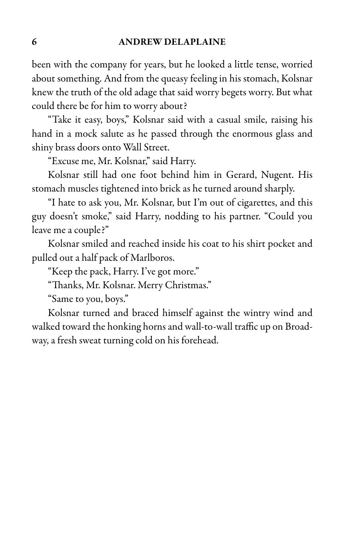been with the company for years, but he looked a little tense, worried about something. And from the queasy feeling in his stomach, Kolsnar knew the truth of the old adage that said worry begets worry. But what could there be for him to worry about?

"Take it easy, boys," Kolsnar said with a casual smile, raising his hand in a mock salute as he passed through the enormous glass and shiny brass doors onto Wall Street.

"Excuse me, Mr. Kolsnar," said Harry.

Kolsnar still had one foot behind him in Gerard, Nugent. His stomach muscles tightened into brick as he turned around sharply.

"I hate to ask you, Mr. Kolsnar, but I'm out of cigarettes, and this guy doesn't smoke," said Harry, nodding to his partner. "Could you leave me a couple?"

Kolsnar smiled and reached inside his coat to his shirt pocket and pulled out a half pack of Marlboros.

"Keep the pack, Harry. I've got more."

"Thanks, Mr. Kolsnar. Merry Christmas."

"Same to you, boys."

Kolsnar turned and braced himself against the wintry wind and walked toward the honking horns and wall-to-wall traffic up on Broadway, a fresh sweat turning cold on his forehead.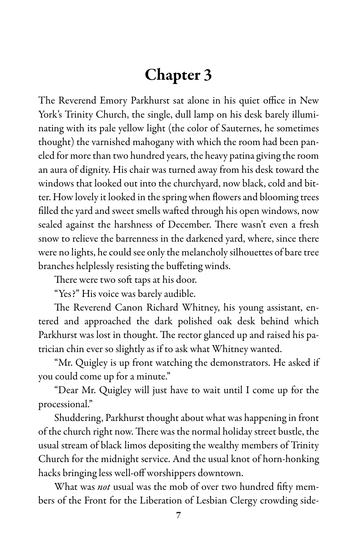### Chapter 3

The Reverend Emory Parkhurst sat alone in his quiet office in New York's Trinity Church, the single, dull lamp on his desk barely illuminating with its pale yellow light (the color of Sauternes, he sometimes thought) the varnished mahogany with which the room had been paneled for more than two hundred years, the heavy patina giving the room an aura of dignity. His chair was turned away from his desk toward the windows that looked out into the churchyard, now black, cold and bitter. How lovely it looked in the spring when flowers and blooming trees filled the yard and sweet smells wafted through his open windows, now sealed against the harshness of December. There wasn't even a fresh snow to relieve the barrenness in the darkened yard, where, since there were no lights, he could see only the melancholy silhouettes of bare tree branches helplessly resisting the buffeting winds.

There were two soft taps at his door.

"Yes?" His voice was barely audible.

The Reverend Canon Richard Whitney, his young assistant, entered and approached the dark polished oak desk behind which Parkhurst was lost in thought. The rector glanced up and raised his patrician chin ever so slightly as if to ask what Whitney wanted.

"Mr. Quigley is up front watching the demonstrators. He asked if you could come up for a minute."

"Dear Mr. Quigley will just have to wait until I come up for the processional."

Shuddering, Parkhurst thought about what was happening in front of the church right now. There was the normal holiday street bustle, the usual stream of black limos depositing the wealthy members of Trinity Church for the midnight service. And the usual knot of horn-honking hacks bringing less well-off worshippers downtown.

What was not usual was the mob of over two hundred fifty members of the Front for the Liberation of Lesbian Clergy crowding side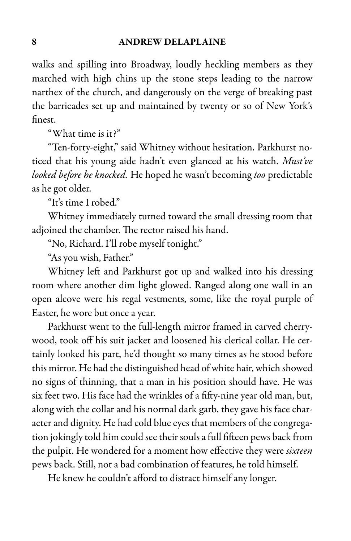walks and spilling into Broadway, loudly heckling members as they marched with high chins up the stone steps leading to the narrow narthex of the church, and dangerously on the verge of breaking past the barricades set up and maintained by twenty or so of New York's finest.

"What time is it?"

"Ten-forty-eight," said Whitney without hesitation. Parkhurst noticed that his young aide hadn't even glanced at his watch. Must've looked before he knocked. He hoped he wasn't becoming too predictable as he got older.

"It's time I robed."

Whitney immediately turned toward the small dressing room that adjoined the chamber. The rector raised his hand.

"No, Richard. I'll robe myself tonight."

"As you wish, Father."

Whitney left and Parkhurst got up and walked into his dressing room where another dim light glowed. Ranged along one wall in an open alcove were his regal vestments, some, like the royal purple of Easter, he wore but once a year.

Parkhurst went to the full-length mirror framed in carved cherrywood, took off his suit jacket and loosened his clerical collar. He certainly looked his part, he'd thought so many times as he stood before this mirror. He had the distinguished head of white hair, which showed no signs of thinning, that a man in his position should have. He was six feet two. His face had the wrinkles of a fifty-nine year old man, but, along with the collar and his normal dark garb, they gave his face character and dignity. He had cold blue eyes that members of the congregation jokingly told him could see their souls a full fifteen pews back from the pulpit. He wondered for a moment how effective they were sixteen pews back. Still, not a bad combination of features, he told himself.

He knew he couldn't afford to distract himself any longer.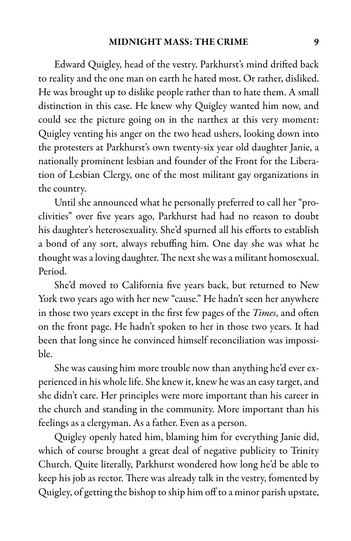Edward Quigley, head of the vestry. Parkhurst's mind drifted back to reality and the one man on earth he hated most. Or rather, disliked. He was brought up to dislike people rather than to hate them. A small distinction in this case. He knew why Quigley wanted him now, and could see the picture going on in the narthex at this very moment: Quigley venting his anger on the two head ushers, looking down into the protesters at Parkhurst's own twenty-six year old daughter Janie, a nationally prominent lesbian and founder of the Front for the Liberation of Lesbian Clergy, one of the most militant gay organizations in the country.

Until she announced what he personally preferred to call her "proclivities" over five years ago, Parkhurst had had no reason to doubt his daughter's heterosexuality. She'd spurned all his efforts to establish a bond of any sort, always rebuffing him. One day she was what he thought was a loving daughter. The next she was a militant homosexual. Period.

She'd moved to California five years back, but returned to New York two years ago with her new "cause." He hadn't seen her anywhere in those two years except in the first few pages of the *Times*, and often on the front page. He hadn't spoken to her in those two years. It had been that long since he convinced himself reconciliation was impossible.

She was causing him more trouble now than anything he'd ever experienced in his whole life. She knew it, knew he was an easy target, and she didn't care. Her principles were more important than his career in the church and standing in the community. More important than his feelings as a clergyman. As a father. Even as a person.

Quigley openly hated him, blaming him for everything Janie did, which of course brought a great deal of negative publicity to Trinity Church. Quite literally, Parkhurst wondered how long he'd be able to keep his job as rector. There was already talk in the vestry, fomented by Quigley, of getting the bishop to ship him off to a minor parish upstate,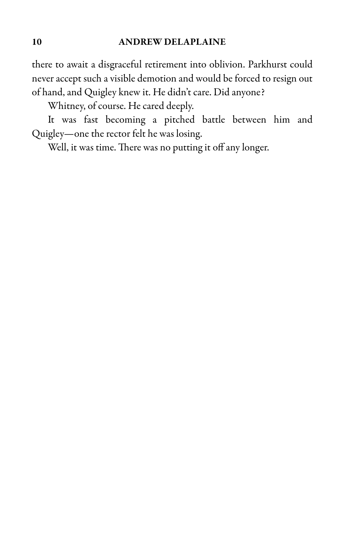there to await a disgraceful retirement into oblivion. Parkhurst could never accept such a visible demotion and would be forced to resign out of hand, and Quigley knew it. He didn't care. Did anyone?

Whitney, of course. He cared deeply.

It was fast becoming a pitched battle between him and Quigley—one the rector felt he was losing.

Well, it was time. There was no putting it off any longer.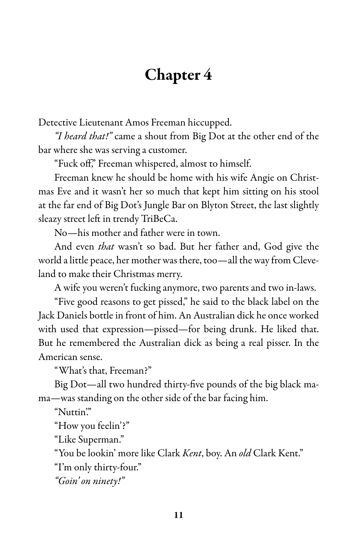### Chapter 4

Detective Lieutenant Amos Freeman hiccupped.

"I heard that!" came a shout from Big Dot at the other end of the bar where she was serving a customer.

"Fuck off," Freeman whispered, almost to himself.

Freeman knew he should be home with his wife Angie on Christmas Eve and it wasn't her so much that kept him sitting on his stool at the far end of Big Dot's Jungle Bar on Blyton Street, the last slightly sleazy street left in trendy TriBeCa.

No—his mother and father were in town.

And even that wasn't so bad. But her father and, God give the world a little peace, her mother was there, too—all the way from Cleveland to make their Christmas merry.

A wife you weren't fucking anymore, two parents and two in-laws.

"Five good reasons to get pissed," he said to the black label on the Jack Daniels bottle in front of him. An Australian dick he once worked with used that expression—pissed—for being drunk. He liked that. But he remembered the Australian dick as being a real pisser. In the American sense.

"What's that, Freeman?"

Big Dot—all two hundred thirty-five pounds of the big black mama—was standing on the other side of the bar facing him.

"Nuttin"

"How you feelin'?"

"Like Superman."

"You be lookin' more like Clark Kent, boy. An old Clark Kent."

"I'm only thirty-four."

"Goin' on ninety!"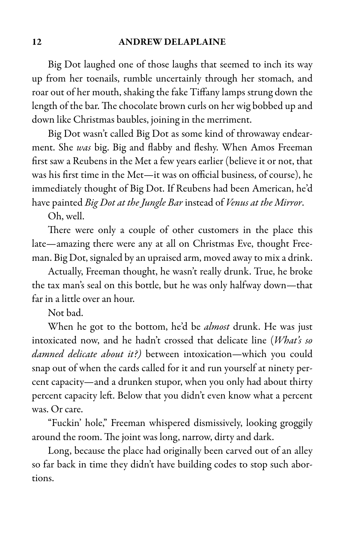Big Dot laughed one of those laughs that seemed to inch its way up from her toenails, rumble uncertainly through her stomach, and roar out of her mouth, shaking the fake Tiffany lamps strung down the length of the bar. The chocolate brown curls on her wig bobbed up and down like Christmas baubles, joining in the merriment.

Big Dot wasn't called Big Dot as some kind of throwaway endearment. She was big. Big and flabby and fleshy. When Amos Freeman first saw a Reubens in the Met a few years earlier (believe it or not, that was his first time in the Met—it was on official business, of course), he immediately thought of Big Dot. If Reubens had been American, he'd have painted Big Dot at the Jungle Bar instead of Venus at the Mirror.

Oh, well.

There were only a couple of other customers in the place this late—amazing there were any at all on Christmas Eve, thought Freeman. Big Dot, signaled by an upraised arm, moved away to mix a drink.

Actually, Freeman thought, he wasn't really drunk. True, he broke the tax man's seal on this bottle, but he was only halfway down—that far in a little over an hour.

Not bad.

When he got to the bottom, he'd be almost drunk. He was just intoxicated now, and he hadn't crossed that delicate line (What's so damned delicate about it?) between intoxication—which you could snap out of when the cards called for it and run yourself at ninety percent capacity—and a drunken stupor, when you only had about thirty percent capacity left. Below that you didn't even know what a percent was. Or care.

"Fuckin' hole," Freeman whispered dismissively, looking groggily around the room. The joint was long, narrow, dirty and dark.

Long, because the place had originally been carved out of an alley so far back in time they didn't have building codes to stop such abortions.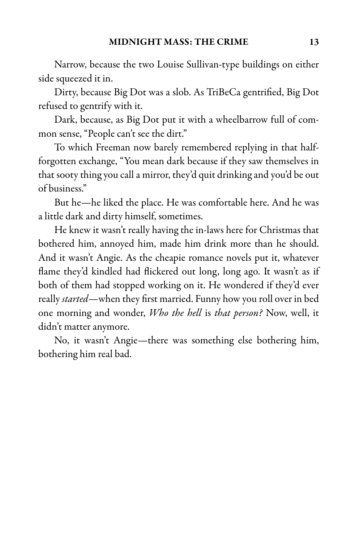Narrow, because the two Louise Sullivan-type buildings on either side squeezed it in.

Dirty, because Big Dot was a slob. As TriBeCa gentrified, Big Dot refused to gentrify with it.

Dark, because, as Big Dot put it with a wheelbarrow full of common sense, "People can't see the dirt."

To which Freeman now barely remembered replying in that halfforgotten exchange, "You mean dark because if they saw themselves in that sooty thing you calla mirror, they'd quit drinking and you'd be out of business."

But he—he liked the place. He was comfortable here. And he was a little dark and dirty himself, sometimes.

He knew it wasn't really having the in-laws here for Christmas that bothered him, annoyed him, made him drink more than he should. And it wasn't Angie. As the cheapie romance novels put it, whatever flame they'd kindled had flickered out long, long ago. It wasn't as if both of them had stopped working on it. He wondered if they'd ever really *started*—when they first married. Funny how you roll over in bed one morning and wonder, Who the hell is that person? Now, well, it didn't matter anymore.

No, it wasn't Angie—there was something else bothering him, bothering him real bad.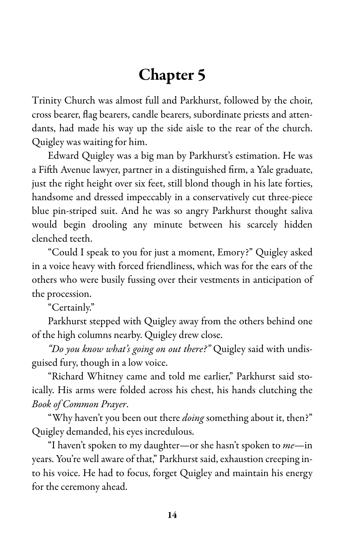### Chapter 5

Trinity Church was almost full and Parkhurst, followed by the choir, cross bearer, flag bearers, candle bearers, subordinate priests and attendants, had made his way up the side aisle to the rear of the church. Quigley was waiting for him.

Edward Quigley was a big man by Parkhurst's estimation. He was a Fifth Avenue lawyer, partner in a distinguished firm, a Yale graduate, just the right height over six feet, still blond though in his late forties, handsome and dressed impeccably in a conservatively cut three-piece blue pin-striped suit. And he was so angry Parkhurst thought saliva would begin drooling any minute between his scarcely hidden clenched teeth.

"Could I speak to you for just a moment, Emory?" Quigley asked in a voice heavy with forced friendliness, which was for the ears of the others who were busily fussing over their vestments in anticipation of the procession.

"Certainly."

Parkhurst stepped with Quigley away from the others behind one of the high columns nearby. Quigley drew close.

"Do you know what's going on out there?" Quigley said with undisguised fury, though in a low voice.

"Richard Whitney came and told me earlier," Parkhurst said stoically. His arms were folded across his chest, his hands clutching the Book of Common Prayer.

"Why haven't you been out there *doing* something about it, then?" Quigley demanded, his eyes incredulous.

"I haven't spoken to my daughter—or she hasn't spoken to  $me$ —in years. You're well aware of that," Parkhurst said, exhaustion creeping into his voice. He had to focus, forget Quigley and maintain his energy for the ceremony ahead.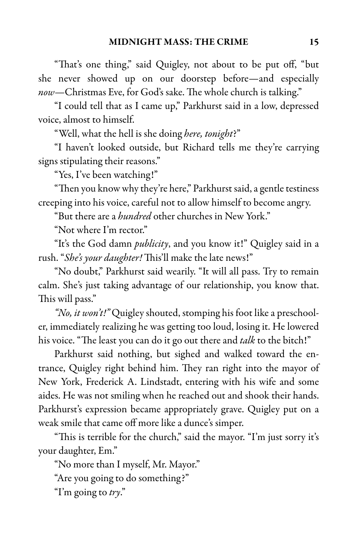"That's one thing," said Quigley, not about to be put off, "but she never showed up on our doorstep before—and especially now—Christmas Eve, for God's sake. The whole church is talking."

"I could tell that as I came up," Parkhurst said in a low, depressed voice, almost to himself.

"Well, what the hell is she doing here, tonight?"

"I haven't looked outside, but Richard tells me they're carrying signs stipulating their reasons."

"Yes, I've been watching!"

"Then you know why they're here," Parkhurst said, a gentle testiness creeping into his voice, careful not to allow himself to become angry.

"But there are a hundred other churches in New York."

"Not where I'm rector."

"It's the God damn *publicity*, and you know it!" Quigley said in a rush. "She's your daughter! This'll make the late news!"

"No doubt," Parkhurst said wearily. "It will all pass. Try to remain calm. She's just taking advantage of our relationship, you know that. This will pass."

"No, it won't!" Quigley shouted, stomping his foot like a preschooler, immediately realizing he was getting too loud, losing it. He lowered his voice. "The least you can do it go out there and *talk* to the bitch!"

Parkhurst said nothing, but sighed and walked toward the entrance, Quigley right behind him. They ran right into the mayor of New York, Frederick A. Lindstadt, entering with his wife and some aides. He was not smiling when he reached out and shook their hands. Parkhurst's expression became appropriately grave. Quigley put on a weak smile that came off more like a dunce's simper.

"This is terrible for the church," said the mayor. "I'm just sorry it's your daughter, Em."

"No more than I myself, Mr. Mayor."

"Are you going to do something?"

"I'm going to  $try$ ."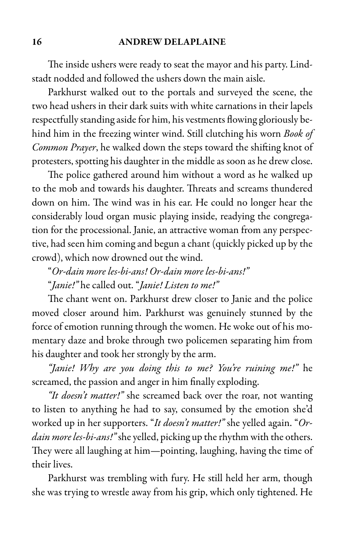#### 16 ANDREW DELAPLAINE

The inside ushers were ready to seat the mayor and his party. Lindstadt nodded and followed the ushers down the main aisle.

Parkhurst walked out to the portals and surveyed the scene, the two head ushers in their dark suits with white carnations in their lapels respectfully standing aside for him, his vestments flowing gloriously behind him in the freezing winter wind. Still clutching his worn Book of Common Prayer, he walked down the steps toward the shifting knot of protesters, spotting his daughter in the middle as soon as he drew close.

The police gathered around him without a word as he walked up to the mob and towards his daughter. Threats and screams thundered down on him. The wind was in his ear. He could no longer hear the considerably loud organ music playing inside, readying the congregation for the processional. Janie, an attractive woman from any perspective, had seen him coming and begun achant (quickly picked up by the crowd), which now drowned out the wind.

"Or-dain more les-bi-ans! Or-dain more les-bi-ans!" "Janie!" he called out. "Janie! Listen to me!"

The chant went on. Parkhurst drew closer to Janie and the police moved closer around him. Parkhurst was genuinely stunned by the force of emotion running through the women. He woke out of his momentary daze and broke through two policemen separating him from his daughter and took her strongly by the arm.

"Janie! Why are you doing this to me? You're ruining me!" he screamed, the passion and anger in him finally exploding.

"It doesn't matter!" she screamed back over the roar, not wanting to listen to anything he had to say, consumed by the emotion she'd worked up in her supporters. "It doesn't matter!" she yelled again. "Ordain more les-bi-ans!" she yelled, picking up the rhythm with the others. They were all laughing at him—pointing, laughing, having the time of their lives.

Parkhurst was trembling with fury. He still held her arm, though she was trying to wrestle away from his grip, which only tightened. He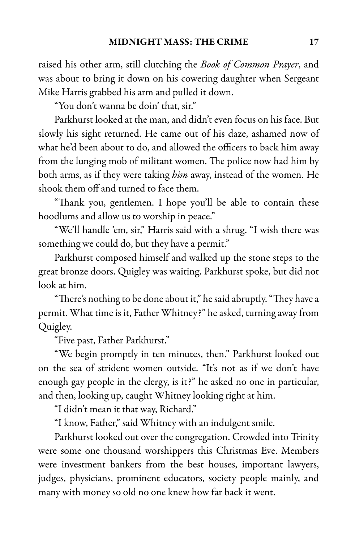raised his other arm, still clutching the *Book of Common Prayer*, and was about to bring it down on his cowering daughter when Sergeant Mike Harris grabbed his arm and pulled it down.

"You don't wanna be doin' that, sir."

Parkhurst looked at the man, and didn't even focus on his face. But slowly his sight returned. He came out of his daze, ashamed now of what he'd been about to do, and allowed the officers to back him away from the lunging mob of militant women. The police now had him by both arms, as if they were taking him away, instead of the women. He shook them off and turned to face them.

"Thank you, gentlemen. I hope you'll be able to contain these hoodlums and allow us to worship in peace."

"We'll handle 'em, sir," Harris said with a shrug. "I wish there was something we could do, but they have a permit."

Parkhurst composed himself and walked up the stone steps to the great bronze doors. Quigley was waiting. Parkhurst spoke, but did not look at him.

"There's nothing to be done about it," he said abruptly. "They have a permit. What time is it, Father Whitney?" he asked, turning away from Quigley.

"Five past, Father Parkhurst."

"We begin promptly in ten minutes, then." Parkhurst looked out on the sea of strident women outside. "It's not as if we don't have enough gay people in the clergy, is it?" he asked no one in particular, and then, looking up, caught Whitney looking right at him.

"I didn't mean it that way, Richard."

"I know, Father," said Whitney with an indulgent smile.

Parkhurst looked out over the congregation. Crowded into Trinity were some one thousand worshippers this Christmas Eve. Members were investment bankers from the best houses, important lawyers, judges, physicians, prominent educators, society people mainly, and many with money so old no one knew how far back it went.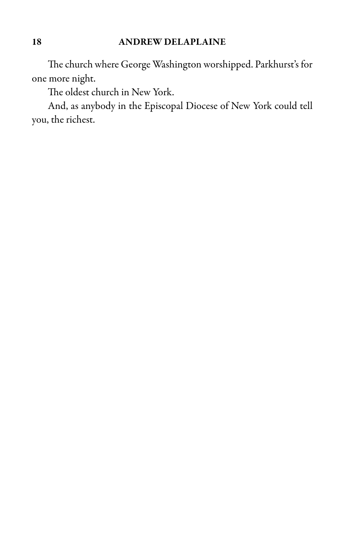#### 18 ANDREW DELAPLAINE

The church where George Washington worshipped. Parkhurst's for one more night.

The oldest church in New York.

And, as anybody in the Episcopal Diocese of New York could tell you, the richest.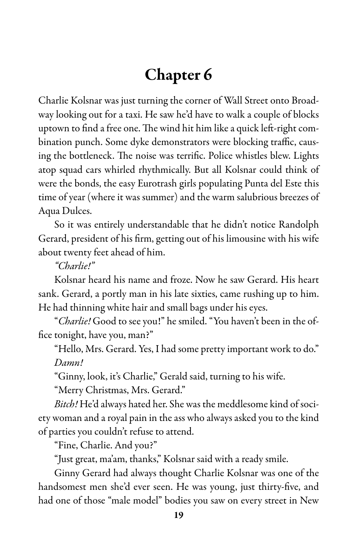### Chapter 6

Charlie Kolsnar was just turning the corner of Wall Street onto Broadway looking out for a taxi. He saw he'd have to walk a couple of blocks uptown to find a free one. The wind hit him like a quick left-right combination punch. Some dyke demonstrators were blocking traffic, causing the bottleneck. The noise was terrific. Police whistles blew. Lights atop squad cars whirled rhythmically. But all Kolsnar could think of were the bonds, the easy Eurotrash girls populating Punta del Este this time of year (where it was summer) and the warm salubrious breezes of Aqua Dulces.

So it was entirely understandable that he didn't notice Randolph Gerard, president of his firm, getting out of his limousine with his wife about twenty feet ahead of him.

"Charlie!"

Kolsnar heard his name and froze. Now he saw Gerard. His heart sank. Gerard, a portly man in his late sixties, came rushing up to him. He had thinning white hair and small bags under his eyes.

"Charlie! Good to see you!" he smiled. "You haven't been in the office tonight, have you, man?"

"Hello, Mrs. Gerard. Yes, I had some pretty important work to do." Damn!

"Ginny, look, it's Charlie," Gerald said, turning to his wife.

"Merry Christmas, Mrs. Gerard."

Bitch! He'd always hated her. She was the meddlesome kind of society woman and a royal pain in the ass who always asked you to the kind of parties you couldn't refuse to attend.

"Fine, Charlie. And you?"

"Just great, ma'am, thanks," Kolsnar said with a ready smile.

Ginny Gerard had always thought Charlie Kolsnar was one of the handsomest men she'd ever seen. He was young, just thirty-five, and had one of those "male model" bodies you saw on every street in New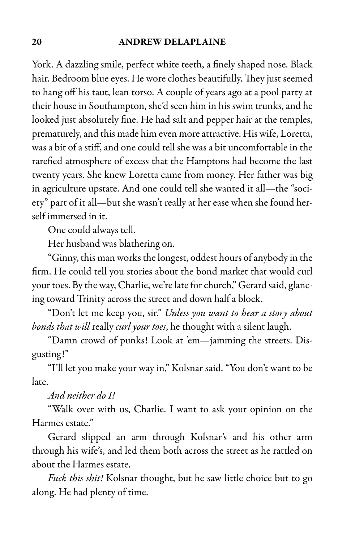#### 20 ANDREW DELAPLAINE

York. A dazzling smile, perfect white teeth, a finely shaped nose. Black hair. Bedroom blue eyes. He wore clothes beautifully. They just seemed to hang off his taut, lean torso. A couple of years ago at a pool party at their house in Southampton, she'd seen him in his swim trunks, and he looked just absolutely fine. He had salt and pepper hair at the temples, prematurely, and this made him even more attractive. His wife, Loretta, was a bit of a stiff, and one could tell she was a bit uncomfortable in the rarefied atmosphere of excess that the Hamptons had become the last twenty years. She knew Loretta came from money. Her father was big in agriculture upstate. And one could tell she wanted it all—the "society" part of it all—but she wasn't really at her ease when she found herself immersed in it.

One could always tell.

Her husband was blathering on.

"Ginny, this man works the longest, oddest hours of anybody in the firm. He could tell you stories about the bond market that would curl your toes. By the way, Charlie, we're late for church," Gerard said, glancing toward Trinity across the street and down half a block.

"Don't let me keep you, sir." Unless you want to hear a story about bonds that will really curl your toes, he thought with a silent laugh.

"Damn crowd of punks! Look at 'em—jamming the streets. Disgusting!"

"I'll let you make your way in," Kolsnar said. "You don't want to be late.

And neither do I!

"Walk over with us, Charlie. I want to ask your opinion on the Harmes estate."

Gerard slipped an arm through Kolsnar's and his other arm through his wife's, and led them both across the street as he rattled on about the Harmes estate.

Fuck this shit! Kolsnar thought, but he saw little choice but to go along. He had plenty of time.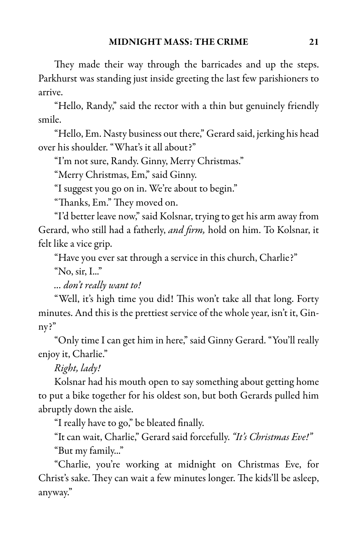They made their way through the barricades and up the steps. Parkhurst was standing just inside greeting the last few parishioners to arrive.

"Hello, Randy," said the rector with a thin but genuinely friendly smile.

"Hello, Em. Nasty business out there," Gerard said, jerking his head over his shoulder. "What's it all about?"

"I'm not sure, Randy. Ginny, Merry Christmas."

"Merry Christmas, Em," said Ginny.

"I suggest you go on in. We're about to begin."

"Thanks, Em." They moved on.

"I'd better leave now," said Kolsnar, trying to get his arm away from Gerard, who still had a fatherly, and firm, hold on him. To Kolsnar, it felt like a vice grip.

"Have you ever sat through a service in this church, Charlie?"

"No, sir, I..."

... don't really want to!

"Well, it's high time you did! This won't take all that long. Forty minutes. And this is the prettiest service of the whole year, isn't it, Ginny?"

"Only time I can get him in here," said Ginny Gerard. "You'll really enjoy it, Charlie."

Right, lady!

Kolsnar had his mouth open to say something about getting home to put a bike together for his oldest son, but both Gerards pulled him abruptly down the aisle.

"I really have to go," be bleated finally.

"It can wait, Charlie," Gerard said forcefully. "It's Christmas Eve!" "But my family..."

"Charlie, you're working at midnight on Christmas Eve, for Christ's sake. They can wait a few minutes longer. The kids'll be asleep, anyway."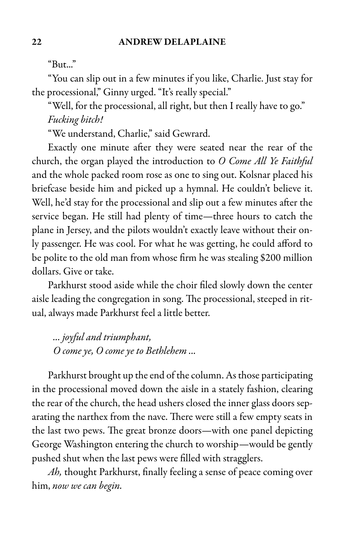"But..."

"You can slip out in a few minutes if you like, Charlie. Just stay for the processional," Ginny urged. "It's really special."

"Well, for the processional, all right, but then I really have to go." Fucking bitch!

"We understand, Charlie," said Gewrard.

Exactly one minute after they were seated near the rear of the church, the organ played the introduction to O Come All Ye Faithful and the whole packed room rose as one to sing out. Kolsnar placed his briefcase beside him and picked up a hymnal. He couldn't believe it. Well, he'd stay for the processional and slip out a few minutes after the service began. He still had plenty of time—three hours to catch the plane in Jersey, and the pilots wouldn't exactly leave without their only passenger. He was cool. For what he was getting, he could afford to be polite to the old man from whose firm he was stealing \$200 million dollars. Give or take.

Parkhurst stood aside while the choir filed slowly down the center aisle leading the congregation in song. The processional, steeped in ritual, always made Parkhurst feel a little better.

... joyful and triumphant, O come ye, O come ye to Bethlehem ...

Parkhurst brought up the end of the column. As those participating in the processional moved down the aisle in a stately fashion, clearing the rear of the church, the head ushers closed the inner glass doors separating the narthex from the nave. There were still a few empty seats in the last two pews. The great bronze doors—with one panel depicting George Washington entering the church to worship—would be gently pushed shut when the last pews were filled with stragglers.

Ah, thought Parkhurst, finally feeling a sense of peace coming over him, now we can begin.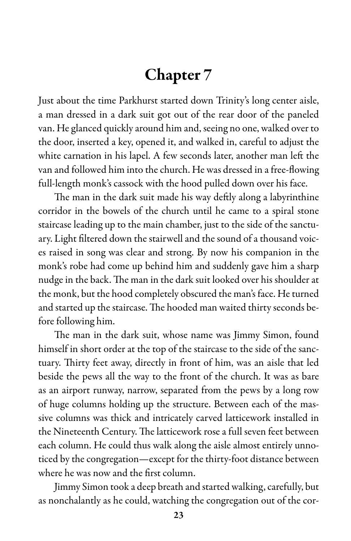### Chapter 7

Just about the time Parkhurst started down Trinity's long center aisle, a man dressed in a dark suit got out of the rear door of the paneled van. He glanced quickly around him and, seeing no one, walked over to the door, inserted a key, opened it, and walked in, careful to adjust the white carnation in his lapel. A few seconds later, another man left the van and followed him into the church. He was dressed in a free-flowing full-length monk's cassock with the hood pulled down over his face.

The man in the dark suit made his way deftly along a labyrinthine corridor in the bowels of the church until he came to a spiral stone staircase leading up to the main chamber, just to the side of the sanctuary. Light filtered down the stairwell and the sound of a thousand voices raised in song was clear and strong. By now his companion in the monk's robe had come up behind him and suddenly gave him a sharp nudge in the back. The man in the dark suit looked over his shoulder at the monk, but the hood completely obscured the man's face. He turned and started up the staircase. The hooded man waited thirty seconds before following him.

The man in the dark suit, whose name was Jimmy Simon, found himself in short order at the top of the staircase to the side of the sanctuary. Thirty feet away, directly in front of him, was an aisle that led beside the pews all the way to the front of the church. It was as bare as an airport runway, narrow, separated from the pews by a long row of huge columns holding up the structure. Between each of the massive columns was thick and intricately carved latticework installed in the Nineteenth Century. The latticework rose a full seven feet between each column. He could thus walk along the aisle almost entirely unnoticed by the congregation—except for the thirty-foot distance between where he was now and the first column.

Jimmy Simon took a deep breath and started walking, carefully, but as nonchalantly as he could, watching the congregation out of the cor-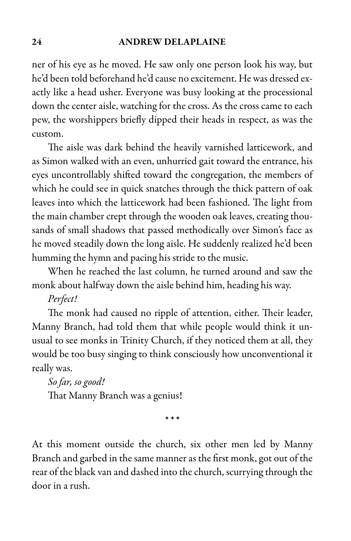#### 24 ANDREW DELAPLAINE

ner of his eye as he moved. He saw only one person look his way, but he'd been told beforehand he'd cause no excitement. He was dressed exactly like a head usher. Everyone was busy looking at the processional down the center aisle, watching for the cross. As the cross came to each pew, the worshippers briefly dipped their heads in respect, as was the custom.

The aisle was dark behind the heavily varnished latticework, and as Simon walked with an even, unhurried gait toward the entrance, his eyes uncontrollably shifted toward the congregation, the members of which he could see in quick snatches through the thick pattern of oak leaves into which the latticework had been fashioned. The light from the main chamber crept through the wooden oak leaves, creating thousands of small shadows that passed methodically over Simon's face as he moved steadily down the long aisle. He suddenly realized he'd been humming the hymn and pacing his stride to the music.

When he reached the last column, he turned around and saw the monk about halfway down the aisle behind him, heading his way.

#### Perfect!

The monk had caused no ripple of attention, either. Their leader, Manny Branch, had told them that while people would think it unusual to see monks in Trinity Church, if they noticed them at all, they would be too busy singing to think consciously how unconventional it really was.

So far, so good! That Manny Branch was a genius!

\* \* \*

At this moment outside the church, six other men led by Manny Branch and garbed in the same manner as the first monk, got out of the rear of the black van and dashed into the church, scurrying through the door in a rush.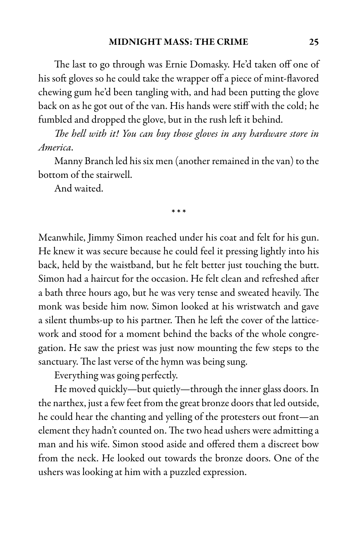The last to go through was Ernie Domasky. He'd taken off one of his soft gloves so he could take the wrapper off a piece of mint-flavored chewing gum he'd been tangling with, and had been putting the glove back on as he got out of the van. His hands were stiff with the cold; he fumbled and dropped the glove, but in the rush left it behind.

The hell with it! You can buy those gloves in any hardware store in America.

Manny Branch led his six men (another remained in the van) to the bottom of the stairwell.

\* \* \*

And waited.

Meanwhile, Jimmy Simon reached under his coat and felt for his gun. He knew it was secure because he could feel it pressing lightly into his back, held by the waistband, but he felt better just touching the butt. Simon had a haircut for the occasion. He felt clean and refreshed after a bath three hours ago, but he was very tense and sweated heavily. The monk was beside him now. Simon looked at his wristwatch and gave a silent thumbs-up to his partner. Then he left the cover of the latticework and stood for a moment behind the backs of the whole congregation. He saw the priest was just now mounting the few steps to the sanctuary. The last verse of the hymn was being sung.

Everything was going perfectly.

He moved quickly—but quietly—through the inner glass doors. In the narthex, just a few feet from the great bronze doors that led outside, he could hear the chanting and yelling of the protesters out front—an element they hadn't counted on. The two head ushers were admitting a man and his wife. Simon stood aside and offered them a discreet bow from the neck. He looked out towards the bronze doors. One of the ushers was looking at him with a puzzled expression.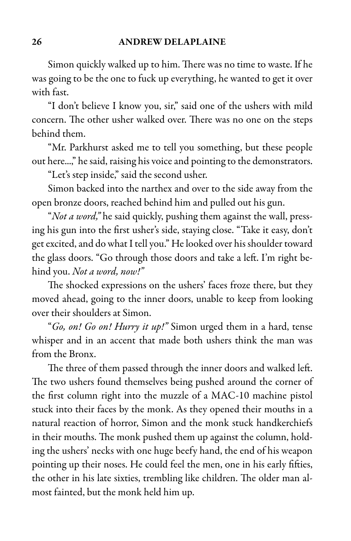Simon quickly walked up to him. There was no time to waste. If he was going to be the one to fuck up everything, he wanted to get it over with fast.

"I don't believe I know you, sir," said one of the ushers with mild concern. The other usher walked over. There was no one on the steps behind them.

"Mr. Parkhurst asked me to tell you something, but these people out here...," he said, raising his voice and pointing to the demonstrators.

"Let's step inside," said the second usher.

Simon backed into the narthex and over to the side away from the open bronze doors, reached behind him and pulled out his gun.

"Not a word," he said quickly, pushing them against the wall, pressing his gun into the first usher's side, staying close. "Take it easy, don't get excited, and do what I tell you." He looked over his shoulder toward the glass doors. "Go through those doors and take a left. I'm right behind you. Not a word, now!"

The shocked expressions on the ushers' faces froze there, but they moved ahead, going to the inner doors, unable to keep from looking over their shoulders at Simon.

"Go, on! Go on! Hurry it up!" Simon urged them in a hard, tense whisper and in an accent that made both ushers think the man was from the Bronx.

The three of them passed through the inner doors and walked left. The two ushers found themselves being pushed around the corner of the first column right into the muzzle of a MAC-10 machine pistol stuck into their faces by the monk. As they opened their mouths in a natural reaction of horror, Simon and the monk stuck handkerchiefs in their mouths. The monk pushed them up against the column, holding the ushers' necks with one huge beefy hand, the end of his weapon pointing up their noses. He could feel the men, one in his early fifties, the other in his late sixties, trembling like children. The older man almost fainted, but the monk held him up.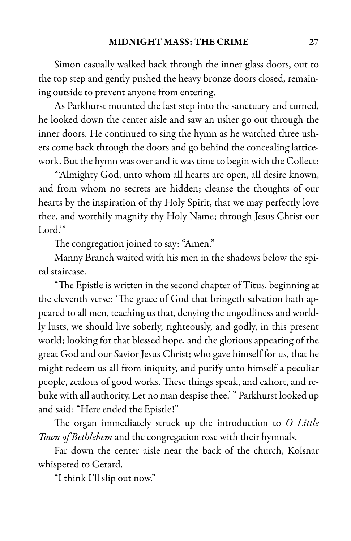Simon casually walked back through the inner glass doors, out to the top step and gently pushed the heavy bronze doors closed, remaining outside to prevent anyone from entering.

As Parkhurst mounted the last step into the sanctuary and turned, he looked down the center aisle and saw an usher go out through the inner doors. He continued to sing the hymn as he watched three ushers come back through the doors and go behind the concealing latticework. But the hymn was over and it was time to begin with the Collect:

"'Almighty God, unto whom all hearts are open, all desire known, and from whom no secrets are hidden; cleanse the thoughts of our hearts by the inspiration of thy Holy Spirit, that we may perfectly love thee, and worthily magnify thy Holy Name; through Jesus Christ our Lord."

The congregation joined to say: "Amen."

Manny Branch waited with his men in the shadows below the spiral staircase.

"The Epistle is written in the second chapter of Titus, beginning at the eleventh verse: 'The grace of God that bringeth salvation hath appeared to all men, teaching us that, denying the ungodliness and worldly lusts, we should live soberly, righteously, and godly, in this present world; looking for that blessed hope, and the glorious appearing of the great God and our Savior Jesus Christ; who gave himself for us, that he might redeem us all from iniquity, and purify unto himself a peculiar people, zealous of good works. These things speak, and exhort, and rebuke with all authority. Let no man despise thee.'" Parkhurst looked up and said: "Here ended the Epistle!"

The organ immediately struck up the introduction to O Little Town of Bethlehem and the congregation rose with their hymnals.

Far down the center aisle near the back of the church, Kolsnar whispered to Gerard.

"I think I'll slip out now."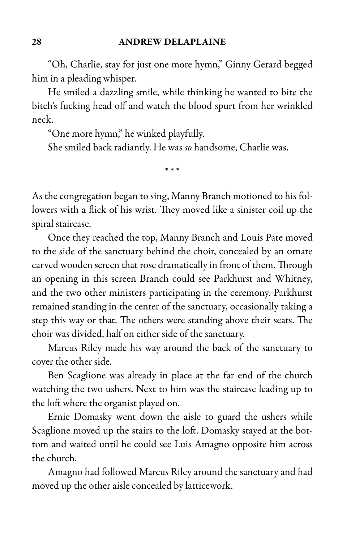"Oh, Charlie, stay for just one more hymn," Ginny Gerard begged him in a pleading whisper.

He smiled a dazzling smile, while thinking he wanted to bite the bitch's fucking head off and watch the blood spurt from her wrinkled neck.

"One more hymn," he winked playfully.

She smiled back radiantly. He was so handsome, Charlie was.

\* \* \*

As the congregation began to sing, Manny Branch motioned to his followers with a flick of his wrist. They moved like a sinister coil up the spiral staircase.

Once they reached the top, Manny Branch and Louis Pate moved to the side of the sanctuary behind the choir, concealed by an ornate carved wooden screen that rose dramatically in front of them. Through an opening in this screen Branch could see Parkhurst and Whitney, and the two other ministers participating in the ceremony. Parkhurst remained standing in the center of the sanctuary, occasionally taking a step this way or that. The others were standing above their seats. The choir was divided, half on either side of the sanctuary.

Marcus Riley made his way around the back of the sanctuary to cover the other side.

Ben Scaglione was already in place at the far end of the church watching the two ushers. Next to him was the staircase leading up to the loft where the organist played on.

Ernie Domasky went down the aisle to guard the ushers while Scaglione moved up the stairs to the loft. Domasky stayed at the bottom and waited until he could see Luis Amagno opposite him across the church.

Amagno had followed Marcus Riley around the sanctuary and had moved up the other aisle concealed by latticework.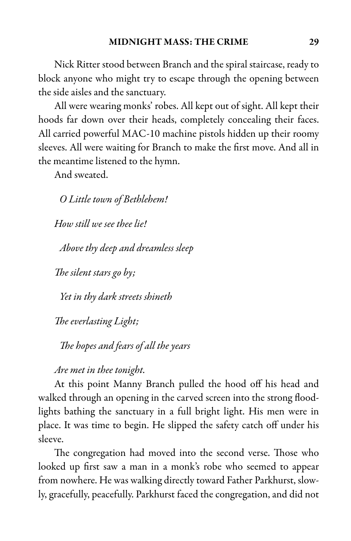Nick Ritter stood between Branch and the spiral staircase, ready to block anyone who might try to escape through the opening between the side aisles and the sanctuary.

All were wearing monks' robes. All kept out of sight. All kept their hoods far down over their heads, completely concealing their faces. All carried powerful MAC-10 machine pistols hidden up their roomy sleeves. All were waiting for Branch to make the first move. And all in the meantime listened to the hymn.

And sweated.

O Little town of Bethlehem!

How still we see thee lie!

Above thy deep and dreamless sleep

The silent stars go by;

Yet in thy dark streets shineth

The everlasting Light;

The hopes and fears of all the years

#### Are met in thee tonight.

At this point Manny Branch pulled the hood off his head and walked through an opening in the carved screen into the strong floodlights bathing the sanctuary in a full bright light. His men were in place. It was time to begin. He slipped the safety catch off under his sleeve.

The congregation had moved into the second verse. Those who looked up first saw a man in a monk's robe who seemed to appear from nowhere. He was walking directly toward Father Parkhurst, slowly, gracefully, peacefully. Parkhurst faced the congregation, and did not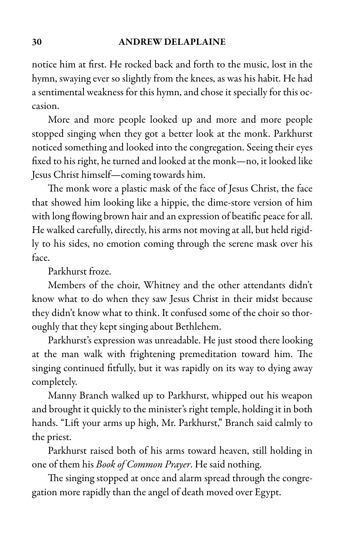#### 30 ANDREW DELAPLAINE

notice him at first. He rocked back and forth to the music, lost in the hymn, swaying ever so slightly from the knees, as was his habit. He had a sentimental weakness for this hymn, and chose it specially for this occasion.

More and more people looked up and more and more people stopped singing when they got a better look at the monk. Parkhurst noticed something and looked into the congregation. Seeing their eyes fixed to his right, he turned and looked at the monk—no, it looked like Jesus Christ himself—coming towards him.

The monk wore a plastic mask of the face of Jesus Christ, the face that showed him looking like a hippie, the dime-store version of him with long flowing brown hair and an expression of beatific peace for all. He walked carefully, directly, his arms not moving at all, but held rigidly to his sides, no emotion coming through the serene mask over his face.

Parkhurst froze.

Members of the choir, Whitney and the other attendants didn't know what to do when they saw Jesus Christ in their midst because they didn't know what to think. It confused some of the choir so thoroughly that they kept singing about Bethlehem.

Parkhurst's expression was unreadable. He just stood there looking at the man walk with frightening premeditation toward him. The singing continued fitfully, but it was rapidly on its way to dying away completely.

Manny Branch walked up to Parkhurst, whipped out his weapon and brought it quickly to the minister's right temple, holding it in both hands. "Lift your arms up high, Mr. Parkhurst," Branch said calmly to the priest.

Parkhurst raised both of his arms toward heaven, still holding in one of them his Book of Common Prayer. He said nothing.

The singing stopped at once and alarm spread through the congregation more rapidly than the angel of death moved over Egypt.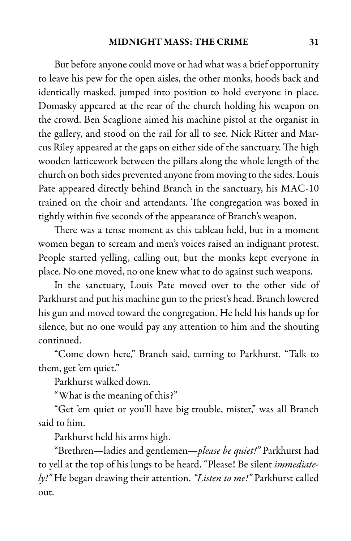But before anyone could move or had what was a brief opportunity to leave his pew for the open aisles, the other monks, hoods back and identically masked, jumped into position to hold everyone in place. Domasky appeared at the rear of the church holding his weapon on the crowd. Ben Scaglione aimed his machine pistol at the organist in the gallery, and stood on the rail for all to see. Nick Ritter and Marcus Riley appeared at the gaps on either side of the sanctuary. The high wooden latticework between the pillars along the whole length of the church on both sides prevented anyone from moving to the sides. Louis Pate appeared directly behind Branch in the sanctuary, his MAC-10 trained on the choir and attendants. The congregation was boxed in tightly within five seconds of the appearance of Branch's weapon.

There was a tense moment as this tableau held, but in a moment women began to scream and men's voices raised an indignant protest. People started yelling, calling out, but the monks kept everyone in place. No one moved, no one knew what to do against such weapons.

In the sanctuary, Louis Pate moved over to the other side of Parkhurst and put his machine gun to the priest's head. Branch lowered his gun and moved toward the congregation. He held his hands up for silence, but no one would pay any attention to him and the shouting continued.

"Come down here," Branch said, turning to Parkhurst. "Talk to them, get 'em quiet."

Parkhurst walked down.

"What is the meaning of this?"

"Get 'em quiet or you'll have big trouble, mister," was all Branch said to him.

Parkhurst held his arms high.

"Brethren—ladies and gentlemen—please be quiet!" Parkhurst had to yell at the top of his lungs to be heard. "Please! Be silent immediately!" He began drawing their attention. "Listen to me!" Parkhurst called out.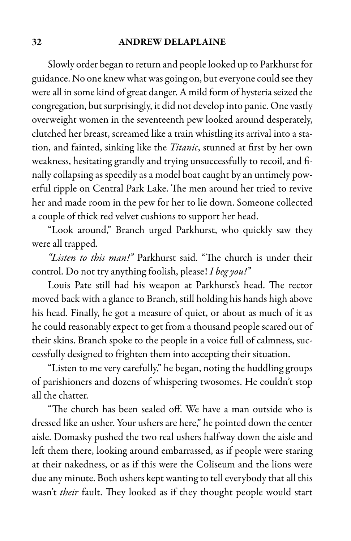#### 32 ANDREW DELAPLAINE

Slowly order began to return and people looked up to Parkhurst for guidance. No one knew what was going on, but everyone could see they were all in some kind of great danger. A mild form of hysteria seized the congregation, but surprisingly, it did not develop into panic. One vastly overweight women in the seventeenth pew looked around desperately, clutched her breast, screamed like a train whistling its arrival into a station, and fainted, sinking like the Titanic, stunned at first by her own weakness, hesitating grandly and trying unsuccessfully to recoil, and finally collapsing as speedily as a model boat caught by an untimely powerful ripple on Central Park Lake. The men around her tried to revive her and made room in the pew for her to lie down. Someone collected a couple of thick red velvet cushions to support her head.

"Look around," Branch urged Parkhurst, who quickly saw they were all trapped.

"Listen to this man!" Parkhurst said. "The church is under their control. Do not try anything foolish, please! I beg you!"

Louis Pate still had his weapon at Parkhurst's head. The rector moved back with a glance to Branch, still holding his hands high above his head. Finally, he got a measure of quiet, or about as much of it as he could reasonably expect to get from a thousand people scared out of their skins. Branch spoke to the people in a voice full of calmness, successfully designed to frighten them into accepting their situation.

"Listen to me very carefully," he began, noting the huddling groups of parishioners and dozens of whispering twosomes. He couldn't stop all the chatter.

"The church has been sealed off. We have a man outside who is dressed like an usher. Your ushers are here," he pointed down the center aisle. Domasky pushed the two real ushers halfway down the aisle and left them there, looking around embarrassed, as if people were staring at their nakedness, or as if this were the Coliseum and the lions were due any minute. Both ushers kept wanting to tell everybody that all this wasn't their fault. They looked as if they thought people would start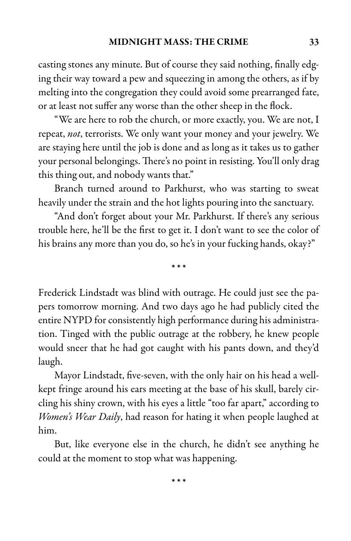casting stones any minute. But of course they said nothing, finally edging their way toward a pew and squeezing in among the others, as if by melting into the congregation they could avoid some prearranged fate, or at least not suffer any worse than the other sheep in the flock.

"We are here to rob the church, or more exactly, you. We are not, I repeat, not, terrorists. We only want your money and your jewelry. We are staying here until the job is done and as long as it takes us to gather your personal belongings. There's no point in resisting. You'll only drag this thing out, and nobody wants that."

Branch turned around to Parkhurst, who was starting to sweat heavily under the strain and the hot lights pouring into the sanctuary.

"And don't forget about your Mr. Parkhurst. If there's any serious trouble here, he'll be the first to get it. I don't want to see the color of his brains any more than you do, so he's in your fucking hands, okay?"

\* \* \*

Frederick Lindstadt was blind with outrage. He could just see the papers tomorrow morning. And two days ago he had publicly cited the entire NYPD for consistently high performance during his administration. Tinged with the public outrage at the robbery, he knew people would sneer that he had got caught with his pants down, and they'd laugh.

Mayor Lindstadt, five-seven, with the only hair on his head a wellkept fringe around his ears meeting at the base of his skull, barely circling his shiny crown, with his eyes a little "too far apart," according to Women's Wear Daily, had reason for hating it when people laughed at him.

But, like everyone else in the church, he didn't see anything he could at the moment to stop what was happening.

\* \* \*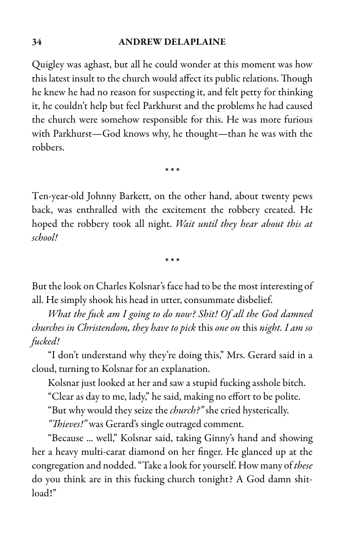### 34 ANDREW DELAPLAINE

Quigley was aghast, but all he could wonder at this moment was how this latest insult to the church would affect its public relations. Though he knew he had no reason for suspecting it, and felt petty for thinking it, he couldn't help but feel Parkhurst and the problems he had caused the church were somehow responsible for this. He was more furious with Parkhurst—God knows why, he thought—than he was with the robbers.

\* \* \*

Ten-year-old Johnny Barkett, on the other hand, about twenty pews back, was enthralled with the excitement the robbery created. He hoped the robbery took all night. *Wait until they hear about this at* school!

\* \* \*

But the look on Charles Kolsnar's face had to be the most interesting of all. He simply shook his head in utter, consummate disbelief.

What the fuck am I going to do now? Shit! Of all the God damned churches in Christendom, they have to pick this one on this night. I am so fucked!

"I don't understand why they're doing this," Mrs. Gerard said in a cloud, turning to Kolsnar for an explanation.

Kolsnar just looked at her and saw a stupid fucking asshole bitch.

"Clear as day to me, lady," he said, making no effort to be polite.

"But why would they seize the *church?"* she cried hysterically.

"Thieves!" was Gerard's single outraged comment.

"Because ... well," Kolsnar said, taking Ginny's hand and showing her a heavy multi-carat diamond on her finger. He glanced up at the congregation and nodded. "Take a look for yourself. How many of these do you think are in this fucking church tonight? A God damn shitload!"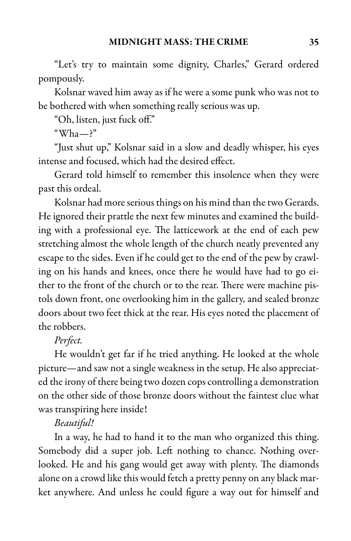"Let's try to maintain some dignity, Charles," Gerard ordered pompously.

Kolsnar waved him away as if he were a some punk who was not to be bothered with when something really serious was up.

"Oh, listen, just fuck off."

 $"Wha$ -?"

"Just shut up," Kolsnar said in a slow and deadly whisper, his eyes intense and focused, which had the desired effect.

Gerard told himself to remember this insolence when they were past this ordeal.

Kolsnar had more serious things on his mind than the two Gerards. He ignored their prattle the next few minutes and examined the building with a professional eye. The latticework at the end of each pew stretching almost the whole length of the church neatly prevented any escape to the sides. Even if he could get to the end of the pew by crawling on his hands and knees, once there he would have had to go either to the front of the church or to the rear. There were machine pistols down front, one overlooking him in the gallery, and sealed bronze doors about two feet thick at the rear. His eyes noted the placement of the robbers.

### Perfect.

He wouldn't get far if he tried anything. He looked at the whole picture—and saw not a single weakness in the setup. He also appreciated the irony of there being two dozen cops controlling a demonstration on the other side of those bronze doors without the faintest clue what was transpiring here inside!

### Beautiful!

In a way, he had to hand it to the man who organized this thing. Somebody did a super job. Left nothing to chance. Nothing overlooked. He and his gang would get away with plenty. The diamonds alone on a crowd like this would fetch a pretty penny on any black market anywhere. And unless he could figure a way out for himself and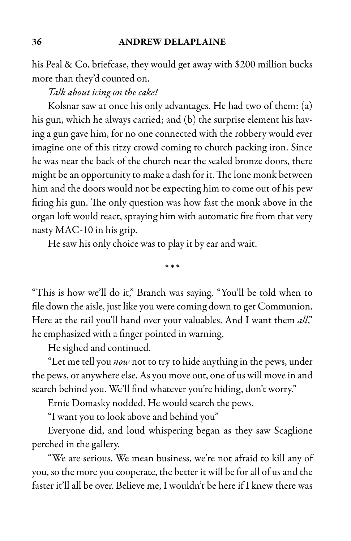his Peal & Co. briefcase, they would get away with \$200 million bucks more than they'd counted on.

Talk about icing on the cake!

Kolsnar saw at once his only advantages. He had two of them: (a) his gun, which he always carried; and (b) the surprise element his having a gun gave him, for no one connected with the robbery would ever imagine one of this ritzy crowd coming to church packing iron. Since he was near the back of the church near the sealed bronze doors, there might be an opportunity to make a dash for it. The lone monk between him and the doors would not be expecting him to come out of his pew firing his gun. The only question was how fast the monk above in the organ loft would react, spraying him with automatic fire from that very nasty MAC-10 in his grip.

He saw his only choice was to play it by ear and wait.

\* \* \*

"This is how we'll do it," Branch was saying. "You'll be told when to file down the aisle, just like you were coming down to get Communion. Here at the rail you'll hand over your valuables. And I want them all," he emphasized with a finger pointed in warning.

He sighed and continued.

"Let me tell you *now* not to try to hide anything in the pews, under the pews, or anywhere else. As you move out, one of us will move in and search behind you. We'll find whatever you're hiding, don't worry."

Ernie Domasky nodded. He would search the pews.

"I want you to look above and behind you"

Everyone did, and loud whispering began as they saw Scaglione perched in the gallery.

"We are serious. We mean business, we're not afraid to kill any of you, so the more you cooperate, the better it will be for all of us and the faster it'll all be over. Believe me, I wouldn't be here if I knew there was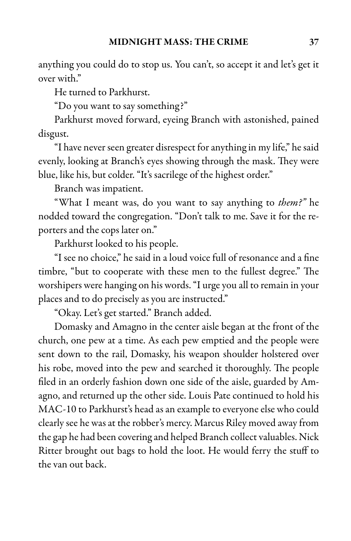anything you could do to stop us. You can't, so accept it and let's get it over with."

He turned to Parkhurst.

"Do you want to say something?"

Parkhurst moved forward, eyeing Branch with astonished, pained disgust.

"I have never seen greater disrespect foranything in my life," hesaid evenly, looking at Branch's eyes showing through the mask. They were blue, like his, but colder. "It's sacrilege of the highest order."

Branch was impatient.

"What I meant was, do you want to say anything to *them?"* he nodded toward the congregation. "Don't talk to me. Save it for the reporters and the cops later on."

Parkhurst looked to his people.

"I see no choice," hesaid in aloud voicefull of resonanceand a fine timbre, "but to cooperate with these men to the fullest degree." The worshipers were hanging on his words."I urge you all to remain in your places and to do precisely as you are instructed."

"Okay. Let's get started." Branch added.

Domasky and Amagno in the center aisle began at the front of the church, one pew at a time. As each pew emptied and the people were sent down to the rail, Domasky, his weapon shoulder holstered over his robe, moved into the pew and searched it thoroughly. The people filed in an orderly fashion down one side of the aisle, guarded by Amagno, and returned up the other side. Louis Pate continued to hold his MAC-10 to Parkhurst's head as an example to everyone else who could clearly see he was at the robber's mercy. Marcus Riley moved away from the gap he had been covering and helped Branch collect valuables. Nick Ritter brought out bags to hold the loot. He would ferry the stuff to the van out back.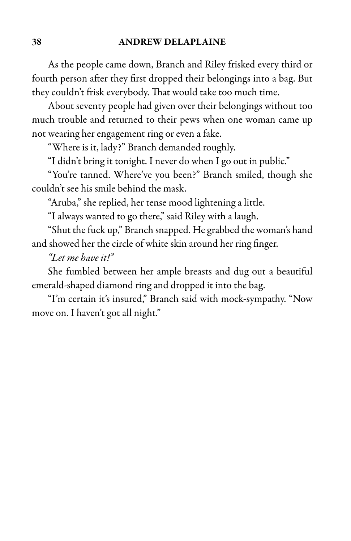As the people came down, Branch and Riley frisked every third or fourth person after they first dropped their belongings into a bag. But they couldn't frisk everybody. That would take too much time.

About seventy people had given over their belongings without too much trouble and returned to their pews when one woman came up not wearing her engagement ring or even a fake.

"Where is it, lady?" Branch demanded roughly.

"I didn't bring it tonight. I never do when I go out in public."

"You're tanned. Where've you been?" Branch smiled, though she couldn't see his smile behind the mask.

"Aruba," she replied, her tense mood lightening a little.

"I always wanted to go there," said Riley with a laugh.

"Shut the fuck up," Branch snapped. He grabbed the woman's hand and showed her the circle of white skin around her ring finger.

"Let me have it!"

She fumbled between her ample breasts and dug out a beautiful emerald-shaped diamond ring and dropped it into the bag.

"I'm certain it's insured," Branch said with mock-sympathy. "Now move on. I haven't got all night."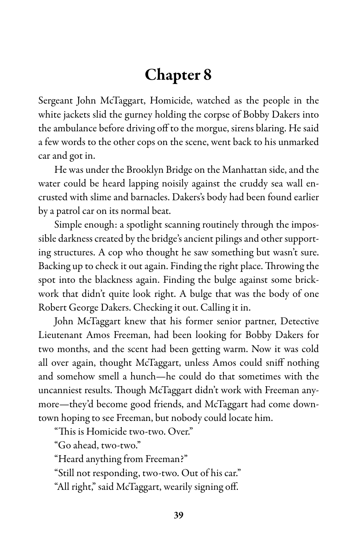# Chapter 8

Sergeant John McTaggart, Homicide, watched as the people in the white jackets slid the gurney holding the corpse of Bobby Dakers into the ambulance before driving off to the morgue, sirens blaring. He said a few words to the other cops on the scene, went back to his unmarked car and got in.

He was under the Brooklyn Bridge on the Manhattan side, and the water could be heard lapping noisily against the cruddy sea wall encrusted with slime and barnacles. Dakers's body had been found earlier by a patrol car on its normal beat.

Simple enough: a spotlight scanning routinely through the impossible darkness created by the bridge's ancient pilings and other supporting structures. A cop who thought he saw something but wasn't sure. Backing up to check it out again. Finding the right place. Throwing the spot into the blackness again. Finding the bulge against some brickwork that didn't quite look right. A bulge that was the body of one Robert George Dakers. Checking it out. Calling it in.

John McTaggart knew that his former senior partner, Detective Lieutenant Amos Freeman, had been looking for Bobby Dakers for two months, and the scent had been getting warm. Now it was cold all over again, thought McTaggart, unless Amos could sniff nothing and somehow smell a hunch—he could do that sometimes with the uncanniest results. Though McTaggart didn't work with Freeman anymore—they'd become good friends, and McTaggart had come downtown hoping to see Freeman, but nobody could locate him.

"This is Homicide two-two. Over."

"Go ahead, two-two."

"Heard anything from Freeman?"

"Still not responding, two-two. Out of his car."

"All right," said McTaggart, wearily signing off.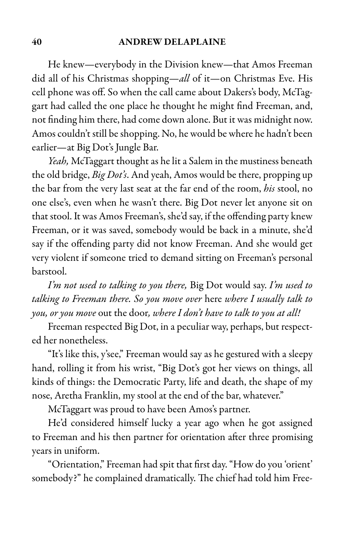#### 40 ANDREW DELAPLAINE

He knew—everybody in the Division knew—that Amos Freeman did all of his Christmas shopping—all of it—on Christmas Eve. His cell phone was off. So when the call came about Dakers's body, McTaggart had called the one place he thought he might find Freeman, and, not finding him there, had come down alone. But it was midnight now. Amos couldn't still be shopping. No, he would be where he hadn't been earlier—at Big Dot's Jungle Bar.

Yeah, McTaggart thought as he lit a Salem in the mustiness beneath the old bridge, Big Dot's. And yeah, Amos would be there, propping up the bar from the very last seat at the far end of the room, his stool, no one else's, even when he wasn't there. Big Dot never let anyone sit on that stool. It was Amos Freeman's, she'd say, if the offending party knew Freeman, or it was saved, somebody would be back in a minute, she'd say if the offending party did not know Freeman. And she would get very violent if someone tried to demand sitting on Freeman's personal barstool.

I'm not used to talking to you there, Big Dot would say. I'm used to talking to Freeman there. So you move over here where I usually talk to you, or you move out the door, where I don't have to talk to you at all!

Freeman respected Big Dot, in a peculiar way, perhaps, but respected her nonetheless.

"It's like this, y'see," Freeman would say as he gestured with a sleepy hand, rolling it from his wrist, "Big Dot's got her views on things, all kinds of things: the Democratic Party, life and death, the shape of my nose, Aretha Franklin, my stool at the end of the bar, whatever."

McTaggart was proud to have been Amos's partner.

He'd considered himself lucky a year ago when he got assigned to Freeman and his then partner for orientation after three promising years in uniform.

"Orientation," Freeman had spit that first day."How do you 'orient' somebody?" he complained dramatically. The chief had told him Free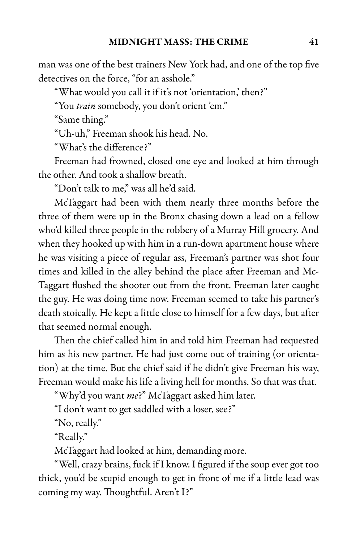man was one of the best trainers New York had, and one of the top five detectives on the force, "for an asshole."

"What would you call it if it's not 'orientation,' then?"

"You train somebody, you don't orient 'em."

"Same thing."

"Uh-uh," Freeman shook his head. No.

"What's the difference?"

Freeman had frowned, closed one eye and looked at him through the other. And took a shallow breath.

"Don't talk to me," was all he'd said.

McTaggart had been with them nearly three months before the three of them were up in the Bronx chasing down a lead on a fellow who'd killed three people in the robbery of a Murray Hill grocery. And when they hooked up with him in a run-down apartment house where he was visiting a piece of regular ass, Freeman's partner was shot four times and killed in the alley behind the place after Freeman and Mc-Taggart flushed the shooter out from the front. Freeman later caught the guy. He was doing time now. Freeman seemed to take his partner's death stoically. He kept a little close to himself for a few days, but after that seemed normal enough.

Then the chief called him in and told him Freeman had requested him as his new partner. He had just come out of training (or orientation) at the time. But the chief said if he didn't give Freeman his way, Freeman would make his life a living hell for months. So that was that.

"Why'd you want me?" McTaggart asked him later.

"I don't want to get saddled with a loser, see?"

"No, really."

"Really."

McTaggart had looked at him, demanding more.

"Well, crazy brains, fuck if I know. I figured if the soup ever got too thick, you'd be stupid enough to get in front of me if a little lead was coming my way. Thoughtful. Aren't I?"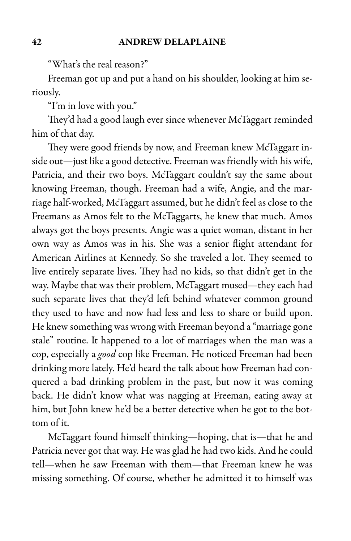"What's the real reason?"

Freeman got up and put a hand on his shoulder, looking at him seriously.

"I'm in love with you."

They'd had a good laugh ever since whenever McTaggart reminded him of that day.

They were good friends by now, and Freeman knew McTaggart inside out-just like a good detective. Freeman was friendly with his wife, Patricia, and their two boys. McTaggart couldn't say the same about knowing Freeman, though. Freeman had a wife, Angie, and the marriage half-worked, McTaggart assumed, but he didn't feel as close to the Freemans as Amos felt to the McTaggarts, he knew that much. Amos always got the boys presents. Angie was a quiet woman, distant in her own way as Amos was in his. She was a senior flight attendant for American Airlines at Kennedy. So she traveled a lot. They seemed to live entirely separate lives. They had no kids, so that didn't get in the way. Maybe that was their problem, McTaggart mused—they each had such separate lives that they'd left behind whatever common ground they used to have and now had less and less to share or build upon. He knew something was wrong with Freeman beyond a"marriage gone stale" routine. It happened to a lot of marriages when the man was a cop, especially a good cop like Freeman. He noticed Freeman had been drinking more lately. He'd heard the talk about how Freeman had conquered a bad drinking problem in the past, but now it was coming back. He didn't know what was nagging at Freeman, eating away at him, but John knew he'd be a better detective when he got to the bottom of it.

McTaggart found himself thinking—hoping, that is—that he and Patricia never got that way. He was glad he had two kids. And he could tell—when he saw Freeman with them—that Freeman knew he was missing something. Of course, whether he admitted it to himself was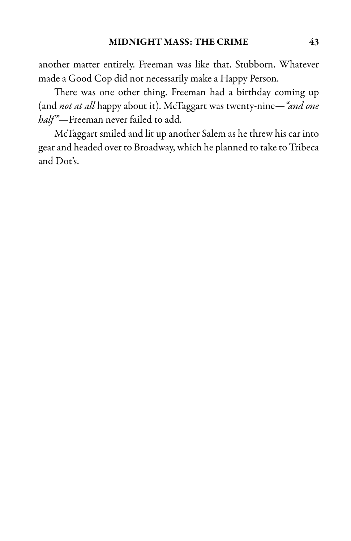another matter entirely. Freeman was like that. Stubborn. Whatever made a Good Cop did not necessarily make a Happy Person.

There was one other thing. Freeman had a birthday coming up (and not at all happy about it). McTaggart was twenty-nine—"and one half"—Freeman never failed to add.

McTaggart smiled and lit up another Salem as he threw his car into gear and headed over to Broadway, which he planned to take to Tribeca and Dot's.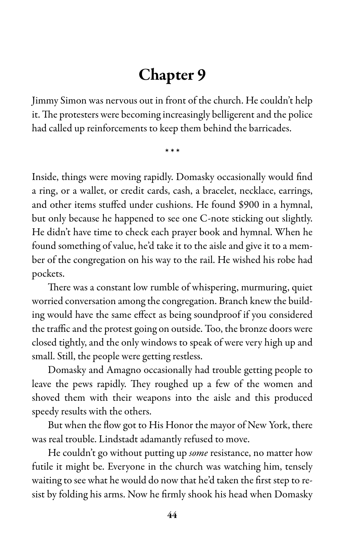# Chapter 9

Jimmy Simon was nervous out in front of the church. He couldn't help it. The protesters were becoming increasingly belligerent and the police had called up reinforcements to keep them behind the barricades.

\* \* \*

Inside, things were moving rapidly. Domasky occasionally would find a ring, or a wallet, or credit cards, cash, a bracelet, necklace, earrings, and other items stuffed under cushions. He found \$900 in a hymnal, but only because he happened to see one C-note sticking out slightly. He didn't have time to check each prayer book and hymnal. When he found something of value, he'd take it to the aisle and give it to a member of the congregation on his way to the rail. He wished his robe had pockets.

There was a constant low rumble of whispering, murmuring, quiet worried conversation among the congregation. Branch knew the building would have the same effect as being soundproof if you considered the traffic and the protest going on outside. Too, the bronze doors were closed tightly, and the only windows to speak of were very high up and small. Still, the people were getting restless.

Domasky and Amagno occasionally had trouble getting people to leave the pews rapidly. They roughed up a few of the women and shoved them with their weapons into the aisle and this produced speedy results with the others.

But when the flow got to His Honor the mayor of New York, there was real trouble. Lindstadt adamantly refused to move.

He couldn't go without putting up *some* resistance, no matter how futile it might be. Everyone in the church was watching him, tensely waiting to see what he would do now that he'd taken the first step to resist by folding his arms. Now he firmly shook his head when Domasky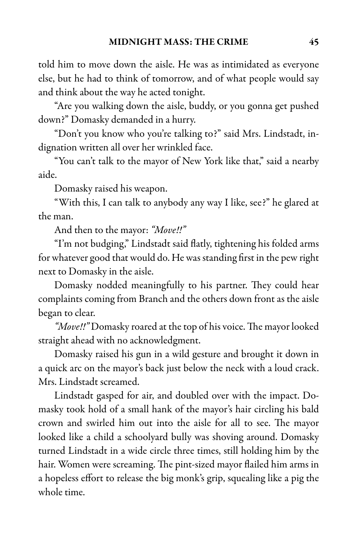told him to move down the aisle. He was as intimidated as everyone else, but he had to think of tomorrow, and of what people would say and think about the way he acted tonight.

"Are you walking down the aisle, buddy, or you gonna get pushed down?" Domasky demanded in a hurry.

"Don't you know who you're talking to?" said Mrs. Lindstadt, indignation written all over her wrinkled face.

"You can't talk to the mayor of New York like that," said a nearby aide.

Domasky raised his weapon.

"With this, I can talk to anybody any way I like, see?" he glared at the man.

And then to the mayor: "Move!!"

"I'm not budging," Lindstadt said flatly, tightening his folded arms for whatever good that would do. He was standing first in the pew right next to Domasky in the aisle.

Domasky nodded meaningfully to his partner. They could hear complaints coming from Branch and the others down front as the aisle began to clear.

"Move!!" Domasky roared at the top of his voice. The mayor looked straight ahead with no acknowledgment.

Domasky raised his gun in a wild gesture and brought it down in a quick arc on the mayor's back just below the neck with a loud crack. Mrs. Lindstadt screamed.

Lindstadt gasped for air, and doubled over with the impact. Domasky took hold of a small hank of the mayor's hair circling his bald crown and swirled him out into the aisle for all to see. The mayor looked like a child a schoolyard bully was shoving around. Domasky turned Lindstadt in a wide circle three times, still holding him by the hair. Women were screaming. The pint-sized mayor flailed him arms in a hopeless effort to release the big monk's grip, squealing like a pig the whole time.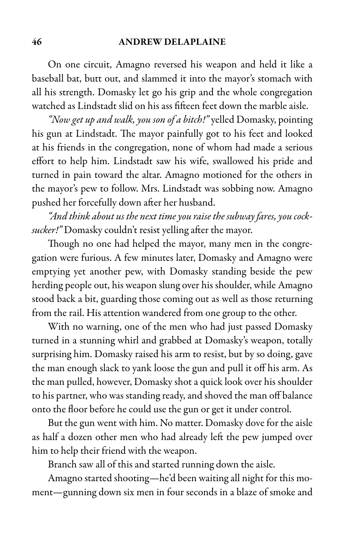On one circuit, Amagno reversed his weapon and held it like a baseball bat, butt out, and slammed it into the mayor's stomach with all his strength. Domasky let go his grip and the whole congregation watched as Lindstadt slid on his ass fifteen feet down the marble aisle.

"Now get up and walk, you son of a bitch!" yelled Domasky, pointing his gun at Lindstadt. The mayor painfully got to his feet and looked at his friends in the congregation, none of whom had made a serious effort to help him. Lindstadt saw his wife, swallowed his pride and turned in pain toward the altar. Amagno motioned for the others in the mayor's pew to follow. Mrs. Lindstadt was sobbing now. Amagno pushed her forcefully down after her husband.

"And think about us the next time you raise the subway fares, you cocksucker!" Domasky couldn't resist yelling after the mayor.

Though no one had helped the mayor, many men in the congregation were furious. A few minutes later, Domasky and Amagno were emptying yet another pew, with Domasky standing beside the pew herding people out, his weapon slung over his shoulder, while Amagno stood back a bit, guarding those coming out as well as those returning from the rail. His attention wandered from one group to the other.

With no warning, one of the men who had just passed Domasky turned in a stunning whirl and grabbed at Domasky's weapon, totally surprising him. Domasky raised his arm to resist, but by so doing, gave the man enough slack to yank loose the gun and pull it off his arm. As the man pulled, however, Domasky shot a quick look over his shoulder to his partner, who was standing ready, and shoved the man off balance onto the floor before he could use the gun or get it under control.

But the gun went with him. No matter. Domasky dove for the aisle as half a dozen other men who had already left the pew jumped over him to help their friend with the weapon.

Branch saw all of this and started running down the aisle.

Amagno started shooting—he'd been waiting all night for this moment—gunning down six men in four seconds in a blaze of smoke and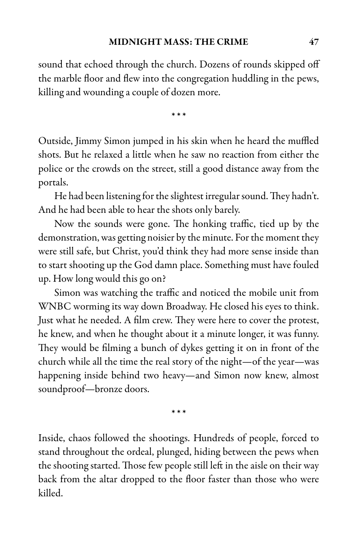sound that echoed through the church. Dozens of rounds skipped off the marble floor and flew into the congregation huddling in the pews, killing and wounding a couple of dozen more.

\* \* \*

Outside, Jimmy Simon jumped in his skin when he heard the muffled shots. But he relaxed a little when he saw no reaction from either the police or the crowds on the street, still a good distance away from the portals.

He had been listening for the slightest irregular sound. They hadn't. And he had been able to hear the shots only barely.

Now the sounds were gone. The honking traffic, tied up by the demonstration, was getting noisier by the minute. For the moment they were still safe, but Christ, you'd think they had more sense inside than to start shooting up the God damn place. Something must have fouled up. How long would this go on?

Simon was watching the traffic and noticed the mobile unit from WNBC worming its way down Broadway. He closed his eyes to think. Just what he needed. A film crew. They were here to cover the protest, he knew, and when he thought about it a minute longer, it was funny. They would be filming a bunch of dykes getting it on in front of the church while all the time the real story of the night—of the year—was happening inside behind two heavy—and Simon now knew, almost soundproof—bronze doors.

\* \* \*

Inside, chaos followed the shootings. Hundreds of people, forced to stand throughout the ordeal, plunged, hiding between the pews when the shooting started. Those few people still left in the aisle on their way back from the altar dropped to the floor faster than those who were killed.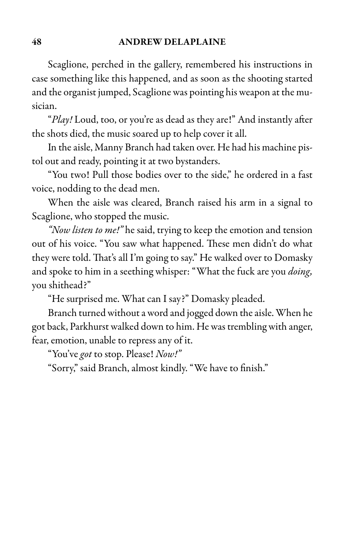Scaglione, perched in the gallery, remembered his instructions in case something like this happened, and as soon as the shooting started and the organist jumped, Scaglione was pointing his weapon at the musician.

"Play! Loud, too, or you're as dead as they are!" And instantly after the shots died, the music soared up to help cover it all.

In the aisle, Manny Branch had taken over. He had his machine pistol out and ready, pointing it at two bystanders.

"You two! Pull those bodies over to the side," he ordered in a fast voice, nodding to the dead men.

When the aisle was cleared, Branch raised his arm in a signal to Scaglione, who stopped the music.

"Now listen to me!" he said, trying to keep the emotion and tension out of his voice. "You saw what happened. These men didn't do what they were told. That's all I'm going to say." He walked over to Domasky and spoke to him in a seething whisper: "What the fuck are you *doing*, you shithead?"

"He surprised me. What can I say?" Domasky pleaded.

Branch turned without a word and jogged down the aisle. When he got back, Parkhurst walked down to him. He was trembling with anger, fear, emotion, unable to repress any of it.

"You've got to stop. Please! Now!"

"Sorry," said Branch, almost kindly. "We have to finish."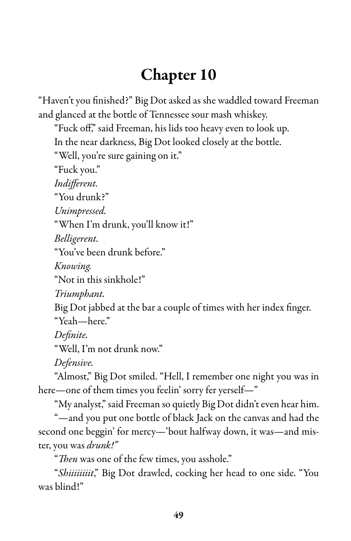# Chapter 10

"Haven't you finished?" Big Dot asked as she waddled toward Freeman and glanced at the bottle of Tennessee sour mash whiskey.

"Fuck off," said Freeman, his lids too heavy even to look up. In the near darkness, Big Dot looked closely at the bottle.

"Well, you're sure gaining on it."

"Fuck you."

Indifferent.

"You drunk?"

Unimpressed.

"When I'm drunk, you'll know it!"

Belligerent.

"You've been drunk before."

Knowing.

"Not in this sinkhole!"

Triumphant.

Big Dot jabbed at the bar a couple of times with her index finger. "Yeah—here."

Definite.

"Well, I'm not drunk now."

Defensive.

"Almost," Big Dot smiled. "Hell, I remember one night you was in here—one of them times you feelin' sorry fer yerself—"

"My analyst," said Freeman so quietly Big Dot didn't even hear him.

"—and you put one bottle of black Jack on the canvas and had the second one beggin' for mercy—'bout halfway down, it was—and mister, you was drunk!"

"Then was one of the few times, you asshole."

"Shiiiiiiiit," Big Dot drawled, cocking her head to one side. "You was blind!"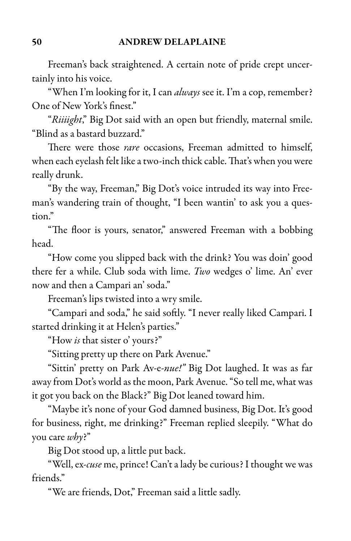Freeman's back straightened. A certain note of pride crept uncertainly into his voice.

"When I'm looking for it, I can *always* see it. I'm a cop, remember? One of New York's finest."

"Riiiight," Big Dot said with an open but friendly, maternal smile. "Blind as a bastard buzzard."

There were those rare occasions, Freeman admitted to himself, when each eyelash felt like a two-inch thick cable. That's when you were really drunk.

"By the way, Freeman," Big Dot's voice intruded its way into Freeman's wandering train of thought, "I been wantin' to ask you a question."

"The floor is yours, senator," answered Freeman with a bobbing head.

"How come you slipped back with the drink? You was doin' good there fer a while. Club soda with lime. Two wedges o' lime. An' ever now and then a Campari an' soda."

Freeman's lips twisted into a wry smile.

"Campari and soda," he said softly. "I never really liked Campari. I started drinking it at Helen's parties."

"How *is* that sister o' yours?"

"Sitting pretty up there on Park Avenue."

"Sittin' pretty on Park Av-e-nue!" Big Dot laughed. It was as far away from Dot's world as the moon, Park Avenue."So tell me, what was it got you back on the Black?" Big Dot leaned toward him.

"Maybe it's none of your God damned business, Big Dot. It's good for business, right, me drinking?" Freeman replied sleepily. "What do you care why?"

Big Dot stood up, a little put back.

"Well, ex-cuse me, prince! Can't a lady be curious? I thought we was friends."

"We are friends, Dot," Freeman said a little sadly.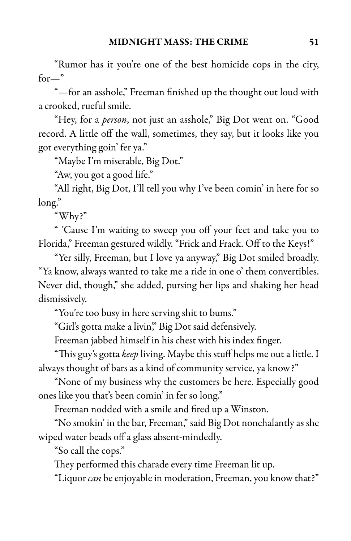"Rumor has it you're one of the best homicide cops in the city, for—"

"—for an asshole," Freeman finished up the thought out loud with a crooked, rueful smile.

"Hey, for a *person*, not just an asshole," Big Dot went on. "Good record. A little off the wall, sometimes, they say, but it looks like you got everything goin' fer ya."

"Maybe I'm miserable, Big Dot."

"Aw, you got a good life."

"All right, Big Dot, I'll tell you why I've been comin' in here for so long."

"Why?"

" 'Cause I'm waiting to sweep you off your feet and take you to Florida," Freeman gestured wildly. "Frick and Frack. Off to the Keys!"

"Yer silly, Freeman, but I love ya anyway," Big Dot smiled broadly. "Ya know, always wanted to take me a ride in one o' them convertibles. Never did, though," she added, pursing her lips and shaking her head dismissively.

"You're too busy in here serving shit to bums."

"Girl's gotta make a livin," Big Dot said defensively.

Freeman jabbed himself in his chest with his index finger.

"This guy's gotta keep living. Maybe this stuff helps me out a little. I always thought of bars as a kind of community service, ya know?"

"None of my business why the customers be here. Especially good ones like you that's been comin' in fer so long."

Freeman nodded with a smile and fired up a Winston.

"No smokin' in the bar, Freeman," said Big Dot nonchalantly as she wiped water beads off a glass absent-mindedly.

"So call the cops."

They performed this charade every time Freeman lit up.

"Liquor can be enjoyable in moderation, Freeman, you know that?"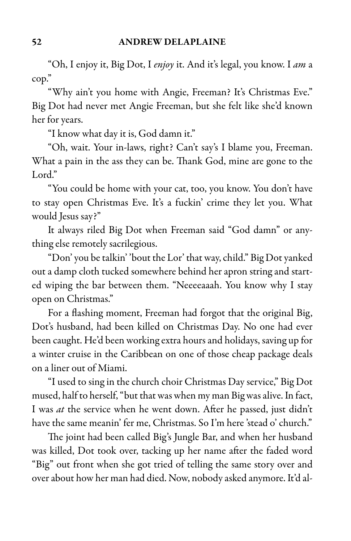"Oh, I enjoy it, Big Dot, I enjoy it. And it's legal, you know. I am a cop."

"Why ain't you home with Angie, Freeman? It's Christmas Eve." Big Dot had never met Angie Freeman, but she felt like she'd known her for years.

"I know what day it is, God damn it."

"Oh, wait. Your in-laws, right? Can't say's I blame you, Freeman. What a pain in the ass they can be. Thank God, mine are gone to the Lord."

"You could be home with your cat, too, you know. You don't have to stay open Christmas Eve. It's a fuckin' crime they let you. What would Jesus say?"

It always riled Big Dot when Freeman said "God damn" or anything else remotely sacrilegious.

"Don' you be talkin' 'bout the Lor' that way, child." Big Dot yanked out a damp cloth tucked somewhere behind her apron string and started wiping the bar between them. "Neeeeaaah. You know why I stay open on Christmas."

For a flashing moment, Freeman had forgot that the original Big, Dot's husband, had been killed on Christmas Day. No one had ever been caught. He'd been working extra hours and holidays, saving up for a winter cruise in the Caribbean on one of those cheap package deals on a liner out of Miami.

"I used to sing in the church choir Christmas Day service," Big Dot mused, half to herself, "but that was when my man Big was alive. In fact, I was *at* the service when he went down. After he passed, just didn't have the same meanin' fer me, Christmas. So I'm here 'stead o' church."

The joint had been called Big's Jungle Bar, and when her husband was killed, Dot took over, tacking up her name after the faded word "Big" out front when she got tried of telling the same story over and overabout how her man had died. Now, nobody asked anymore. It'd al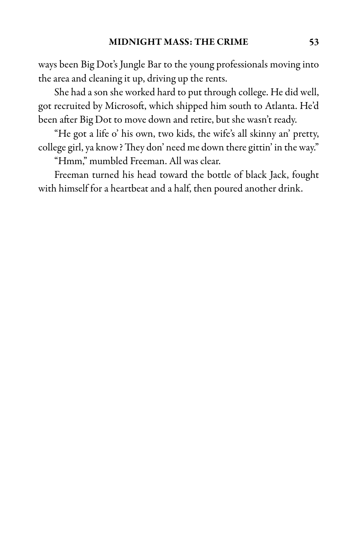ways been Big Dot's Jungle Bar to the young professionals moving into the area and cleaning it up, driving up the rents.

She had ason she worked hard to put through college. He did well, got recruited by Microsoft, which shipped him south to Atlanta. He'd been after Big Dot to move down and retire, but she wasn't ready.

"He got a life o' his own, two kids, the wife's all skinny an' pretty, college girl, ya know?They don' need me down there gittin' in the way."

"Hmm," mumbled Freeman. All was clear.

Freeman turned his head toward the bottle of black Jack, fought with himself for a heartbeat and a half, then poured another drink.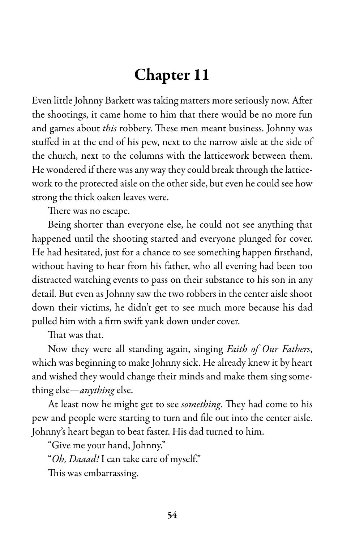# Chapter 11

Even little Johnny Barkett was taking matters more seriously now. After the shootings, it came home to him that there would be no more fun and games about *this* robbery. These men meant business. Johnny was stuffed in at the end of his pew, next to the narrow aisle at the side of the church, next to the columns with the latticework between them. He wondered if there was any way they could break through the latticework to the protected aisle on the other side, but even he could see how strong the thick oaken leaves were.

There was no escape.

Being shorter than everyone else, he could not see anything that happened until the shooting started and everyone plunged for cover. He had hesitated, just for a chance to see something happen firsthand, without having to hear from his father, who all evening had been too distracted watching events to pass on their substance to his son in any detail. But even as Johnny saw the two robbers in the center aisle shoot down their victims, he didn't get to see much more because his dad pulled him with a firm swift yank down under cover.

That was that.

Now they were all standing again, singing *Faith of Our Fathers*, which was beginning to make Johnny sick. He already knew it by heart and wished they would change their minds and make them sing something else—anything else.

At least now he might get to see *something*. They had come to his pew and people were starting to turn and file out into the center aisle. Johnny's heart began to beat faster. His dad turned to him.

"Give me your hand, Johnny."

"Oh, Daaad! I can take care of myself."

This was embarrassing.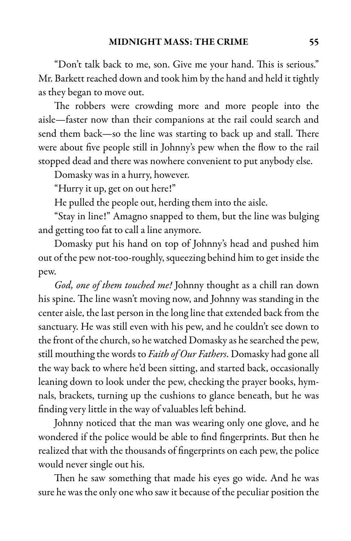"Don't talk back to me, son. Give me your hand. This is serious." Mr. Barkett reached down and took him by the hand and held it tightly as they began to move out.

The robbers were crowding more and more people into the aisle—faster now than their companions at the rail could search and send them back—so the line was starting to back up and stall. There were about five people still in Johnny's pew when the flow to the rail stopped dead and there was nowhere convenient to put anybody else.

Domasky was in a hurry, however.

"Hurry it up, get on out here!"

He pulled the people out, herding them into the aisle.

"Stay in line!" Amagno snapped to them, but the line was bulging and getting too fat to call a line anymore.

Domasky put his hand on top of Johnny's head and pushed him out of the pew not-too-roughly, squeezing behind him to get inside the pew.

God, one of them touched me! Johnny thought as a chill ran down his spine. The line wasn't moving now, and Johnny was standing in the center aisle, the last person in the long line that extended back from the sanctuary. He was still even with his pew, and he couldn't see down to the front of the church, so he watched Domasky as he searched the pew, still mouthing the words to Faith of Our Fathers. Domasky had gone all the way back to where he'd been sitting, and started back, occasionally leaning down to look under the pew, checking the prayer books, hymnals, brackets, turning up the cushions to glance beneath, but he was finding very little in the way of valuables left behind.

Johnny noticed that the man was wearing only one glove, and he wondered if the police would be able to find fingerprints. But then he realized that with the thousands of fingerprints on each pew, the police would never single out his.

Then he saw something that made his eyes go wide. And he was sure he was the only one who saw it because of the peculiar position the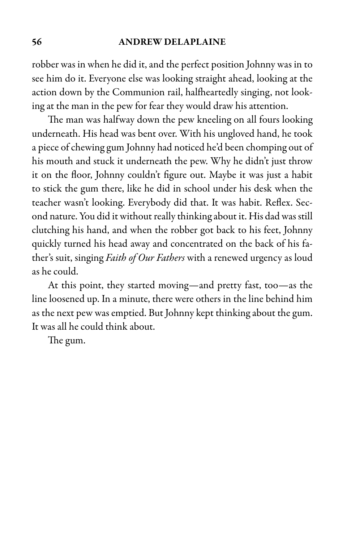#### 56 ANDREW DELAPLAINE

robber was in when he did it, and the perfect position Johnny was in to see him do it. Everyone else was looking straight ahead, looking at the action down by the Communion rail, halfheartedly singing, not looking at the man in the pew for fear they would draw his attention.

The man was halfway down the pew kneeling on all fours looking underneath. His head was bent over. With his ungloved hand, he took a piece of chewing gum Johnny had noticed he'd been chomping out of his mouth and stuck it underneath the pew. Why he didn't just throw it on the floor, Johnny couldn't figure out. Maybe it was just a habit to stick the gum there, like he did in school under his desk when the teacher wasn't looking. Everybody did that. It was habit. Reflex. Second nature. You did it without really thinking about it. His dad was still clutching his hand, and when the robber got back to his feet, Johnny quickly turned his head away and concentrated on the back of his father's suit, singing Faith of Our Fathers with a renewed urgency as loud as he could.

At this point, they started moving—and pretty fast, too—as the line loosened up. In a minute, there were others in the line behind him as the next pew was emptied. But Johnny kept thinking about the gum. It was all he could think about.

The gum.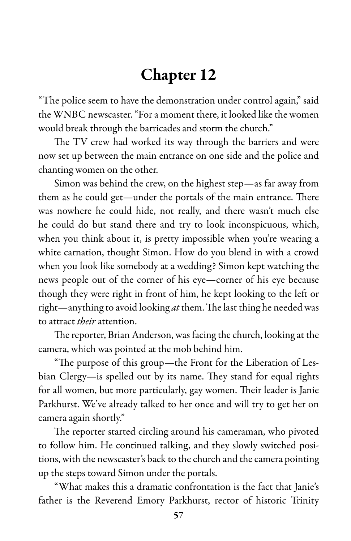## Chapter 12

"The police seem to have the demonstration under control again," said the WNBC newscaster. "For a moment there, it looked like the women would break through the barricades and storm the church."

The TV crew had worked its way through the barriers and were now set up between the main entrance on one side and the police and chanting women on the other.

Simon was behind the crew, on the highest step—as far away from them as he could get—under the portals of the main entrance. There was nowhere he could hide, not really, and there wasn't much else he could do but stand there and try to look inconspicuous, which, when you think about it, is pretty impossible when you're wearing a white carnation, thought Simon. How do you blend in with a crowd when you look like somebody at a wedding? Simon kept watching the news people out of the corner of his eye—corner of his eye because though they were right in front of him, he kept looking to the left or right—anything to avoid looking  $at$  them. The last thing he needed was to attract *their* attention.

The reporter, Brian Anderson, was facing the church, looking at the camera, which was pointed at the mob behind him.

"The purpose of this group—the Front for the Liberation of Lesbian Clergy—is spelled out by its name. They stand for equal rights for all women, but more particularly, gay women. Their leader is Janie Parkhurst. We've already talked to her once and will try to get her on camera again shortly."

The reporter started circling around his cameraman, who pivoted to follow him. He continued talking, and they slowly switched positions, with the newscaster's back to the church and the camera pointing up the steps toward Simon under the portals.

"What makes this a dramatic confrontation is the fact that Janie's father is the Reverend Emory Parkhurst, rector of historic Trinity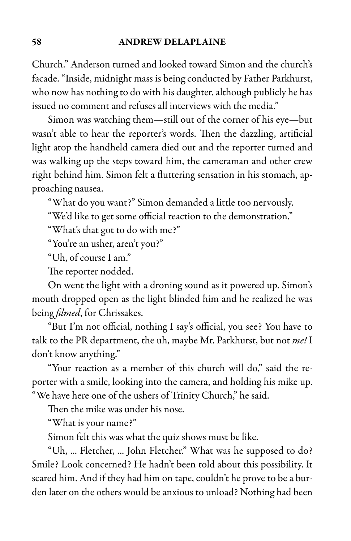### 58 ANDREW DELAPLAINE

Church." Anderson turned and looked toward Simon and the church's facade. "Inside, midnight mass is being conducted by Father Parkhurst, who now has nothing to do with his daughter, although publicly he has issued no comment and refuses all interviews with the media."

Simon was watching them—still out of the corner of his eye—but wasn't able to hear the reporter's words. Then the dazzling, artificial light atop the handheld camera died out and the reporter turned and was walking up the steps toward him, the cameraman and other crew right behind him. Simon felt a fluttering sensation in his stomach, approaching nausea.

"What do you want?" Simon demanded a little too nervously.

"We'd like to get some official reaction to the demonstration."

"What's that got to do with me?"

"You're an usher, aren't you?"

"Uh, of course I am."

The reporter nodded.

On went the light with a droning sound as it powered up. Simon's mouth dropped open as the light blinded him and he realized he was being *filmed*, for Chrissakes.

"But I'm not official, nothing I say's official, you see? You have to talk to the PR department, the uh, maybe Mr. Parkhurst, but not me! I don't know anything."

"Your reaction as a member of this church will do," said the reporter with a smile, looking into the camera, and holding his mike up. "We have here one of the ushers of Trinity Church," he said.

Then the mike was under his nose.

"What is your name?"

Simon felt this was what the quiz shows must be like.

"Uh, ... Fletcher, ... John Fletcher." What was he supposed to do? Smile? Look concerned? He hadn't been told about this possibility. It scared him. And if they had him on tape, couldn't he prove to be a burden later on the others would be anxious to unload? Nothing had been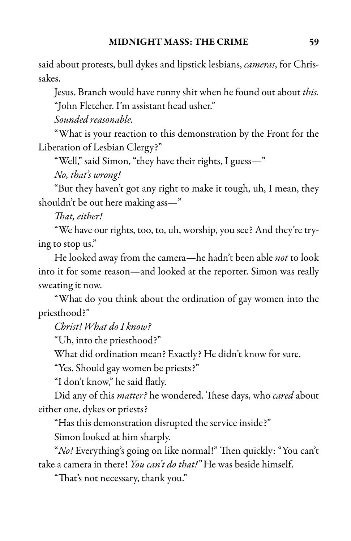said about protests, bull dykes and lipstick lesbians, *cameras*, for Chrissakes.

Jesus. Branch would have runny shit when he found out about this.

"John Fletcher. I'm assistant head usher."

Sounded reasonable.

"What is your reaction to this demonstration by the Front for the Liberation of Lesbian Clergy?"

"Well," said Simon, "they have their rights, I guess—"

No, that's wrong!

"But they haven't got any right to make it tough, uh, I mean, they shouldn't be out here making ass—"

That, either!

"We have our rights, too, to, uh, worship, you see? And they're trying to stop us."

He looked away from the camera—he hadn't been able not to look into it for some reason—and looked at the reporter. Simon was really sweating it now.

"What do you think about the ordination of gay women into the priesthood?"

Christ! What do I know?

"Uh, into the priesthood?"

What did ordination mean? Exactly? He didn't know for sure.

"Yes. Should gay women be priests?"

"I don't know," he said flatly.

Did any of this *matter?* he wondered. These days, who *cared* about either one, dykes or priests?

"Has this demonstration disrupted the service inside?"

Simon looked at him sharply.

"No! Everything's going on like normal!" Then quickly: "You can't take a camera in there! *You can't do that!*" He was beside himself.

"That's not necessary, thank you."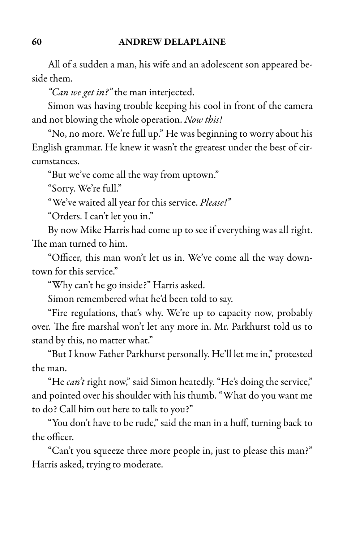All of a sudden a man, his wife and an adolescent son appeared beside them.

"Can we get in?" the man interjected.

Simon was having trouble keeping his cool in front of the camera and not blowing the whole operation. Now this!

"No, no more. We're full up." He was beginning to worry about his English grammar. He knew it wasn't the greatest under the best of circumstances.

"But we've come all the way from uptown."

"Sorry. We're full."

"We've waited all year for this service. Please!"

"Orders. I can't let you in."

By now Mike Harris had come up to see if everything was all right. The man turned to him.

"Officer, this man won't let us in. We've come all the way downtown for this service."

"Why can't he go inside?" Harris asked.

Simon remembered what he'd been told to say.

"Fire regulations, that's why. We're up to capacity now, probably over. The fire marshal won't let any more in. Mr. Parkhurst told us to stand by this, no matter what."

"But I know Father Parkhurst personally. He'll let me in," protested the man.

"He can't right now," said Simon heatedly. "He's doing the service," and pointed over his shoulder with his thumb. "What do you want me to do? Call him out here to talk to you?"

"You don't have to be rude," said the man in a huff, turning back to the officer.

"Can't you squeeze three more people in, just to please this man?" Harris asked, trying to moderate.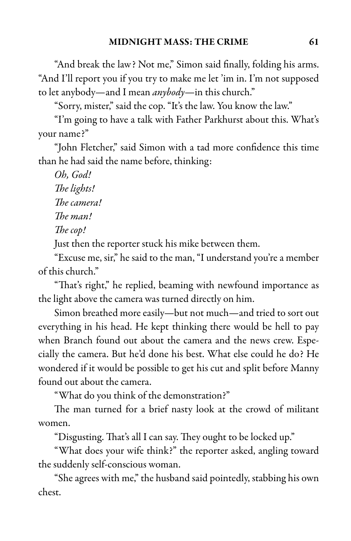"And break the law? Not me," Simon said finally, folding his arms. "And I'll report you if you try to make me let 'im in. I'm not supposed to let anybody—and I mean *anybody*—in this church."

"Sorry, mister," said the cop. "It's the law. You know the law."

"I'm going to have a talk with Father Parkhurst about this. What's your name?"

"John Fletcher," said Simon with a tad more confidence this time than he had said the name before, thinking:

Oh, God! The lights! The camera! The man! The cop! Just then the reporter stuck his mike between them.

"Excuse me, sir," he said to the man, "I understand you're a member of this church."

"That's right," he replied, beaming with newfound importance as the light above the camera was turned directly on him.

Simon breathed more easily—but not much—and tried to sort out everything in his head. He kept thinking there would be hell to pay when Branch found out about the camera and the news crew. Especially the camera. But he'd done his best. What else could he do? He wondered if it would be possible to get his cut and split before Manny found out about the camera.

"What do you think of the demonstration?"

The man turned for a brief nasty look at the crowd of militant women.

"Disgusting. That's all I can say. They ought to be locked up."

"What does your wife think?" the reporter asked, angling toward the suddenly self-conscious woman.

"She agrees with me," the husband said pointedly, stabbing his own chest.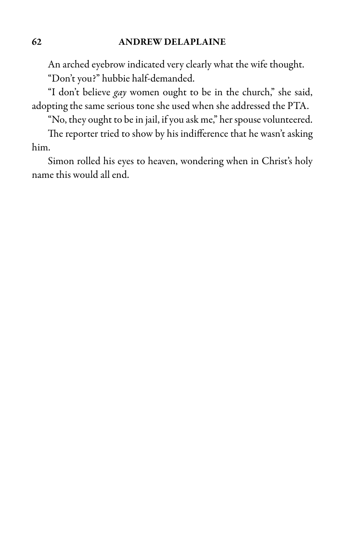An arched eyebrow indicated very clearly what the wife thought. "Don't you?" hubbie half-demanded.

"I don't believe gay women ought to be in the church," she said, adopting the same serious tone she used when she addressed the PTA.

"No, they ought to be in jail, if you ask me," her spouse volunteered.

The reporter tried to show by his indifference that he wasn't asking him.

Simon rolled his eyes to heaven, wondering when in Christ's holy name this would all end.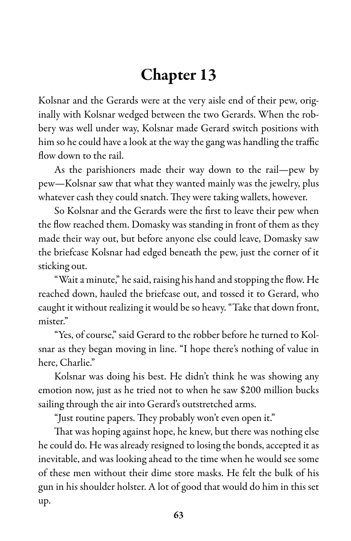# Chapter 13

Kolsnar and the Gerards were at the very aisle end of their pew, originally with Kolsnar wedged between the two Gerards. When the robbery was well under way, Kolsnar made Gerard switch positions with him so he could have a look at the way the gang was handling the traffic flow down to the rail.

As the parishioners made their way down to the rail—pew by pew—Kolsnar saw that what they wanted mainly was the jewelry, plus whatever cash they could snatch. They were taking wallets, however.

So Kolsnar and the Gerards were the first to leave their pew when the flow reached them. Domasky was standing in front of them as they made their way out, but before anyone else could leave, Domasky saw the briefcase Kolsnar had edged beneath the pew, just the corner of it sticking out.

"Waita minute," hesaid, raising his hand and stopping the flow. He reached down, hauled the briefcase out, and tossed it to Gerard, who caught it without realizing it would be so heavy. "Take that down front, mister."

"Yes, of course," said Gerard to the robber before he turned to Kolsnar as they began moving in line. "I hope there's nothing of value in here, Charlie."

Kolsnar was doing his best. He didn't think he was showing any emotion now, just as he tried not to when he saw \$200 million bucks sailing through the air into Gerard's outstretched arms.

"Just routine papers. They probably won't even open it."

That was hoping against hope, he knew, but there was nothing else he could do. He was already resigned to losing the bonds, accepted it as inevitable, and was looking ahead to the time when he would see some of these men without their dime store masks. He felt the bulk of his gun in his shoulder holster. A lot of good that would do him in this set up.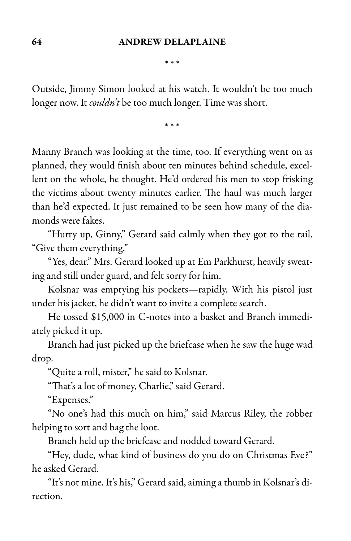\* \* \*

Outside, Jimmy Simon looked at his watch. It wouldn't be too much longer now. It *couldn't* be too much longer. Time was short.

\* \* \*

Manny Branch was looking at the time, too. If everything went on as planned, they would finish about ten minutes behind schedule, excellent on the whole, he thought. He'd ordered his men to stop frisking the victims about twenty minutes earlier. The haul was much larger than he'd expected. It just remained to be seen how many of the diamonds were fakes.

"Hurry up, Ginny," Gerard said calmly when they got to the rail. "Give them everything."

"Yes, dear." Mrs. Gerard looked up at Em Parkhurst, heavily sweating and still under guard, and felt sorry for him.

Kolsnar was emptying his pockets—rapidly. With his pistol just under his jacket, he didn't want to invite a complete search.

He tossed \$15,000 in C-notes into a basket and Branch immediately picked it up.

Branch had just picked up the briefcase when he saw the huge wad drop.

"Quite a roll, mister," he said to Kolsnar.

"That's a lot of money, Charlie," said Gerard.

"Expenses."

"No one's had this much on him," said Marcus Riley, the robber helping to sort and bag the loot.

Branch held up the briefcase and nodded toward Gerard.

"Hey, dude, what kind of business do you do on Christmas Eve?" he asked Gerard.

"It's not mine. It's his," Gerard said,aiming athumb in Kolsnar's direction.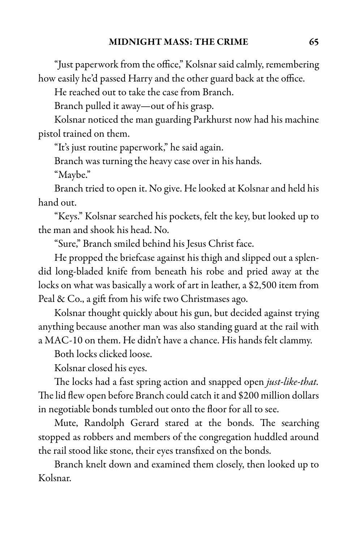"Just paperwork from the office," Kolsnar said calmly, remembering how easily he'd passed Harry and the other guard back at the office.

He reached out to take the case from Branch.

Branch pulled it away—out of his grasp.

Kolsnar noticed the man guarding Parkhurst now had his machine pistol trained on them.

"It's just routine paperwork," he said again.

Branch was turning the heavy case over in his hands.

"Maybe."

Branch tried to open it. No give. He looked at Kolsnar and held his hand out.

"Keys." Kolsnar searched his pockets, felt the key, but looked up to the man and shook his head. No.

"Sure," Branch smiled behind his Jesus Christ face.

He propped the briefcase against his thigh and slipped out a splendid long-bladed knife from beneath his robe and pried away at the locks on what was basically a work of art in leather, a \$2,500 item from Peal & Co., a gift from his wife two Christmases ago.

Kolsnar thought quickly about his gun, but decided against trying anything because another man was also standing guard at the rail with a MAC-10 on them. He didn't have a chance. His hands felt clammy.

Both locks clicked loose.

Kolsnar closed his eyes.

The locks had a fast spring action and snapped open just-like-that. The lid flew open before Branch could catch it and \$200 million dollars in negotiable bonds tumbled out onto the floor for all to see.

Mute, Randolph Gerard stared at the bonds. The searching stopped as robbers and members of the congregation huddled around the rail stood like stone, their eyes transfixed on the bonds.

Branch knelt down and examined them closely, then looked up to Kolsnar.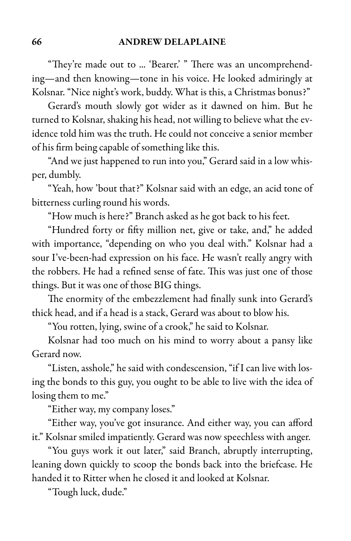"They're made out to ... 'Bearer.' " There was an uncomprehending—and then knowing—tone in his voice. He looked admiringly at Kolsnar. "Nice night's work, buddy. What is this, a Christmas bonus?"

Gerard's mouth slowly got wider as it dawned on him. But he turned to Kolsnar, shaking his head, not willing to believe what the evidence told him was the truth. He could not conceive a senior member of his firm being capable of something like this.

"And we just happened to run into you," Gerard said in a low whisper, dumbly.

"Yeah, how 'bout that?" Kolsnar said with an edge, an acid tone of bitterness curling round his words.

"How much is here?" Branch asked as he got back to his feet.

"Hundred forty or fifty million net, give or take, and," he added with importance, "depending on who you deal with." Kolsnar had a sour I've-been-had expression on his face. He wasn't really angry with the robbers. He had a refined sense of fate. This was just one of those things. But it was one of those BIG things.

The enormity of the embezzlement had finally sunk into Gerard's thick head, and if a head is a stack, Gerard was about to blow his.

"You rotten, lying, swine of a crook," he said to Kolsnar.

Kolsnar had too much on his mind to worry about a pansy like Gerard now.

"Listen, asshole," he said with condescension, "if I can live with losing the bonds to this guy, you ought to be able to live with the idea of losing them to me."

"Either way, my company loses."

"Either way, you've got insurance. And either way, you can afford it." Kolsnar smiled impatiently. Gerard was now speechless with anger.

"You guys work it out later," said Branch, abruptly interrupting, leaning down quickly to scoop the bonds back into the briefcase. He handed it to Ritter when he closed it and looked at Kolsnar.

"Tough luck, dude."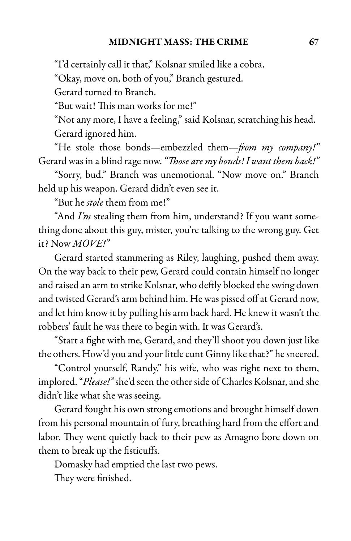"I'd certainly call it that," Kolsnar smiled like a cobra.

"Okay, move on, both of you," Branch gestured.

Gerard turned to Branch.

"But wait! This man works for me!"

"Not any more, I have a feeling," said Kolsnar, scratching his head. Gerard ignored him.

"He stole those bonds—embezzled them—from my company!" Gerard was in a blind rage now. "Those are my bonds! I want them back!"

"Sorry, bud." Branch was unemotional. "Now move on." Branch held up his weapon. Gerard didn't even see it.

"But he stole them from me!"

"And  $\limsup$  stealing them from him, understand? If you want something done about this guy, mister, you're talking to the wrong guy. Get it? Now  $MOVE!$ "

Gerard started stammering as Riley, laughing, pushed them away. On the way back to their pew, Gerard could contain himself no longer and raised an arm to strike Kolsnar, who deftly blocked the swing down and twisted Gerard's arm behind him. He was pissed off at Gerard now, and let him know it by pulling his arm back hard. He knew it wasn't the robbers' fault he was there to begin with. It was Gerard's.

"Start a fight with me, Gerard, and they'll shoot you down just like the others. How'd you and your little cunt Ginny like that?" he sneered.

"Control yourself, Randy," his wife, who was right next to them, implored. "Please!" she'd seen the other side of Charles Kolsnar, and she didn't like what she was seeing.

Gerard fought his own strong emotions and brought himself down from his personal mountain of fury, breathing hard from the effort and labor. They went quietly back to their pew as Amagno bore down on them to break up the fisticuffs.

Domasky had emptied the last two pews.

They were finished.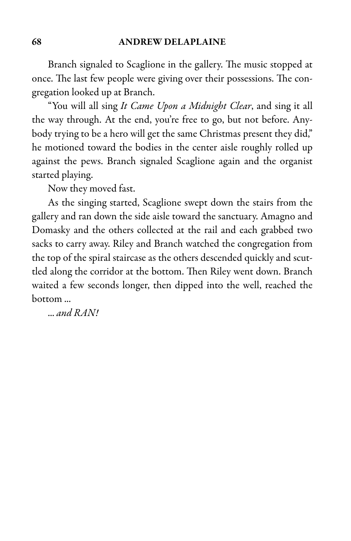### 68 ANDREW DELAPLAINE

Branch signaled to Scaglione in the gallery. The music stopped at once. The last few people were giving over their possessions. The congregation looked up at Branch.

"You will all sing It Came Upon a Midnight Clear, and sing it all the way through. At the end, you're free to go, but not before. Anybody trying to be a hero will get the same Christmas present they did," he motioned toward the bodies in the center aisle roughly rolled up against the pews. Branch signaled Scaglione again and the organist started playing.

Now they moved fast.

As the singing started, Scaglione swept down the stairs from the gallery and ran down the side aisle toward the sanctuary. Amagno and Domasky and the others collected at the rail and each grabbed two sacks to carry away. Riley and Branch watched the congregation from the top of the spiral staircase as the others descended quickly and scuttled along the corridor at the bottom. Then Riley went down. Branch waited a few seconds longer, then dipped into the well, reached the bottom ...

... and RAN!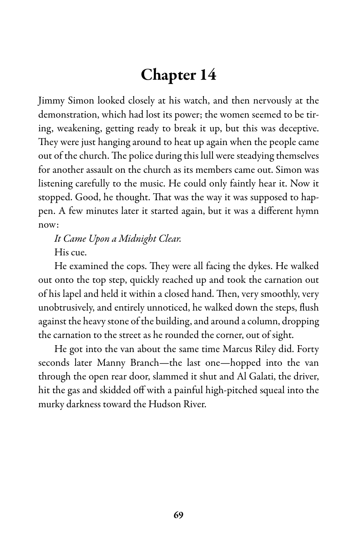# Chapter 14

Jimmy Simon looked closely at his watch, and then nervously at the demonstration, which had lost its power; the women seemed to be tiring, weakening, getting ready to break it up, but this was deceptive. They were just hanging around to heat up again when the people came out of the church. The police during this lull were steadying themselves for another assault on the church as its members came out. Simon was listening carefully to the music. He could only faintly hear it. Now it stopped. Good, he thought. That was the way it was supposed to happen. A few minutes later it started again, but it was a different hymn now:

It Came Upon a Midnight Clear. His cue.

He examined the cops. They were all facing the dykes. He walked out onto the top step, quickly reached up and took the carnation out of his lapel and held it within a closed hand. Then, very smoothly, very unobtrusively, and entirely unnoticed, he walked down the steps, flush against the heavy stone of the building, and around a column, dropping the carnation to the street as he rounded the corner, out of sight.

He got into the van about the same time Marcus Riley did. Forty seconds later Manny Branch—the last one—hopped into the van through the open rear door, slammed it shut and Al Galati, the driver, hit the gas and skidded off with a painful high-pitched squeal into the murky darkness toward the Hudson River.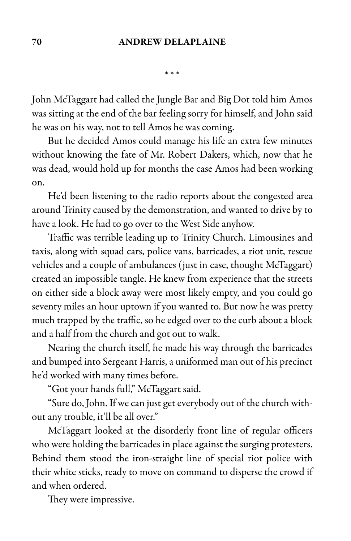\* \* \*

John McTaggart had called the Jungle Bar and Big Dot told him Amos was sitting at the end of the bar feeling sorry for himself, and John said he was on his way, not to tell Amos he was coming.

But he decided Amos could manage his life an extra few minutes without knowing the fate of Mr. Robert Dakers, which, now that he was dead, would hold up for months the case Amos had been working on.

He'd been listening to the radio reports about the congested area around Trinity caused by the demonstration, and wanted to drive by to have a look. He had to go over to the West Side anyhow.

Traffic was terrible leading up to Trinity Church. Limousines and taxis, along with squad cars, police vans, barricades, a riot unit, rescue vehicles and a couple of ambulances (just in case, thought McTaggart) created an impossible tangle. He knew from experience that the streets on either side a block away were most likely empty, and you could go seventy miles an hour uptown if you wanted to. But now he was pretty much trapped by the traffic, so he edged over to the curb about a block and a half from the church and got out to walk.

Nearing the church itself, he made his way through the barricades and bumped into Sergeant Harris, a uniformed man out of his precinct he'd worked with many times before.

"Got your hands full," McTaggart said.

"Sure do, John. If we can just get everybody out of the church without any trouble, it'll be all over."

McTaggart looked at the disorderly front line of regular officers who were holding the barricades in place against the surging protesters. Behind them stood the iron-straight line of special riot police with their white sticks, ready to move on command to disperse the crowd if and when ordered.

They were impressive.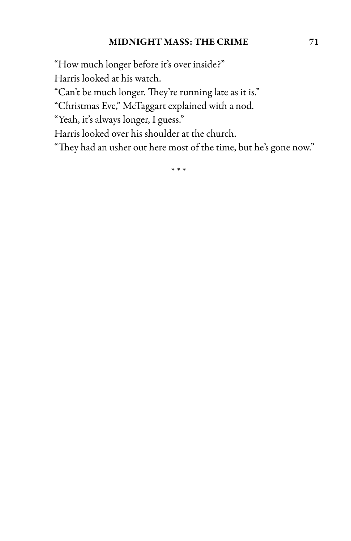### MIDNIGHT MASS: THE CRIME 71

"How much longer before it's over inside?"

Harris looked at his watch.

"Can't be much longer. They're running late as it is."

"Christmas Eve," McTaggart explained with a nod.

"Yeah, it's always longer, I guess."

Harris looked over his shoulder at the church.

"They had an usher out here most of the time, but he's gone now."

\* \* \*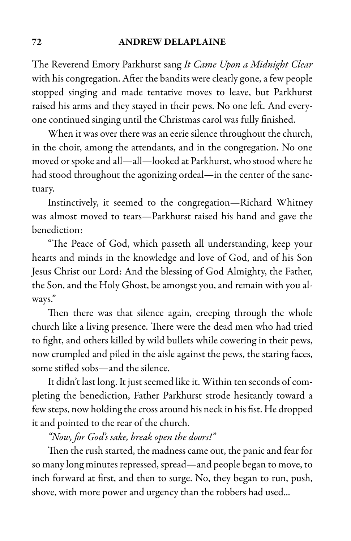The Reverend Emory Parkhurst sang It Came Upon a Midnight Clear with his congregation. After the bandits were clearly gone, a few people stopped singing and made tentative moves to leave, but Parkhurst raised his arms and they stayed in their pews. No one left. And everyone continued singing until the Christmas carol was fully finished.

When it was over there was an eerie silence throughout the church, in the choir, among the attendants, and in the congregation. No one moved or spoke and all—all—looked at Parkhurst, who stood where he had stood throughout the agonizing ordeal—in the center of the sanctuary.

Instinctively, it seemed to the congregation—Richard Whitney was almost moved to tears—Parkhurst raised his hand and gave the benediction:

"The Peace of God, which passeth all understanding, keep your hearts and minds in the knowledge and love of God, and of his Son Jesus Christ our Lord: And the blessing of God Almighty, the Father, the Son, and the Holy Ghost, be amongst you, and remain with you always."

Then there was that silence again, creeping through the whole church like a living presence. There were the dead men who had tried to fight, and others killed by wild bullets while cowering in their pews, now crumpled and piled in the aisle against the pews, the staring faces, some stifled sobs—and the silence.

It didn't last long. It just seemed like it. Within ten seconds of completing the benediction, Father Parkhurst strode hesitantly toward a few steps, now holding the cross around his neck in his fist. He dropped it and pointed to the rear of the church.

## "Now, for God's sake, break open the doors!"

Then the rush started, the madness came out, the panic and fear for so many long minutes repressed, spread—and people began to move, to inch forward at first, and then to surge. No, they began to run, push, shove, with more power and urgency than the robbers had used...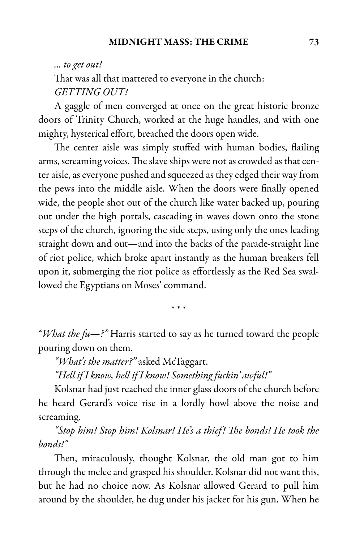### ... to get out!

That was all that mattered to everyone in the church: GETTING OUT!

A gaggle of men converged at once on the great historic bronze doors of Trinity Church, worked at the huge handles, and with one mighty, hysterical effort, breached the doors open wide.

The center aisle was simply stuffed with human bodies, flailing arms, screaming voices. The slave ships were not as crowded as that center aisle, as everyone pushed and squeezed as they edged their way from the pews into the middle aisle. When the doors were finally opened wide, the people shot out of the church like water backed up, pouring out under the high portals, cascading in waves down onto the stone steps of the church, ignoring the side steps, using only the ones leading straight down and out—and into the backs of the parade-straight line of riot police, which broke apart instantly as the human breakers fell upon it, submerging the riot police as effortlessly as the Red Sea swallowed the Egyptians on Moses' command.

\* \* \*

"What the fu-?" Harris started to say as he turned toward the people pouring down on them.

"What's the matter?" asked McTaggart.

"Hell if I know, hell if I know! Something fuckin' awful!"

Kolsnar had just reached the inner glass doors of the church before he heard Gerard's voice rise in a lordly howl above the noise and screaming.

"Stop him! Stop him! Kolsnar! He's a thief! The bonds! He took the bonds!"

Then, miraculously, thought Kolsnar, the old man got to him through the melee and grasped his shoulder. Kolsnar did not want this, but he had no choice now. As Kolsnar allowed Gerard to pull him around by the shoulder, he dug under his jacket for his gun. When he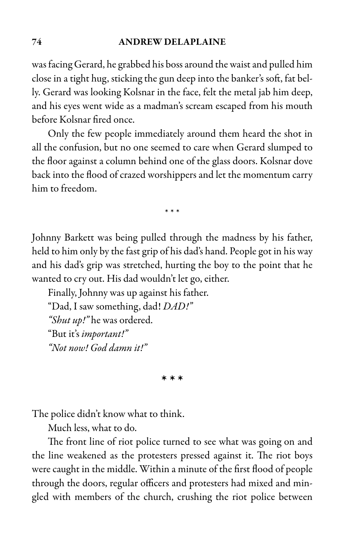### 74 ANDREW DELAPLAINE

was facing Gerard, he grabbed his bossaround the waistand pulled him close in a tight hug, sticking the gun deep into the banker's soft, fat belly. Gerard was looking Kolsnar in the face, felt the metal jab him deep, and his eyes went wide as a madman's scream escaped from his mouth before Kolsnar fired once.

Only the few people immediately around them heard the shot in all the confusion, but no one seemed to care when Gerard slumped to the floor against a column behind one of the glass doors. Kolsnar dove back into the flood of crazed worshippers and let the momentum carry him to freedom.

\* \* \*

Johnny Barkett was being pulled through the madness by his father, held to him only by the fast grip of his dad's hand. People got in his way and his dad's grip was stretched, hurting the boy to the point that he wanted to cry out. His dad wouldn't let go, either.

Finally, Johnny was up against his father. "Dad, I saw something, dad! DAD!" "Shut up!" he was ordered. "But it's important!" "Not now! God damn it!"

\* \* \*

The police didn't know what to think.

Much less, what to do.

The front line of riot police turned to see what was going on and the line weakened as the protesters pressed against it. The riot boys were caught in the middle. Within a minute of the first flood of people through the doors, regular officers and protesters had mixed and mingled with members of the church, crushing the riot police between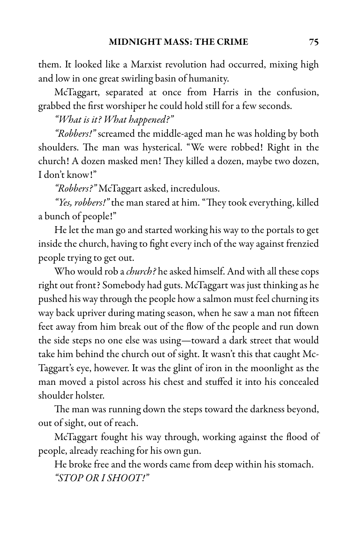them. It looked like a Marxist revolution had occurred, mixing high and low in one great swirling basin of humanity.

McTaggart, separated at once from Harris in the confusion, grabbed the first worshiper he could hold still for a few seconds.

"What is it? What happened?"

"Robbers!" screamed the middle-aged man he was holding by both shoulders. The man was hysterical. "We were robbed! Right in the church! A dozen masked men! They killed a dozen, maybe two dozen, I don't know!"

"Robbers?" McTaggart asked, incredulous.

"Yes, robbers!" the man stared at him. "They took everything, killed a bunch of people!"

Helet the man go and started working his way to the portals to get inside the church, having to fight every inch of the way against frenzied people trying to get out.

Who would rob a *church*? he asked himself. And with all these cops right out front? Somebody had guts. McTaggart was just thinking as he pushed his way through the people how a salmon must feel churning its way back upriver during mating season, when he saw a man not fifteen feet away from him break out of the flow of the people and run down the side steps no one else was using—toward a dark street that would take him behind the church out of sight. It wasn't this that caught Mc-Taggart's eye, however. It was the glint of iron in the moonlight as the man moved a pistol across his chest and stuffed it into his concealed shoulder holster.

The man was running down the steps toward the darkness beyond, out of sight, out of reach.

McTaggart fought his way through, working against the flood of people, already reaching for his own gun.

He broke free and the words came from deep within his stomach. "STOP OR I SHOOT!"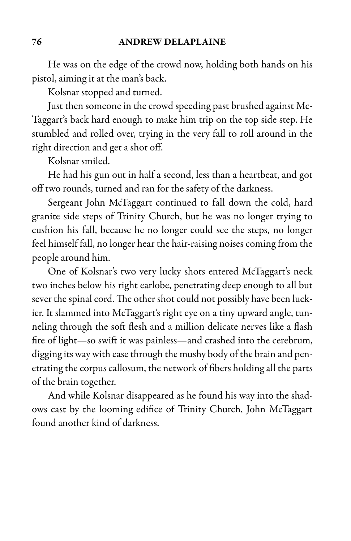He was on the edge of the crowd now, holding both hands on his pistol, aiming it at the man's back.

Kolsnar stopped and turned.

Just then someone in the crowd speeding past brushed against Mc-Taggart's back hard enough to make him trip on the top side step. He stumbled and rolled over, trying in the very fall to roll around in the right direction and get a shot off.

Kolsnar smiled.

He had his gun out in half a second, less than a heartbeat, and got off two rounds, turned and ran for the safety of the darkness.

Sergeant John McTaggart continued to fall down the cold, hard granite side steps of Trinity Church, but he was no longer trying to cushion his fall, because he no longer could see the steps, no longer feel himself fall, no longer hear the hair-raising noises coming from the people around him.

One of Kolsnar's two very lucky shots entered McTaggart's neck two inches below his right earlobe, penetrating deep enough to all but sever the spinal cord. The other shot could not possibly have been luckier. It slammed into McTaggart's right eye on a tiny upward angle, tunneling through the soft flesh and a million delicate nerves like a flash fire of light—so swift it was painless—and crashed into the cerebrum, digging its way with ease through the mushy body of the brain and penetrating the corpus callosum, the network of fibers holding all the parts of the brain together.

And while Kolsnar disappeared as he found his way into the shadows cast by the looming edifice of Trinity Church, John McTaggart found another kind of darkness.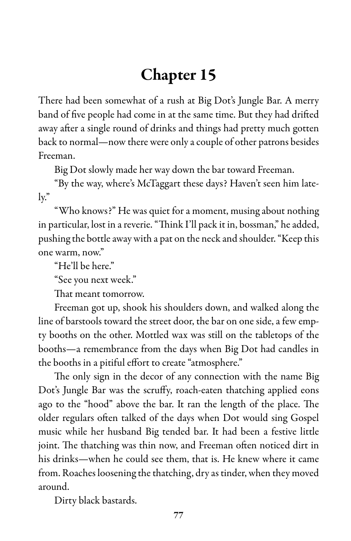# Chapter 15

There had been somewhat of a rush at Big Dot's Jungle Bar. A merry band of five people had come in at the same time. But they had drifted away after a single round of drinks and things had pretty much gotten back to normal—now there were only a couple of other patrons besides Freeman.

Big Dot slowly made her way down the bar toward Freeman.

"By the way, where's McTaggart these days? Haven't seen him lately."

"Who knows?" He was quiet for a moment, musing about nothing in particular, lost in a reverie. "Think I'll pack it in, bossman," he added, pushing the bottle away with a pat on the neck and shoulder. "Keep this one warm, now."

"He'll be here."

"See you next week."

That meant tomorrow.

Freeman got up, shook his shoulders down, and walked along the line of barstools toward the street door, the bar on one side, a few empty booths on the other. Mottled wax was still on the tabletops of the booths—a remembrance from the days when Big Dot had candles in the booths in a pitiful effort to create "atmosphere."

The only sign in the decor of any connection with the name Big Dot's Jungle Bar was the scruffy, roach-eaten thatching applied eons ago to the "hood" above the bar. It ran the length of the place. The older regulars often talked of the days when Dot would sing Gospel music while her husband Big tended bar. It had been a festive little joint. The thatching was thin now, and Freeman often noticed dirt in his drinks—when he could see them, that is. He knew where it came from. Roaches loosening the thatching, dry as tinder, when they moved around.

Dirty black bastards.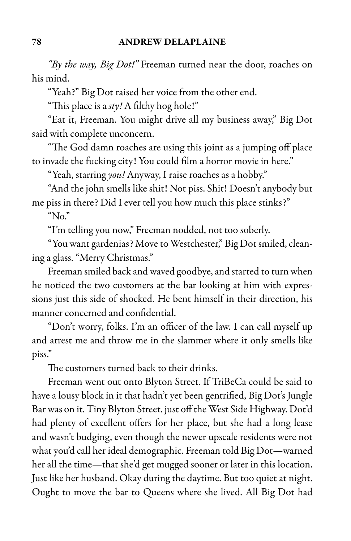"By the way, Big Dot!" Freeman turned near the door, roaches on his mind.

"Yeah?" Big Dot raised her voice from the other end.

"This place is a  $sty!$  A filthy hog hole!"

"Eat it, Freeman. You might drive all my business away," Big Dot said with complete unconcern.

"The God damn roaches are using this joint as a jumping off place to invade the fucking city! You could film a horror movie in here."

"Yeah, starring you! Anyway, I raise roaches as a hobby."

"And the john smells like shit! Not piss. Shit! Doesn't anybody but me piss in there? Did I ever tell you how much this place stinks?" "No."

"I'm telling you now," Freeman nodded, not too soberly.

"You want gardenias? Move to Westchester," Big Dot smiled, cleaning a glass. "Merry Christmas."

Freeman smiled back and waved goodbye, and started to turn when he noticed the two customers at the bar looking at him with expressions just this side of shocked. He bent himself in their direction, his manner concerned and confidential.

"Don't worry, folks. I'm an officer of the law. I can call myself up and arrest me and throw me in the slammer where it only smells like piss."

The customers turned back to their drinks.

Freeman went out onto Blyton Street. If TriBeCa could be said to have a lousy block in it that hadn't yet been gentrified, Big Dot's Jungle Bar was on it. Tiny Blyton Street, just off the West Side Highway. Dot'd had plenty of excellent offers for her place, but she had a long lease and wasn't budging, even though the newer upscale residents were not what you'd call her ideal demographic. Freeman told Big Dot—warned her all the time—that she'd get mugged sooner or later in this location. Just like her husband. Okay during the daytime. But too quiet at night. Ought to move the bar to Queens where she lived. All Big Dot had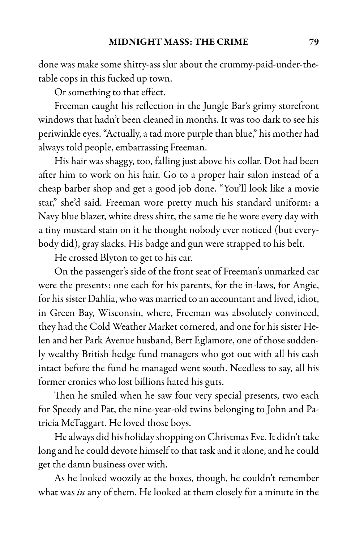done was make some shitty-ass slurabout the crummy-paid-under-thetable cops in this fucked up town.

Or something to that effect.

Freeman caught his reflection in the Jungle Bar's grimy storefront windows that hadn't been cleaned in months. It was too dark to see his periwinkle eyes. "Actually, a tad more purple than blue," his mother had always told people, embarrassing Freeman.

His hair was shaggy, too, falling just above his collar. Dot had been after him to work on his hair. Go to a proper hair salon instead of a cheap barber shop and get a good job done. "You'll look like a movie star," she'd said. Freeman wore pretty much his standard uniform: a Navy blue blazer, white dress shirt, the same tie he wore every day with a tiny mustard stain on it he thought nobody ever noticed (but everybody did), gray slacks. His badge and gun were strapped to his belt.

He crossed Blyton to get to his car.

On the passenger's side of the front seat of Freeman's unmarked car were the presents: one each for his parents, for the in-laws, for Angie, for his sister Dahlia, who was married to an accountant and lived, idiot, in Green Bay, Wisconsin, where, Freeman was absolutely convinced, they had the Cold Weather Market cornered, and one for his sister Helen and her Park Avenue husband, Bert Eglamore, one of those suddenly wealthy British hedge fund managers who got out with all his cash intact before the fund he managed went south. Needless to say, all his former cronies who lost billions hated his guts.

Then he smiled when he saw four very special presents, two each for Speedy and Pat, the nine-year-old twins belonging to John and Patricia McTaggart. He loved those boys.

He always did his holiday shopping on Christmas Eve. It didn't take long and he could devote himself to that task and it alone, and he could get the damn business over with.

As he looked woozily at the boxes, though, he couldn't remember what was in any of them. He looked at them closely for a minute in the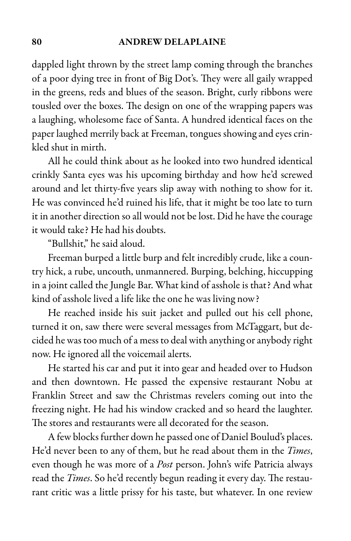#### 80 ANDREW DELAPLAINE

dappled light thrown by the street lamp coming through the branches of a poor dying tree in front of Big Dot's. They were all gaily wrapped in the greens, reds and blues of the season. Bright, curly ribbons were tousled over the boxes. The design on one of the wrapping papers was a laughing, wholesome face of Santa. A hundred identical faces on the paper laughed merrily back at Freeman, tongues showing and eyes crinkled shut in mirth.

All he could think about as he looked into two hundred identical crinkly Santa eyes was his upcoming birthday and how he'd screwed around and let thirty-five years slip away with nothing to show for it. He was convinced he'd ruined his life, that it might be too late to turn it in another direction so all would not be lost. Did he have the courage it would take? He had his doubts.

"Bullshit," he said aloud.

Freeman burped a little burp and felt incredibly crude, like a country hick, a rube, uncouth, unmannered. Burping, belching, hiccupping in a joint called the Jungle Bar. What kind of asshole is that? And what kind of asshole lived a life like the one he was living now?

He reached inside his suit jacket and pulled out his cell phone, turned it on, saw there were several messages from McTaggart, but decided he was too much of a mess to deal with anything or anybody right now. He ignored all the voicemail alerts.

He started his car and put it into gear and headed over to Hudson and then downtown. He passed the expensive restaurant Nobu at Franklin Street and saw the Christmas revelers coming out into the freezing night. He had his window cracked and so heard the laughter. The stores and restaurants were all decorated for the season.

A few blocks further down he passed one of Daniel Boulud's places. He'd never been to any of them, but he read about them in the Times, even though he was more of a *Post* person. John's wife Patricia always read the Times. So he'd recently begun reading it every day. The restaurant critic was a little prissy for his taste, but whatever. In one review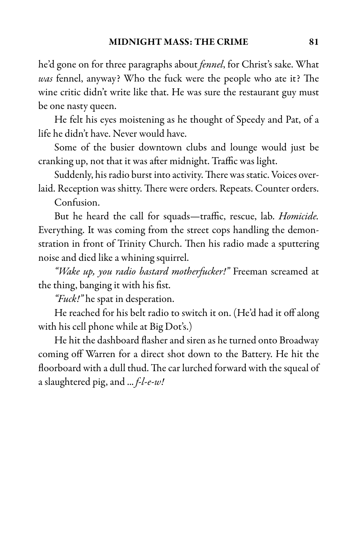he'd gone on for three paragraphs about *fennel*, for Christ's sake. What was fennel, anyway? Who the fuck were the people who ate it? The wine critic didn't write like that. He was sure the restaurant guy must be one nasty queen.

He felt his eyes moistening as he thought of Speedy and Pat, of a life he didn't have. Never would have.

Some of the busier downtown clubs and lounge would just be cranking up, not that it was after midnight. Traffic was light.

Suddenly, his radio burst into activity. There was static. Voices overlaid. Reception was shitty. There were orders. Repeats. Counter orders.

Confusion.

But he heard the call for squads—traffic, rescue, lab. Homicide. Everything. It was coming from the street cops handling the demonstration in front of Trinity Church. Then his radio made a sputtering noise and died like a whining squirrel.

"Wake up, you radio bastard motherfucker!" Freeman screamed at the thing, banging it with his fist.

"Fuck!" he spat in desperation.

He reached for his belt radio to switch it on. (He'd had it off along with his cell phone while at Big Dot's.)

He hit the dashboard flasher and siren as he turned onto Broadway coming off Warren for a direct shot down to the Battery. He hit the floorboard with a dull thud. The car lurched forward with the squeal of a slaughtered pig, and  $... f$ -l-e-w!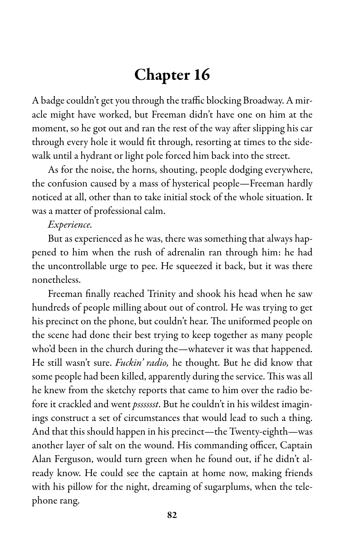# Chapter 16

A badge couldn't get you through the traffic blocking Broadway. A miracle might have worked, but Freeman didn't have one on him at the moment, so he got out and ran the rest of the way after slipping his car through every hole it would fit through, resorting at times to the sidewalk until a hydrant or light pole forced him back into the street.

As for the noise, the horns, shouting, people dodging everywhere, the confusion caused by a mass of hysterical people—Freeman hardly noticed at all, other than to take initial stock of the whole situation. It was a matter of professional calm.

### Experience.

But as experienced as he was, there was something that always happened to him when the rush of adrenalin ran through him: he had the uncontrollable urge to pee. He squeezed it back, but it was there nonetheless.

Freeman finally reached Trinity and shook his head when he saw hundreds of people milling about out of control. He was trying to get his precinct on the phone, but couldn't hear. The uniformed people on the scene had done their best trying to keep together as many people who'd been in the church during the—whatever it was that happened. He still wasn't sure. Fuckin' radio, he thought. But he did know that some people had been killed, apparently during the service. This was all he knew from the sketchy reports that came to him over the radio before it crackled and went *psssssst*. But he couldn't in his wildest imaginings construct a set of circumstances that would lead to such a thing. And that this should happen in his precinct—the Twenty-eighth—was another layer of salt on the wound. His commanding officer, Captain Alan Ferguson, would turn green when he found out, if he didn't already know. He could see the captain at home now, making friends with his pillow for the night, dreaming of sugarplums, when the telephone rang.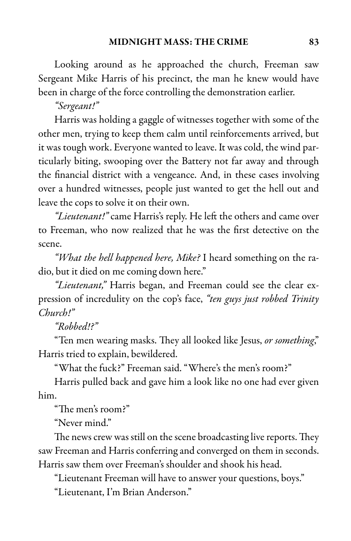Looking around as he approached the church, Freeman saw Sergeant Mike Harris of his precinct, the man he knew would have been in charge of the force controlling the demonstration earlier.

"Sergeant!"

Harris was holding a gaggle of witnesses together with some of the other men, trying to keep them calm until reinforcements arrived, but it was tough work. Everyone wanted to leave. It was cold, the wind particularly biting, swooping over the Battery not far away and through the financial district with a vengeance. And, in these cases involving over a hundred witnesses, people just wanted to get the hell out and leave the cops to solve it on their own.

"Lieutenant!" came Harris's reply. He left the others and came over to Freeman, who now realized that he was the first detective on the scene.

"What the hell happened here, Mike? I heard something on the radio, but it died on me coming down here."

"Lieutenant," Harris began, and Freeman could see the clear expression of incredulity on the cop's face, "ten guys just robbed Trinity Church!"

### "Robbed!?"

"Ten men wearing masks. They all looked like Jesus, or something," Harris tried to explain, bewildered.

"What the fuck?" Freeman said. "Where's the men's room?"

Harris pulled back and gave him a look like no one had ever given him.

"The men's room?"

"Never mind."

The news crew was still on the scene broadcasting live reports. They saw Freeman and Harris conferring and converged on them in seconds. Harris saw them over Freeman's shoulder and shook his head.

"Lieutenant Freeman will have to answer your questions, boys."

"Lieutenant, I'm Brian Anderson."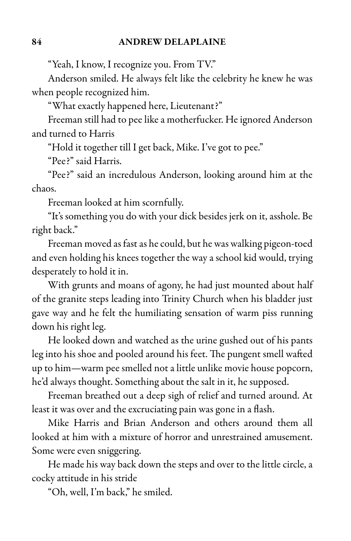"Yeah, I know, I recognize you. From TV."

Anderson smiled. He always felt like the celebrity he knew he was when people recognized him.

"What exactly happened here, Lieutenant?"

Freeman still had to pee like a motherfucker. He ignored Anderson and turned to Harris

"Hold it together till I get back, Mike. I've got to pee."

"Pee?" said Harris.

"Pee?" said an incredulous Anderson, looking around him at the chaos.

Freeman looked at him scornfully.

"It's something you do with your dick besides jerk on it, asshole. Be right back."

Freeman moved as fast as he could, but he was walking pigeon-toed and even holding his knees together the way aschool kid would, trying desperately to hold it in.

With grunts and moans of agony, he had just mounted about half of the granite steps leading into Trinity Church when his bladder just gave way and he felt the humiliating sensation of warm piss running down his right leg.

He looked down and watched as the urine gushed out of his pants leg into his shoe and pooled around his feet. The pungent smell wafted up to him—warm pee smelled not a little unlike movie house popcorn, he'd always thought. Something about the salt in it, he supposed.

Freeman breathed out a deep sigh of relief and turned around. At least it was over and the excruciating pain was gone in a flash.

Mike Harris and Brian Anderson and others around them all looked at him with a mixture of horror and unrestrained amusement. Some were even sniggering.

He made his way back down the steps and over to the little circle, a cocky attitude in his stride

"Oh, well, I'm back," he smiled.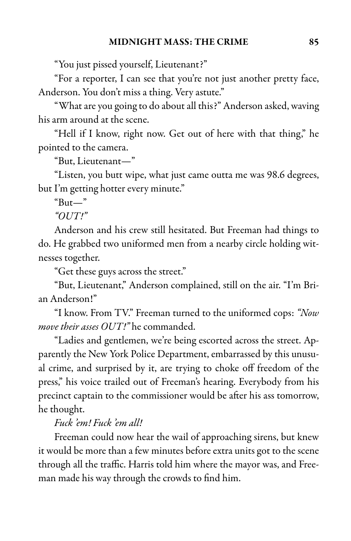"You just pissed yourself, Lieutenant?"

"For a reporter, I can see that you're not just another pretty face, Anderson. You don't miss a thing. Very astute."

"What are you going to do about all this?" Anderson asked, waving his arm around at the scene.

"Hell if I know, right now. Get out of here with that thing," he pointed to the camera.

"But, Lieutenant—"

"Listen, you butt wipe, what just came outta me was 98.6 degrees, but I'm getting hotter every minute."

```
"But -"
```
" $OUT!$ "

Anderson and his crew still hesitated. But Freeman had things to do. He grabbed two uniformed men from a nearby circle holding witnesses together.

"Get these guys across the street."

"But, Lieutenant," Anderson complained, still on the air. "I'm Brian Anderson!"

"I know. From TV." Freeman turned to the uniformed cops: "Now move their asses OUT!" he commanded.

"Ladies and gentlemen, we're being escorted across the street. Apparently the New York Police Department, embarrassed by this unusual crime, and surprised by it, are trying to choke off freedom of the press," his voice trailed out of Freeman's hearing. Everybody from his precinct captain to the commissioner would be after his ass tomorrow, he thought.

## Fuck 'em! Fuck 'em all!

Freeman could now hear the wail of approaching sirens, but knew it would be more than a few minutes before extra units got to the scene through all the traffic. Harris told him where the mayor was, and Freeman made his way through the crowds to find him.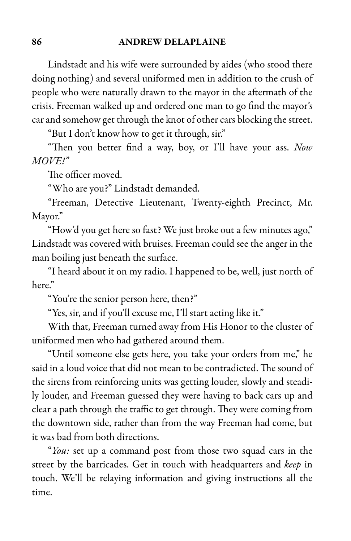Lindstadt and his wife were surrounded by aides (who stood there doing nothing) and several uniformed men in addition to the crush of people who were naturally drawn to the mayor in the aftermath of the crisis. Freeman walked up and ordered one man to go find the mayor's car and somehow get through the knot of other cars blocking the street.

"But I don't know how to get it through, sir."

"Then you better find a way, boy, or I'll have your ass. Now MOVE!"

The officer moved.

"Who are you?" Lindstadt demanded.

"Freeman, Detective Lieutenant, Twenty-eighth Precinct, Mr. Mayor."

"How'd you get here so fast? We just broke out a few minutes ago," Lindstadt was covered with bruises. Freeman could see the anger in the man boiling just beneath the surface.

"I heard about it on my radio. I happened to be, well, just north of here"

"You're the senior person here, then?"

"Yes, sir, and if you'll excuse me, I'll start acting like it."

With that, Freeman turned away from His Honor to the cluster of uniformed men who had gathered around them.

"Until someone else gets here, you take your orders from me," he said in a loud voice that did not mean to be contradicted. The sound of the sirens from reinforcing units was getting louder, slowly and steadily louder, and Freeman guessed they were having to back cars up and clear a path through the traffic to get through. They were coming from the downtown side, rather than from the way Freeman had come, but it was bad from both directions.

"You: set up a command post from those two squad cars in the street by the barricades. Get in touch with headquarters and keep in touch. We'll be relaying information and giving instructions all the time.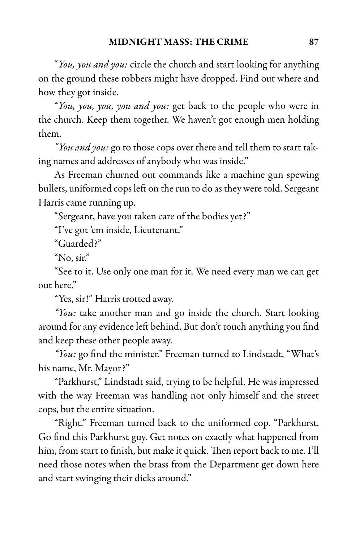"You, you and you: circle the church and start looking for anything on the ground these robbers might have dropped. Find out where and how they got inside.

"You, you, you, you and you: get back to the people who were in the church. Keep them together. We haven't got enough men holding them.

"You and you: go to those cops over there and tell them to start taking names and addresses of anybody who was inside."

As Freeman churned out commands like a machine gun spewing bullets, uniformed cops left on the run to do as they were told. Sergeant Harris came running up.

"Sergeant, have you taken care of the bodies yet?"

"I've got 'em inside, Lieutenant."

"Guarded?"

"No, sir."

"See to it. Use only one man for it. We need every man we can get out here."

"Yes, sir!" Harris trotted away.

"You: take another man and go inside the church. Start looking around for any evidence left behind. But don't touch anything you find and keep these other people away.

"You: go find the minister." Freeman turned to Lindstadt, "What's his name, Mr. Mayor?"

"Parkhurst," Lindstadt said, trying to be helpful. He was impressed with the way Freeman was handling not only himself and the street cops, but the entire situation.

"Right." Freeman turned back to the uniformed cop. "Parkhurst. Go find this Parkhurst guy. Get notes on exactly what happened from him, from start to finish, but make it quick. Then report back to me. I'll need those notes when the brass from the Department get down here and start swinging their dicks around."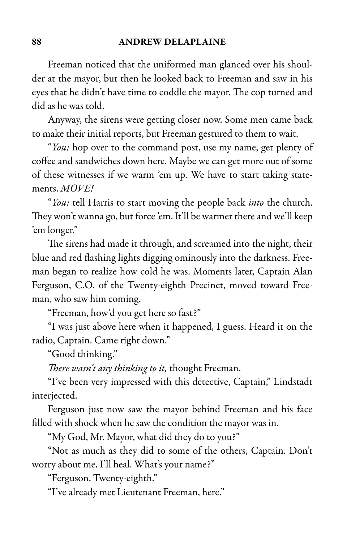#### 88 ANDREW DELAPLAINE

Freeman noticed that the uniformed man glanced over his shoulder at the mayor, but then he looked back to Freeman and saw in his eyes that he didn't have time to coddle the mayor. The cop turned and did as he was told.

Anyway, the sirens were getting closer now. Some men came back to make their initial reports, but Freeman gestured to them to wait.

"You: hop over to the command post, use my name, get plenty of coffee and sandwiches down here. Maybe we can get more out of some of these witnesses if we warm 'em up. We have to start taking statements. MOVE!

"You: tell Harris to start moving the people back into the church. They won't wanna go, but force 'em. It'll be warmer there and we'll keep 'em longer."

The sirens had made it through, and screamed into the night, their blue and red flashing lights digging ominously into the darkness. Freeman began to realize how cold he was. Moments later, Captain Alan Ferguson, C.O. of the Twenty-eighth Precinct, moved toward Freeman, who saw him coming.

"Freeman, how'd you get here so fast?"

"I was just above here when it happened, I guess. Heard it on the radio, Captain. Came right down."

"Good thinking."

There wasn't any thinking to it, thought Freeman.

"I've been very impressed with this detective, Captain," Lindstadt interjected.

Ferguson just now saw the mayor behind Freeman and his face filled with shock when he saw the condition the mayor was in.

"My God, Mr. Mayor, what did they do to you?"

"Not as much as they did to some of the others, Captain. Don't worry about me. I'll heal. What's your name?"

"Ferguson. Twenty-eighth."

"I've already met Lieutenant Freeman, here."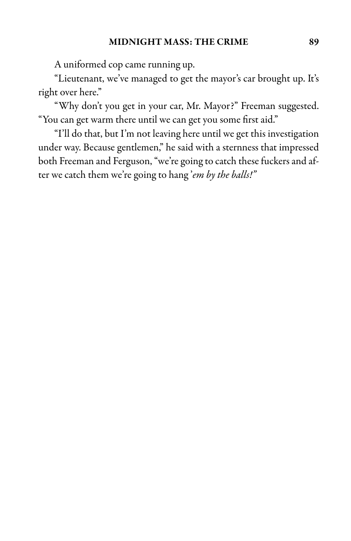A uniformed cop came running up.

"Lieutenant, we've managed to get the mayor's car brought up. It's right over here."

"Why don't you get in your car, Mr. Mayor?" Freeman suggested. "You can get warm there until we can get you some first aid."

"I'll do that, but I'm not leaving here until we get this investigation under way. Because gentlemen," he said with a sternness that impressed both Freeman and Ferguson, "we're going to catch these fuckers and after we catch them we're going to hang'em by the balls!"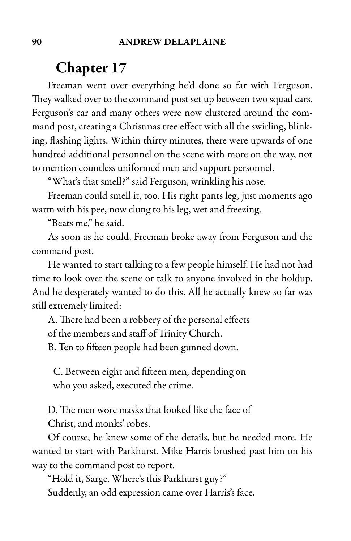## Chapter 17

Freeman went over everything he'd done so far with Ferguson. They walked over to the command post set up between two squad cars. Ferguson's car and many others were now clustered around the command post, creating a Christmas tree effect with all the swirling, blinking, flashing lights. Within thirty minutes, there were upwards of one hundred additional personnel on the scene with more on the way, not to mention countless uniformed men and support personnel.

"What's that smell?" said Ferguson, wrinkling his nose.

Freeman could smell it, too. His right pants leg, just moments ago warm with his pee, now clung to his leg, wet and freezing.

"Beats me," he said.

As soon as he could, Freeman broke away from Ferguson and the command post.

He wanted to start talking to a few people himself. He had not had time to look over the scene or talk to anyone involved in the holdup. And he desperately wanted to do this. All he actually knew so far was still extremely limited:

A. There had been a robbery of the personal effects of the members and staff of Trinity Church.

B. Ten to fifteen people had been gunned down.

C. Between eight and fifteen men, depending on who you asked, executed the crime.

D. The men wore masks that looked like the face of Christ, and monks' robes.

Of course, he knew some of the details, but he needed more. He wanted to start with Parkhurst. Mike Harris brushed past him on his way to the command post to report.

"Hold it, Sarge. Where's this Parkhurst guy?" Suddenly, an odd expression came over Harris's face.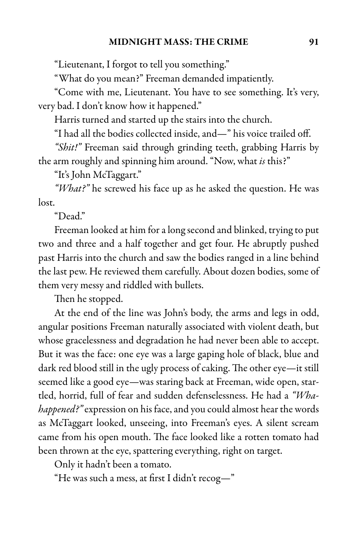### MIDNIGHT MASS: THE CRIME 91

"Lieutenant, I forgot to tell you something."

"What do you mean?" Freeman demanded impatiently.

"Come with me, Lieutenant. You have to see something. It's very, very bad. I don't know how it happened."

Harris turned and started up the stairs into the church.

"I had all the bodies collected inside, and—" his voice trailed off.

"Shit!" Freeman said through grinding teeth, grabbing Harris by the arm roughly and spinning him around. "Now, what is this?"

"It's John McTaggart."

"What?" he screwed his face up as he asked the question. He was lost.

"Dead."

Freeman looked at him for a long second and blinked, trying to put two and three and a half together and get four. He abruptly pushed past Harris into the church and saw the bodies ranged in a line behind the last pew. He reviewed them carefully. About dozen bodies, some of them very messy and riddled with bullets.

Then he stopped.

At the end of the line was John's body, the arms and legs in odd, angular positions Freeman naturally associated with violent death, but whose gracelessness and degradation he had never been able to accept. But it was the face: one eye was a large gaping hole of black, blue and dark red blood still in the ugly process of caking. The other eye—it still seemed like a good eye—was staring back at Freeman, wide open, startled, horrid, full of fear and sudden defenselessness. He had a "Whahappened?" expression on his face, and you could almost hear the words as McTaggart looked, unseeing, into Freeman's eyes. A silent scream came from his open mouth. The face looked like a rotten tomato had been thrown at the eye, spattering everything, right on target.

Only it hadn't been a tomato.

"He was such a mess, at first I didn't recog—"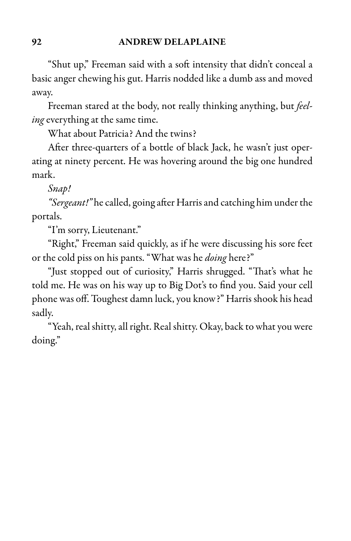"Shut up," Freeman said with a soft intensity that didn't conceal a basic anger chewing his gut. Harris nodded like a dumb ass and moved away.

Freeman stared at the body, not really thinking anything, but feeling everything at the same time.

What about Patricia? And the twins?

After three-quarters of a bottle of black Jack, he wasn't just operating at ninety percent. He was hovering around the big one hundred mark.

Snap!

"Sergeant!" he called, going after Harris and catching him under the portals.

"I'm sorry, Lieutenant."

"Right," Freeman said quickly, as if he were discussing his sore feet or the cold piss on his pants. "What was he doing here?"

"Just stopped out of curiosity," Harris shrugged. "That's what he told me. He was on his way up to Big Dot's to find you. Said your cell phone was off. Toughest damn luck, you know?" Harris shook his head sadly.

"Yeah, real shitty, all right. Real shitty. Okay, back to what you were doing."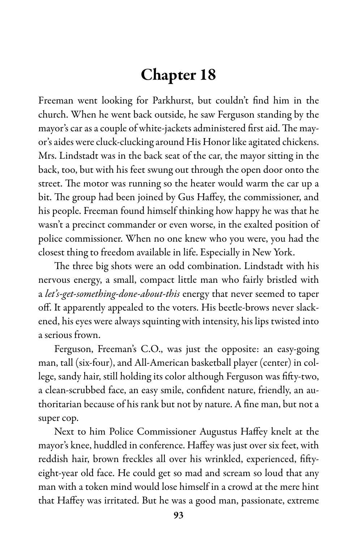# Chapter 18

Freeman went looking for Parkhurst, but couldn't find him in the church. When he went back outside, he saw Ferguson standing by the mayor's car as a couple of white-jackets administered first aid. The mayor's aides were cluck-clucking around His Honor like agitated chickens. Mrs. Lindstadt was in the back seat of the car, the mayor sitting in the back, too, but with his feet swung out through the open door onto the street. The motor was running so the heater would warm the car up a bit. The group had been joined by Gus Haffey, the commissioner, and his people. Freeman found himself thinking how happy he was that he wasn't a precinct commander or even worse, in the exalted position of police commissioner. When no one knew who you were, you had the closest thing to freedom available in life. Especially in New York.

The three big shots were an odd combination. Lindstadt with his nervous energy, a small, compact little man who fairly bristled with a let's-get-something-done-about-this energy that never seemed to taper off. It apparently appealed to the voters. His beetle-brows never slackened, his eyes were always squinting with intensity, his lips twisted into a serious frown.

Ferguson, Freeman's C.O., was just the opposite: an easy-going man, tall (six-four), and All-American basketball player (center) in college, sandy hair, still holding its color although Ferguson was fifty-two, a clean-scrubbed face, an easy smile, confident nature, friendly, an authoritarian because of his rank but not by nature. A fine man, but nota super cop.

Next to him Police Commissioner Augustus Haffey knelt at the mayor's knee, huddled in conference. Haffey was just over six feet, with reddish hair, brown freckles all over his wrinkled, experienced, fiftyeight-year old face. He could get so mad and scream so loud that any man with a token mind would lose himself in a crowd at the mere hint that Haffey was irritated. But he was a good man, passionate, extreme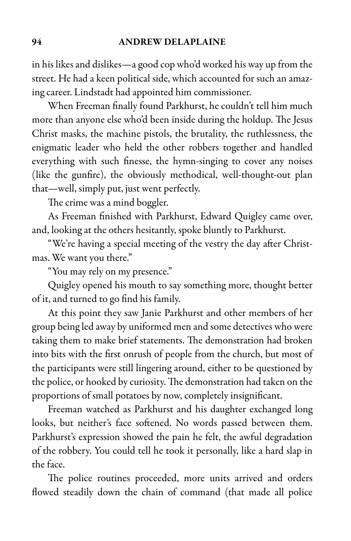in his likes and dislikes—a good cop who'd worked his way up from the street. He had a keen political side, which accounted for such an amazing career. Lindstadt had appointed him commissioner.

When Freeman finally found Parkhurst, he couldn't tell him much more than anyone else who'd been inside during the holdup. The Jesus Christ masks, the machine pistols, the brutality, the ruthlessness, the enigmatic leader who held the other robbers together and handled everything with such finesse, the hymn-singing to cover any noises (like the gunfire), the obviously methodical, well-thought-out plan that—well, simply put, just went perfectly.

The crime was a mind boggler.

As Freeman finished with Parkhurst, Edward Quigley came over, and, looking at the others hesitantly, spoke bluntly to Parkhurst.

"We're having a special meeting of the vestry the day after Christmas. We want you there."

"You may rely on my presence."

Quigley opened his mouth to say something more, thought better of it, and turned to go find his family.

At this point they saw Janie Parkhurst and other members of her group being led away by uniformed men and some detectives who were taking them to make brief statements. The demonstration had broken into bits with the first onrush of people from the church, but most of the participants were still lingering around, either to be questioned by the police, or hooked by curiosity. The demonstration had taken on the proportions of small potatoes by now, completely insignificant.

Freeman watched as Parkhurst and his daughter exchanged long looks, but neither's face softened. No words passed between them. Parkhurst's expression showed the pain he felt, the awful degradation of the robbery. You could tell he took it personally, like a hard slap in the face.

The police routines proceeded, more units arrived and orders flowed steadily down the chain of command (that made all police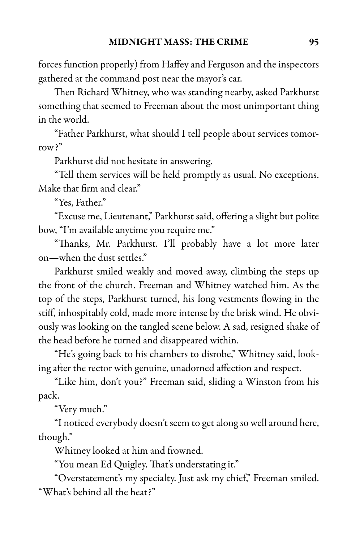forces function properly) from Haffey and Ferguson and the inspectors gathered at the command post near the mayor's car.

Then Richard Whitney, who was standing nearby, asked Parkhurst something that seemed to Freeman about the most unimportant thing in the world.

"Father Parkhurst, what should I tell people about services tomorrow?"

Parkhurst did not hesitate in answering.

"Tell them services will be held promptly as usual. No exceptions. Make that firm and clear."

"Yes, Father."

"Excuse me, Lieutenant," Parkhurst said, offering aslight but polite bow, "I'm available anytime you require me."

"Thanks, Mr. Parkhurst. I'll probably have a lot more later on—when the dust settles."

Parkhurst smiled weakly and moved away, climbing the steps up the front of the church. Freeman and Whitney watched him. As the top of the steps, Parkhurst turned, his long vestments flowing in the stiff, inhospitably cold, made more intense by the brisk wind. He obviously was looking on the tangled scene below. A sad, resigned shake of the head before he turned and disappeared within.

"He's going back to his chambers to disrobe," Whitney said, looking after the rector with genuine, unadorned affection and respect.

"Like him, don't you?" Freeman said, sliding a Winston from his pack.

"Very much."

"I noticed everybody doesn't seem to get along so well around here, though."

Whitney looked at him and frowned.

"You mean Ed Quigley. That's understating it."

"Overstatement's my specialty. Just ask my chief," Freeman smiled. "What's behind all the heat?"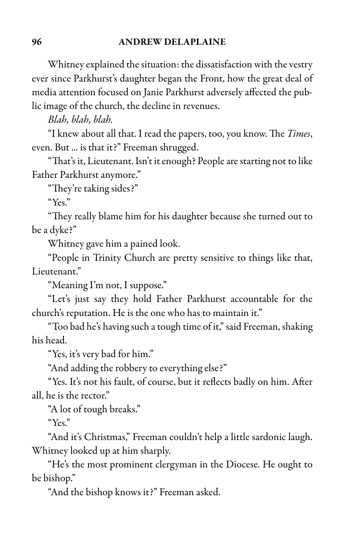Whitney explained the situation: the dissatisfaction with the vestry ever since Parkhurst's daughter began the Front, how the great deal of media attention focused on Janie Parkhurst adversely affected the public image of the church, the decline in revenues.

Blah, blah, blah.

"I knew about all that. I read the papers, too, you know. The *Times*, even. But ... is that it?" Freeman shrugged.

"That's it, Lieutenant. Isn't it enough? People are starting not to like Father Parkhurst anymore."

"They're taking sides?"

"Yes."

"They really blame him for his daughter because she turned out to be a dyke?"

Whitney gave him a pained look.

"People in Trinity Church are pretty sensitive to things like that, Lieutenant."

"Meaning I'm not, I suppose."

"Let's just say they hold Father Parkhurst accountable for the church's reputation. He is the one who has to maintain it."

"Too bad he's having such a tough time of it," said Freeman, shaking his head.

"Yes, it's very bad for him."

"And adding the robbery to everything else?"

"Yes. It's not his fault, of course, but it reflects badly on him. After all, he is the rector."

"A lot of tough breaks."

"Yes."

"And it's Christmas," Freeman couldn't help a little sardonic laugh. Whitney looked up at him sharply.

"He's the most prominent clergyman in the Diocese. He ought to be bishop."

"And the bishop knows it?" Freeman asked.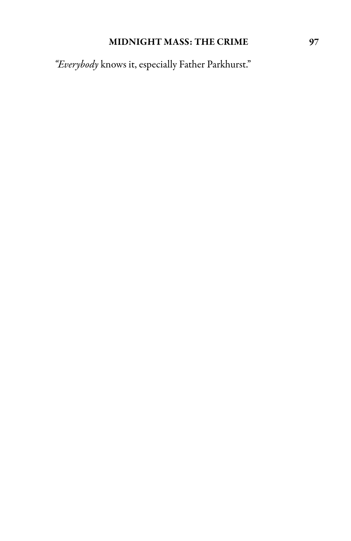### MIDNIGHT MASS: THE CRIME 97

"Everybody knows it, especially Father Parkhurst."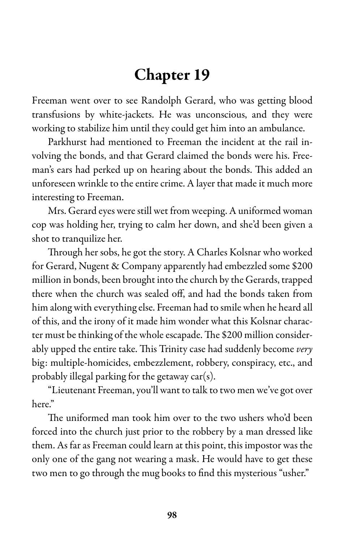# Chapter 19

Freeman went over to see Randolph Gerard, who was getting blood transfusions by white-jackets. He was unconscious, and they were working to stabilize him until they could get him into an ambulance.

Parkhurst had mentioned to Freeman the incident at the rail involving the bonds, and that Gerard claimed the bonds were his. Freeman's ears had perked up on hearing about the bonds. This added an unforeseen wrinkle to the entire crime. A layer that made it much more interesting to Freeman.

Mrs. Gerard eyes were still wet from weeping. A uniformed woman cop was holding her, trying to calm her down, and she'd been given a shot to tranquilize her.

Through her sobs, he got the story. A Charles Kolsnar who worked for Gerard, Nugent & Company apparently had embezzled some \$200 million in bonds, been brought into the church by the Gerards, trapped there when the church was sealed off, and had the bonds taken from him along with everything else. Freeman had to smile when he heard all of this, and the irony of it made him wonder what this Kolsnar character must be thinking of the whole escapade. The \$200 million considerably upped the entire take. This Trinity case had suddenly become very big: multiple-homicides, embezzlement, robbery, conspiracy, etc., and probably illegal parking for the getaway car(s).

"Lieutenant Freeman, you'll want to talk to two men we've got over here"

The uniformed man took him over to the two ushers who'd been forced into the church just prior to the robbery by a man dressed like them. As far as Freeman could learn at this point, this impostor was the only one of the gang not wearing a mask. He would have to get these two men to go through the mug books to find this mysterious "usher."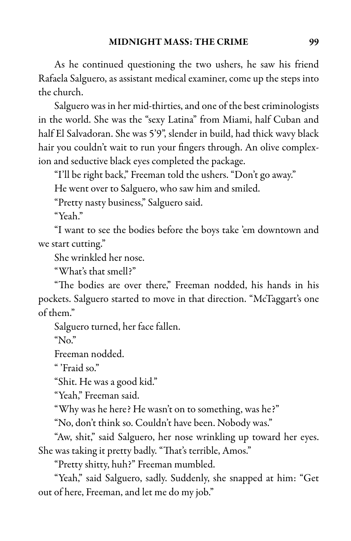As he continued questioning the two ushers, he saw his friend Rafaela Salguero, as assistant medical examiner, come up the steps into the church.

Salguero was in her mid-thirties, and one of the best criminologists in the world. She was the "sexy Latina" from Miami, half Cuban and half El Salvadoran. She was 5'9", slender in build, had thick wavy black hair you couldn't wait to run your fingers through. An olive complexion and seductive black eyes completed the package.

"I'll be right back," Freeman told the ushers. "Don't go away."

He went over to Salguero, who saw him and smiled.

"Pretty nasty business," Salguero said.

"Yeah."

"I want to see the bodies before the boys take 'em downtown and we start cutting."

She wrinkled her nose.

"What's that smell?"

"The bodies are over there," Freeman nodded, his hands in his pockets. Salguero started to move in that direction. "McTaggart's one of them."

Salguero turned, her face fallen.

" $N_0$ "

Freeman nodded.

" 'Fraid so."

"Shit. He was a good kid."

"Yeah," Freeman said.

"Why was he here? He wasn't on to something, was he?"

"No, don't think so. Couldn't have been. Nobody was."

"Aw, shit," said Salguero, her nose wrinkling up toward her eyes. She was taking it pretty badly. "That's terrible, Amos."

"Pretty shitty, huh?" Freeman mumbled.

"Yeah," said Salguero, sadly. Suddenly, she snapped at him: "Get out of here, Freeman, and let me do my job."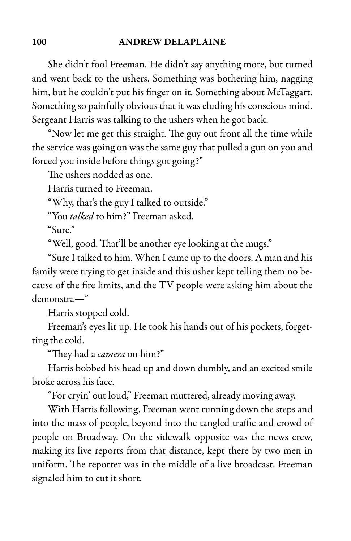She didn't fool Freeman. He didn't say anything more, but turned and went back to the ushers. Something was bothering him, nagging him, but he couldn't put his finger on it. Something about McTaggart. Something so painfully obvious that it was eluding his conscious mind. Sergeant Harris was talking to the ushers when he got back.

"Now let me get this straight. The guy out front all the time while the service was going on was the same guy that pulled a gun on you and forced you inside before things got going?"

The ushers nodded as one.

Harris turned to Freeman.

"Why, that's the guy I talked to outside."

"You talked to him?" Freeman asked.

"Sure."

"Well, good. That'll be another eye looking at the mugs."

"Sure I talked to him. When I came up to the doors. A man and his family were trying to get inside and this usher kept telling them no because of the fire limits, and the TV people were asking him about the demonstra—"

Harris stopped cold.

Freeman's eyes lit up. He took his hands out of his pockets, forgetting the cold.

"They had a *camera* on him?"

Harris bobbed his head up and down dumbly, and an excited smile broke across his face.

"For cryin' out loud," Freeman muttered, already moving away.

With Harris following, Freeman went running down the steps and into the mass of people, beyond into the tangled traffic and crowd of people on Broadway. On the sidewalk opposite was the news crew, making its live reports from that distance, kept there by two men in uniform. The reporter was in the middle of a live broadcast. Freeman signaled him to cut it short.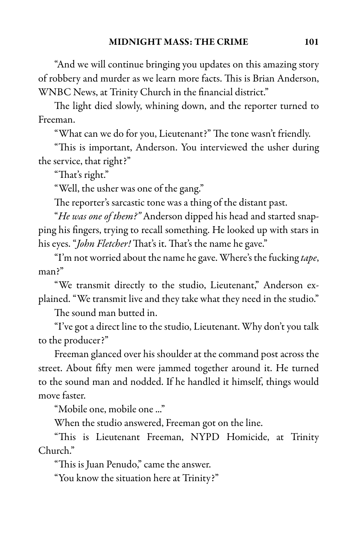"And we will continue bringing you updates on this amazing story of robbery and murder as we learn more facts. This is Brian Anderson, WNBC News, at Trinity Church in the financial district."

The light died slowly, whining down, and the reporter turned to Freeman.

"What can we do for you, Lieutenant?" The tone wasn't friendly.

"This is important, Anderson. You interviewed the usher during the service, that right?"

"That's right."

"Well, the usher was one of the gang."

The reporter's sarcastic tone was a thing of the distant past.

"He was one of them?" Anderson dipped his head and started snapping his fingers, trying to recall something. He looked up with stars in his eyes. "John Fletcher! That's it. That's the name he gave."

"I'm not worried about the name he gave. Where's the fucking tape, man?"

"We transmit directly to the studio, Lieutenant," Anderson explained. "We transmit live and they take what they need in the studio."

The sound man butted in.

"I've got a direct line to the studio, Lieutenant. Why don't you talk to the producer?"

Freeman glanced over his shoulder at the command post across the street. About fifty men were jammed together around it. He turned to the sound man and nodded. If he handled it himself, things would move faster.

"Mobile one, mobile one ..."

When the studio answered, Freeman got on the line.

"This is Lieutenant Freeman, NYPD Homicide, at Trinity Church."

"This is Juan Penudo," came the answer.

"You know the situation here at Trinity?"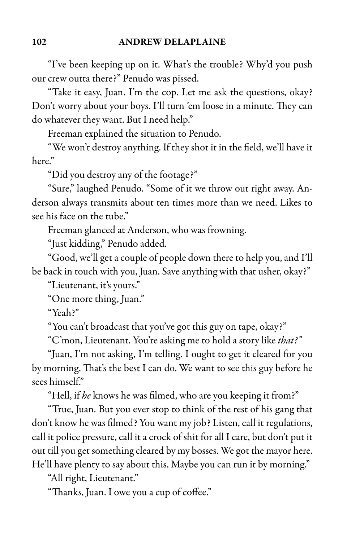"I've been keeping up on it. What's the trouble? Why'd you push our crew outta there?" Penudo was pissed.

"Take it easy, Juan. I'm the cop. Let me ask the questions, okay? Don't worry about your boys. I'll turn 'em loose in a minute. They can do whatever they want. But I need help."

Freeman explained the situation to Penudo.

"We won't destroy anything. If they shot it in the field, we'll have it here"

"Did you destroy any of the footage?"

"Sure," laughed Penudo. "Some of it we throw out right away. Anderson always transmits about ten times more than we need. Likes to see his face on the tube."

Freeman glanced at Anderson, who was frowning.

"Just kidding," Penudo added.

"Good, we'll get a couple of people down there to help you, and I'll be back in touch with you, Juan. Save anything with that usher, okay?"

"Lieutenant, it's yours."

"One more thing, Juan."

"Yeah?"

"You can't broadcast that you've got this guy on tape, okay?"

"C'mon, Lieutenant. You're asking me to hold a story like that?"

"Juan, I'm not asking, I'm telling. I ought to get it cleared for you by morning. That's the best I can do. We want to see this guy before he sees himself."

"Hell, if he knows he was filmed, who are you keeping it from?"

"True, Juan. But you ever stop to think of the rest of his gang that don't know he was filmed? You want my job? Listen, call it regulations, call it police pressure, call it a crock of shit for all I care, but don't put it out till you get something cleared by my bosses. We got the mayor here. He'll have plenty to say about this. Maybe you can run it by morning."

"All right, Lieutenant."

"Thanks, Juan. I owe you a cup of coffee."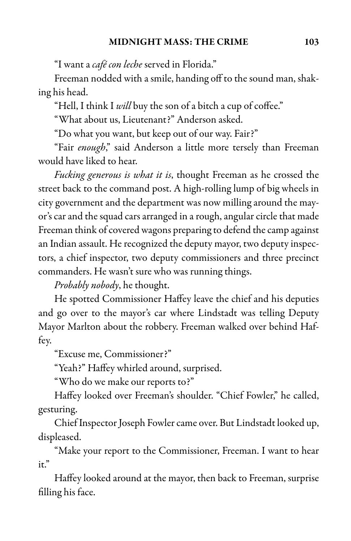"I want a café con leche served in Florida."

Freeman nodded with a smile, handing off to the sound man, shaking his head.

"Hell, I think I will buy the son of a bitch a cup of coffee."

"What about us, Lieutenant?" Anderson asked.

"Do what you want, but keep out of our way. Fair?"

"Fair enough," said Anderson a little more tersely than Freeman would have liked to hear.

Fucking generous is what it is, thought Freeman as he crossed the street back to the command post. A high-rolling lump of big wheels in city government and the department was now milling around the mayor's car and the squad cars arranged in a rough, angular circle that made Freeman think of covered wagons preparing to defend the camp against an Indian assault. He recognized the deputy mayor, two deputy inspectors, a chief inspector, two deputy commissioners and three precinct commanders. He wasn't sure who was running things.

Probably nobody, he thought.

He spotted Commissioner Haffey leave the chief and his deputies and go over to the mayor's car where Lindstadt was telling Deputy Mayor Marlton about the robbery. Freeman walked over behind Haffey.

"Excuse me, Commissioner?"

"Yeah?" Haffey whirled around, surprised.

"Who do we make our reports to?"

Haffey looked over Freeman's shoulder. "Chief Fowler," he called, gesturing.

Chief Inspector Joseph Fowler came over. But Lindstadt looked up, displeased.

"Make your report to the Commissioner, Freeman. I want to hear it."

Haffey looked around at the mayor, then back to Freeman, surprise filling his face.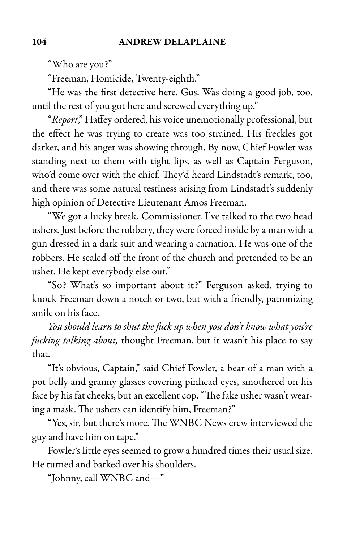"Who are you?"

"Freeman, Homicide, Twenty-eighth."

"He was the first detective here, Gus. Was doing a good job, too, until the rest of you got here and screwed everything up."

"Report," Haffey ordered, his voice unemotionally professional, but the effect he was trying to create was too strained. His freckles got darker, and his anger was showing through. By now, Chief Fowler was standing next to them with tight lips, as well as Captain Ferguson, who'd come over with the chief. They'd heard Lindstadt's remark, too, and there was some natural testiness arising from Lindstadt's suddenly high opinion of Detective Lieutenant Amos Freeman.

"We got a lucky break, Commissioner. I've talked to the two head ushers. Just before the robbery, they were forced inside by a man with a gun dressed in a dark suit and wearing a carnation. He was one of the robbers. He sealed off the front of the church and pretended to be an usher. He kept everybody else out."

"So? What's so important about it?" Ferguson asked, trying to knock Freeman down a notch or two, but with a friendly, patronizing smile on his face.

You should learn to shut the fuck up when you don't know what you're fucking talking about, thought Freeman, but it wasn't his place to say that.

"It's obvious, Captain," said Chief Fowler, a bear of a man with a pot belly and granny glasses covering pinhead eyes, smothered on his face by his fat cheeks, but an excellent cop. "The fake usher wasn't wearing a mask. The ushers can identify him, Freeman?"

"Yes, sir, but there's more. The WNBC News crew interviewed the guy and have him on tape."

Fowler's little eyes seemed to grow a hundred times their usual size. He turned and barked over his shoulders.

"Johnny, call WNBC and—"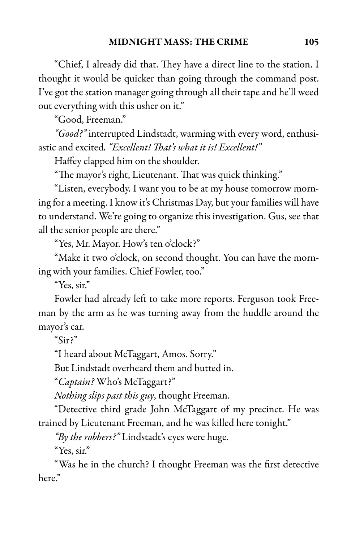"Chief, I already did that. They have a direct line to the station. I thought it would be quicker than going through the command post. I've got the station manager going through all their tape and he'll weed out everything with this usher on it."

"Good, Freeman."

"Good?" interrupted Lindstadt, warming with every word, enthusiastic and excited. "Excellent! That's what it is! Excellent!"

Haffey clapped him on the shoulder.

"The mayor's right, Lieutenant. That was quick thinking."

"Listen, everybody. I want you to be at my house tomorrow morning for a meeting. I know it's Christmas Day, but your families will have to understand. We're going to organize this investigation. Gus, see that all the senior people are there."

"Yes, Mr. Mayor. How's ten o'clock?"

"Make it two o'clock, on second thought. You can have the morning with your families. Chief Fowler, too."

"Yes, sir."

Fowler had already left to take more reports. Ferguson took Freeman by the arm as he was turning away from the huddle around the mayor's car.

"Sir?"

"I heard about McTaggart, Amos. Sorry."

But Lindstadt overheard them and butted in.

"Captain? Who's McTaggart?"

Nothing slips past this guy, thought Freeman.

"Detective third grade John McTaggart of my precinct. He was trained by Lieutenant Freeman, and he was killed here tonight."

"By the robbers?" Lindstadt's eyes were huge.

"Yes, sir."

"Was he in the church? I thought Freeman was the first detective here."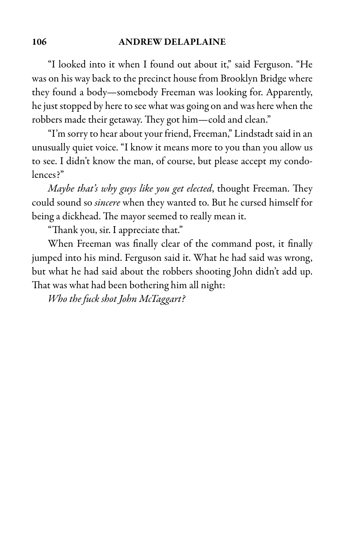"I looked into it when I found out about it," said Ferguson. "He was on his way back to the precinct house from Brooklyn Bridge where they found a body—somebody Freeman was looking for. Apparently, he just stopped by here to see what was going on and was here when the robbers made their getaway. They got him—cold and clean."

"I'm sorry to hear about your friend, Freeman," Lindstadt said in an unusually quiet voice. "I know it means more to you than you allow us to see. I didn't know the man, of course, but please accept my condolences?"

Maybe that's why guys like you get elected, thought Freeman. They could sound so *sincere* when they wanted to. But he cursed himself for being a dickhead. The mayor seemed to really mean it.

"Thank you, sir. I appreciate that."

When Freeman was finally clear of the command post, it finally jumped into his mind. Ferguson said it. What he had said was wrong, but what he had said about the robbers shooting John didn't add up. That was what had been bothering him all night:

Who the fuck shot John McTaggart?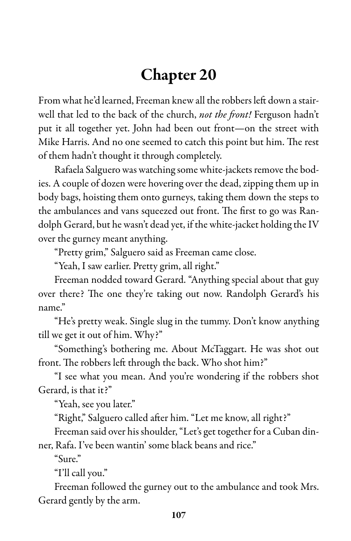## Chapter 20

From what he'd learned, Freeman knew all therobbers left down astairwell that led to the back of the church, not the front! Ferguson hadn't put it all together yet. John had been out front—on the street with Mike Harris. And no one seemed to catch this point but him. The rest of them hadn't thought it through completely.

Rafaela Salguero was watching some white-jackets remove the bodies. A couple of dozen were hovering over the dead, zipping them up in body bags, hoisting them onto gurneys, taking them down the steps to the ambulances and vans squeezed out front. The first to go was Randolph Gerard, but he wasn't dead yet, if the white-jacket holding the IV over the gurney meant anything.

"Pretty grim," Salguero said as Freeman came close.

"Yeah, I saw earlier. Pretty grim, all right."

Freeman nodded toward Gerard. "Anything special about that guy over there? The one they're taking out now. Randolph Gerard's his name."

"He's pretty weak. Single slug in the tummy. Don't know anything till we get it out of him. Why?"

"Something's bothering me. About McTaggart. He was shot out front. The robbers left through the back. Who shot him?"

"I see what you mean. And you're wondering if the robbers shot Gerard, is that it?"

"Yeah, see you later."

"Right," Salguero called after him. "Let me know, all right?"

Freeman said over his shoulder, "Let's get together for a Cuban dinner, Rafa. I've been wantin' some black beans and rice."

"Sure."

"I'll call you."

Freeman followed the gurney out to the ambulance and took Mrs. Gerard gently by the arm.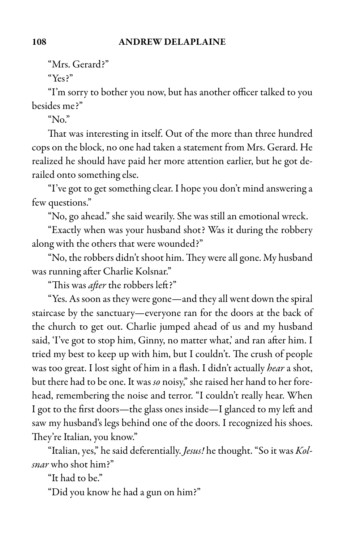"Mrs. Gerard?"

"Yes?"

"I'm sorry to bother you now, but has another officer talked to you besides me?"

" $N_0$ "

That was interesting in itself. Out of the more than three hundred cops on the block, no one had taken a statement from Mrs. Gerard. He realized he should have paid her more attention earlier, but he got derailed onto something else.

"I've got to get something clear. I hope you don't mind answering a few questions."

"No, go ahead." she said wearily. She was still an emotional wreck.

"Exactly when was your husband shot? Was it during the robbery along with the others that were wounded?"

"No, the robbers didn't shoot him. They were all gone. My husband was running after Charlie Kolsnar."

"This was after the robbers left?"

"Yes. As soon as they were gone—and they all went down thespiral staircase by the sanctuary—everyone ran for the doors at the back of the church to get out. Charlie jumped ahead of us and my husband said, 'I've got to stop him, Ginny, no matter what,' and ran after him. I tried my best to keep up with him, but I couldn't. The crush of people was too great. I lost sight of him in a flash. I didn't actually hear a shot, but there had to be one. It was so noisy," she raised her hand to her forehead, remembering the noise and terror. "I couldn't really hear. When I got to the first doors—the glass ones inside—I glanced to my left and saw my husband's legs behind one of the doors. I recognized his shoes. They're Italian, you know."

"Italian, yes," he said deferentially. Jesus! he thought. "So it was Kolsnar who shot him?"

"It had to be."

"Did you know he had a gun on him?"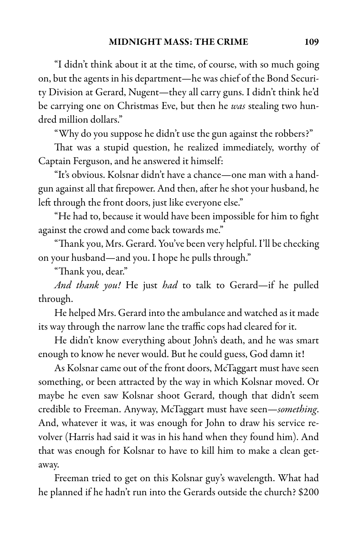"I didn't think about it at the time, of course, with so much going on, but the agents in his department—he was chief of the Bond Security Division at Gerard, Nugent—they all carry guns. I didn't think he'd be carrying one on Christmas Eve, but then he was stealing two hundred million dollars."

"Why do you suppose he didn't use the gun against the robbers?"

That was a stupid question, he realized immediately, worthy of Captain Ferguson, and he answered it himself:

"It's obvious. Kolsnar didn't have a chance—one man with a handgun against all that firepower. And then, after he shot your husband, he left through the front doors, just like everyone else."

"He had to, because it would have been impossible for him to fight against the crowd and come back towards me."

"Thank you, Mrs. Gerard. You've been very helpful. I'll bechecking on your husband—and you. I hope he pulls through."

"Thank you, dear."

And thank you! He just had to talk to Gerard-if he pulled through.

He helped Mrs. Gerard into the ambulance and watched as it made its way through the narrow lane the traffic cops had cleared for it.

He didn't know everything about John's death, and he was smart enough to know he never would. But he could guess, God damn it!

As Kolsnar came out of the front doors, McTaggart must have seen something, or been attracted by the way in which Kolsnar moved. Or maybe he even saw Kolsnar shoot Gerard, though that didn't seem credible to Freeman. Anyway, McTaggart must have seen—something. And, whatever it was, it was enough for John to draw his service revolver (Harris had said it was in his hand when they found him). And that was enough for Kolsnar to have to kill him to make a clean getaway.

Freeman tried to get on this Kolsnar guy's wavelength. What had he planned if he hadn't run into the Gerards outside the church? \$200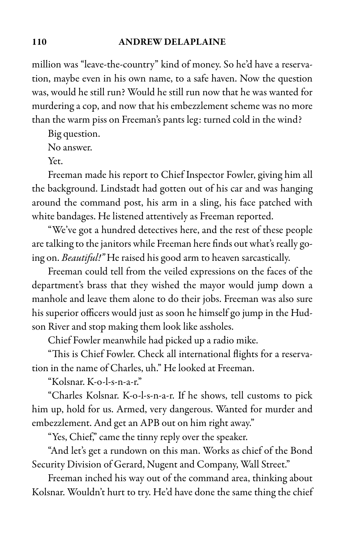million was "leave-the-country" kind of money. So he'd have a reservation, maybe even in his own name, to a safe haven. Now the question was, would he still run? Would he still run now that he was wanted for murdering a cop, and now that his embezzlement scheme was no more than the warm piss on Freeman's pants leg: turned cold in the wind?

Big question.

No answer.

Yet.

Freeman made his report to Chief Inspector Fowler, giving him all the background. Lindstadt had gotten out of his car and was hanging around the command post, his arm in a sling, his face patched with white bandages. He listened attentively as Freeman reported.

"We've got a hundred detectives here, and the rest of these people are talking to the janitors while Freeman here finds out what's really going on. Beautiful!" He raised his good arm to heaven sarcastically.

Freeman could tell from the veiled expressions on the faces of the department's brass that they wished the mayor would jump down a manhole and leave them alone to do their jobs. Freeman was also sure his superior officers would just as soon he himself go jump in the Hudson River and stop making them look like assholes.

Chief Fowler meanwhile had picked up a radio mike.

"This is Chief Fowler. Check all international flights for a reservation in the name of Charles, uh." He looked at Freeman.

"Kolsnar. K-o-l-s-n-a-r."

"Charles Kolsnar. K-o-l-s-n-a-r. If he shows, tell customs to pick him up, hold for us. Armed, very dangerous. Wanted for murder and embezzlement. And get an APB out on him right away."

"Yes, Chief," came the tinny reply over the speaker.

"And let's get a rundown on this man. Works as chief of the Bond Security Division of Gerard, Nugent and Company, Wall Street."

Freeman inched his way out of the command area, thinking about Kolsnar. Wouldn't hurt to try. He'd have done the same thing the chief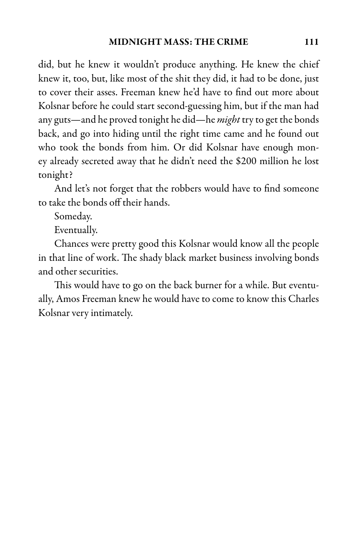did, but he knew it wouldn't produce anything. He knew the chief knew it, too, but, like most of the shit they did, it had to be done, just to cover their asses. Freeman knew he'd have to find out more about Kolsnar before he could start second-guessing him, but if the man had any guts—and he proved tonight he did—he *might* try to get the bonds back, and go into hiding until the right time came and he found out who took the bonds from him. Or did Kolsnar have enough money already secreted away that he didn't need the \$200 million he lost tonight?

And let's not forget that the robbers would have to find someone to take the bonds off their hands.

Someday.

Eventually.

Chances were pretty good this Kolsnar would know all the people in that line of work. The shady black market business involving bonds and other securities.

This would have to go on the back burner for a while. But eventually, Amos Freeman knew he would have to come to know this Charles Kolsnar very intimately.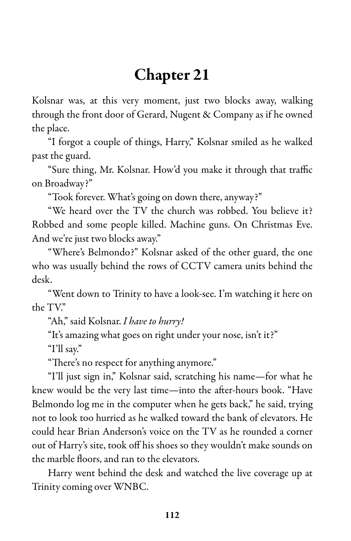# Chapter 21

Kolsnar was, at this very moment, just two blocks away, walking through the front door of Gerard, Nugent & Company as if he owned the place.

"I forgot a couple of things, Harry," Kolsnar smiled as he walked past the guard.

"Sure thing, Mr. Kolsnar. How'd you make it through that traffic on Broadway?"

"Took forever. What's going on down there, anyway?"

"We heard over the TV the church was robbed. You believe it? Robbed and some people killed. Machine guns. On Christmas Eve. And we're just two blocks away."

"Where's Belmondo?" Kolsnar asked of the other guard, the one who was usually behind the rows of CCTV camera units behind the desk.

"Went down to Trinity to have a look-see. I'm watching it here on the TV."

"Ah," said Kolsnar. I have to hurry!

"It's amazing what goes on right under your nose, isn't it?"

"I'll say."

"There's no respect for anything anymore."

"I'll just sign in," Kolsnar said, scratching his name—for what he knew would be the very last time—into the after-hours book. "Have Belmondo log me in the computer when he gets back," he said, trying not to look too hurried as he walked toward the bank of elevators. He could hear Brian Anderson's voice on the TV as he rounded a corner out of Harry's site, took off his shoes so they wouldn't make sounds on the marble floors, and ran to the elevators.

Harry went behind the desk and watched the live coverage up at Trinity coming over WNBC.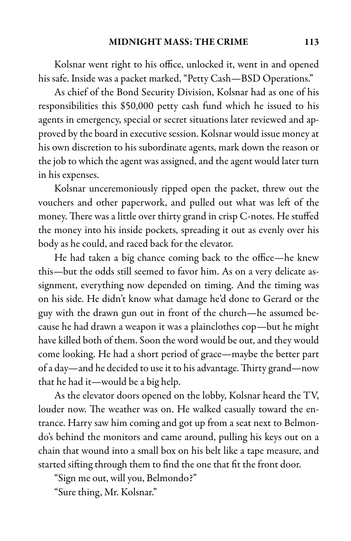Kolsnar went right to his office, unlocked it, went in and opened his safe. Inside was a packet marked, "Petty Cash—BSD Operations."

As chief of the Bond Security Division, Kolsnar had as one of his responsibilities this \$50,000 petty cash fund which he issued to his agents in emergency, special or secret situations later reviewed and approved by the board in executive session. Kolsnar would issue money at his own discretion to his subordinate agents, mark down the reason or the job to which the agent was assigned, and the agent would later turn in his expenses.

Kolsnar unceremoniously ripped open the packet, threw out the vouchers and other paperwork, and pulled out what was left of the money. There was a little over thirty grand in crisp C-notes. He stuffed the money into his inside pockets, spreading it out as evenly over his body as he could, and raced back for the elevator.

He had taken a big chance coming back to the office—he knew this—but the odds still seemed to favor him. As on a very delicate assignment, everything now depended on timing. And the timing was on his side. He didn't know what damage he'd done to Gerard or the guy with the drawn gun out in front of the church—he assumed because he had drawn a weapon it was a plainclothes cop—but he might have killed both of them. Soon the word would be out, and they would come looking. He had a short period of grace—maybe the better part of a day—and he decided to use it to his advantage. Thirty grand—now that he had it—would be a big help.

As the elevator doors opened on the lobby, Kolsnar heard the TV, louder now. The weather was on. He walked casually toward the entrance. Harry saw him coming and got up from a seat next to Belmondo's behind the monitors and came around, pulling his keys out on a chain that wound into a small box on his belt like a tape measure, and started sifting through them to find the one that fit the front door.

"Sign me out, will you, Belmondo?"

"Sure thing, Mr. Kolsnar."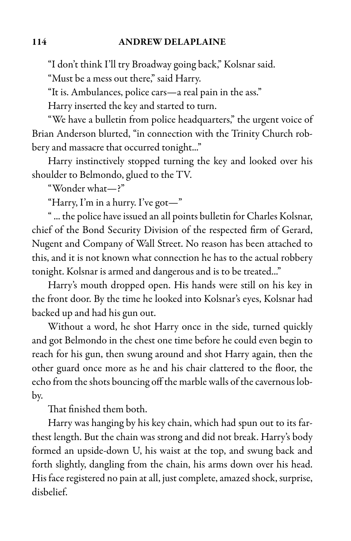"I don't think I'll try Broadway going back," Kolsnar said.

"Must be a mess out there," said Harry.

"It is. Ambulances, police cars—a real pain in the ass."

Harry inserted the key and started to turn.

"We have a bulletin from police headquarters," the urgent voice of Brian Anderson blurted, "in connection with the Trinity Church robbery and massacre that occurred tonight..."

Harry instinctively stopped turning the key and looked over his shoulder to Belmondo, glued to the TV.

"Wonder what—?"

"Harry, I'm in a hurry. I've got—"

"... the police have issued an all points bulletin for Charles Kolsnar, chief of the Bond Security Division of the respected firm of Gerard, Nugent and Company of Wall Street. No reason has been attached to this, and it is not known what connection he has to the actual robbery tonight. Kolsnar is armed and dangerous and is to be treated..."

Harry's mouth dropped open. His hands were still on his key in the front door. By the time he looked into Kolsnar's eyes, Kolsnar had backed up and had his gun out.

Without a word, he shot Harry once in the side, turned quickly and got Belmondo in the chest one time before he could even begin to reach for his gun, then swung around and shot Harry again, then the other guard once more as he and his chair clattered to the floor, the echo from the shots bouncing off the marble walls of the cavernous lobby.

That finished them both.

Harry was hanging by his key chain, which had spun out to its farthest length. But the chain was strong and did not break. Harry's body formed an upside-down U, his waist at the top, and swung back and forth slightly, dangling from the chain, his arms down over his head. His face registered no pain at all, just complete, amazed shock, surprise, disbelief.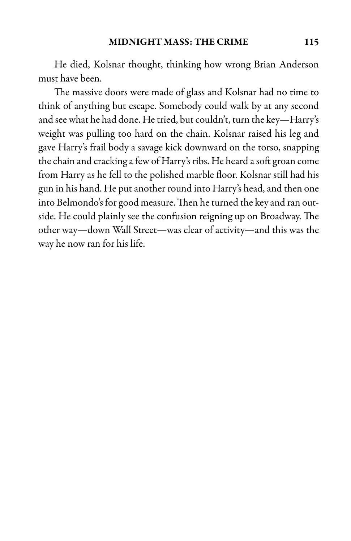He died, Kolsnar thought, thinking how wrong Brian Anderson must have been.

The massive doors were made of glass and Kolsnar had no time to think of anything but escape. Somebody could walk by at any second and see what he had done. He tried, but couldn't, turn the key-Harry's weight was pulling too hard on the chain. Kolsnar raised his leg and gave Harry's frail body a savage kick downward on the torso, snapping the chain and cracking a few of Harry's ribs. He heard a soft groan come from Harry as he fell to the polished marble floor. Kolsnar still had his gun in his hand. He put another round into Harry's head, and then one into Belmondo's for good measure. Then he turned the key and ran outside. He could plainly see the confusion reigning up on Broadway. The other way—down Wall Street—was clear of activity—and this was the way he now ran for his life.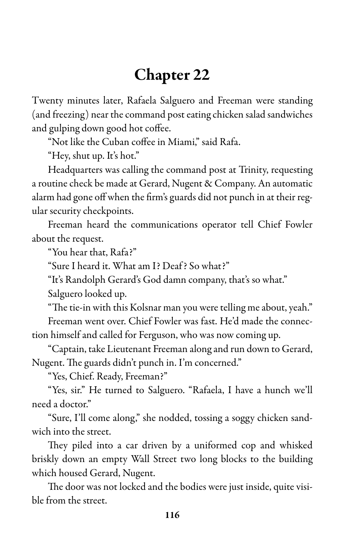## Chapter 22

Twenty minutes later, Rafaela Salguero and Freeman were standing (and freezing) near the command post eating chicken salad sandwiches and gulping down good hot coffee.

"Not like the Cuban coffee in Miami," said Rafa.

"Hey, shut up. It's hot."

Headquarters was calling the command post at Trinity, requesting a routine check be made at Gerard, Nugent & Company. An automatic alarm had gone off when the firm's guards did not punch in at their regular security checkpoints.

Freeman heard the communications operator tell Chief Fowler about the request.

"You hear that, Rafa?"

"Sure I heard it. What am I? Deaf? So what?"

"It's Randolph Gerard's God damn company, that's so what."

Salguero looked up.

"The tie-in with this Kolsnar man you were telling me about, yeah." Freeman went over. Chief Fowler was fast. He'd made the connection himself and called for Ferguson, who was now coming up.

"Captain, take Lieutenant Freeman along and run down to Gerard, Nugent. The guards didn't punch in. I'm concerned."

"Yes, Chief. Ready, Freeman?"

"Yes, sir." He turned to Salguero. "Rafaela, I have a hunch we'll need a doctor."

"Sure, I'll come along," she nodded, tossing a soggy chicken sandwich into the street.

They piled into a car driven by a uniformed cop and whisked briskly down an empty Wall Street two long blocks to the building which housed Gerard, Nugent.

The door was not locked and the bodies were just inside, quite visible from the street.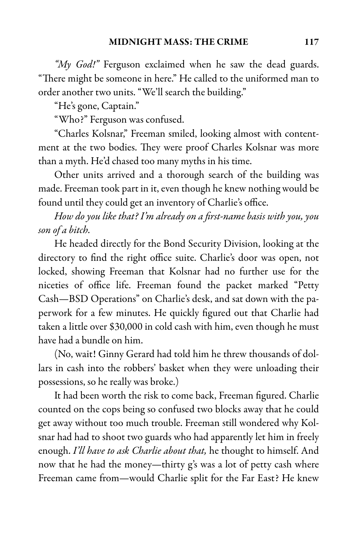"My God!" Ferguson exclaimed when he saw the dead guards. "There might be someone in here." He called to the uniformed man to order another two units. "We'll search the building."

"He's gone, Captain."

"Who?" Ferguson was confused.

"Charles Kolsnar," Freeman smiled, looking almost with contentment at the two bodies. They were proof Charles Kolsnar was more than a myth. He'd chased too many myths in his time.

Other units arrived and a thorough search of the building was made. Freeman took part in it, even though he knew nothing would be found until they could get an inventory of Charlie's office.

How do you like that? I'm already on a first-name basis with you, you son of a bitch.

He headed directly for the Bond Security Division, looking at the directory to find the right office suite. Charlie's door was open, not locked, showing Freeman that Kolsnar had no further use for the niceties of office life. Freeman found the packet marked "Petty Cash—BSD Operations" on Charlie's desk, and sat down with the paperwork for a few minutes. He quickly figured out that Charlie had taken a little over \$30,000 in cold cash with him, even though he must have had a bundle on him.

(No, wait! Ginny Gerard had told him he threw thousands of dollars in cash into the robbers' basket when they were unloading their possessions, so he really was broke.)

It had been worth the risk to come back, Freeman figured. Charlie counted on the cops being so confused two blocks away that he could get away without too much trouble. Freeman still wondered why Kolsnar had had to shoot two guards who had apparently let him in freely enough. I'll have to ask Charlie about that, he thought to himself. And now that he had the money—thirty g's was a lot of petty cash where Freeman came from—would Charlie split for the Far East? He knew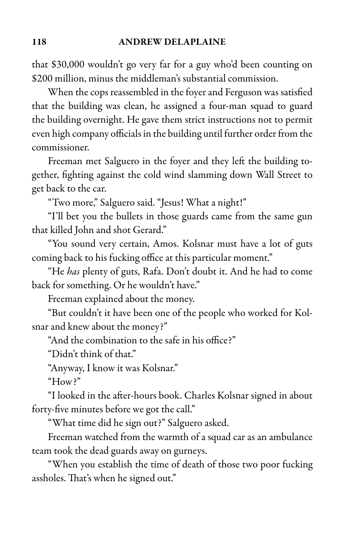that \$30,000 wouldn't go very far for a guy who'd been counting on \$200 million, minus the middleman's substantial commission.

When the cops reassembled in the foyer and Ferguson was satisfied that the building was clean, he assigned a four-man squad to guard the building overnight. He gave them strict instructions not to permit even high company officials in the building until further order from the commissioner.

Freeman met Salguero in the foyer and they left the building together, fighting against the cold wind slamming down Wall Street to get back to the car.

"Two more," Salguero said. "Jesus! What a night!"

"I'll bet you the bullets in those guards came from the same gun that killed John and shot Gerard."

"You sound very certain, Amos. Kolsnar must have a lot of guts coming back to his fucking office at this particular moment."

"He has plenty of guts, Rafa. Don't doubt it. And he had to come back for something. Or he wouldn't have."

Freeman explained about the money.

"But couldn't it have been one of the people who worked for Kolsnar and knew about the money?"

"And the combination to the safe in his office?"

"Didn't think of that."

"Anyway, I know it was Kolsnar."

"How?"

"I looked in the after-hours book. Charles Kolsnar signed in about forty-five minutes before we got the call."

"What time did he sign out?" Salguero asked.

Freeman watched from the warmth of a squad car as an ambulance team took the dead guards away on gurneys.

"When you establish the time of death of those two poor fucking assholes. That's when he signed out."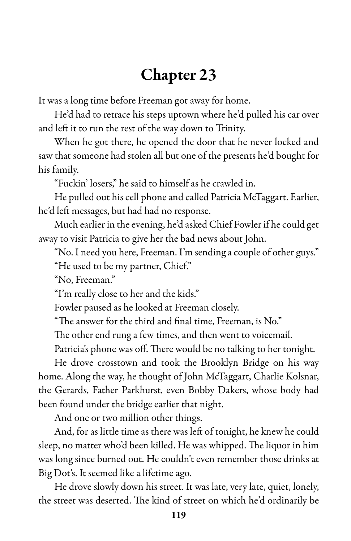## Chapter 23

It was a long time before Freeman got away for home.

He'd had to retrace his steps uptown where he'd pulled his car over and left it to run the rest of the way down to Trinity.

When he got there, he opened the door that he never locked and saw that someone had stolen all but one of the presents he'd bought for his family.

"Fuckin' losers," he said to himself as he crawled in.

He pulled out his cell phone and called Patricia McTaggart. Earlier, he'd left messages, but had had no response.

Much earlier in the evening, he'd asked Chief Fowler if he could get away to visit Patricia to give her the bad news about John.

"No. I need you here, Freeman. I'm sending a couple of other guys."

"He used to be my partner, Chief."

"No, Freeman."

"I'm really close to her and the kids."

Fowler paused as he looked at Freeman closely.

"The answer for the third and final time, Freeman, is No."

The other end rung a few times, and then went to voicemail.

Patricia's phone was off. There would be no talking to her tonight.

He drove crosstown and took the Brooklyn Bridge on his way home. Along the way, he thought of John McTaggart, Charlie Kolsnar, the Gerards, Father Parkhurst, even Bobby Dakers, whose body had been found under the bridge earlier that night.

And one or two million other things.

And, for as little time as there was left of tonight, he knew he could sleep, no matter who'd been killed. He was whipped. The liquor in him was long since burned out. He couldn't even remember those drinks at Big Dot's. It seemed like a lifetime ago.

He drove slowly down his street. It was late, very late, quiet, lonely, the street was deserted. The kind of street on which he'd ordinarily be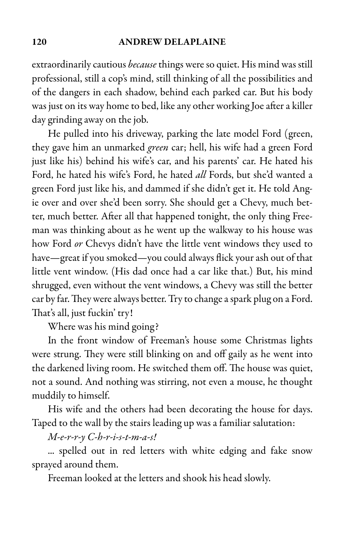#### 120 ANDREW DELAPLAINE

extraordinarily cautious *because* things were so quiet. His mind was still professional, still a cop's mind, still thinking of all the possibilities and of the dangers in each shadow, behind each parked car. But his body was just on its way home to bed, like any other working Joe after a killer day grinding away on the job.

He pulled into his driveway, parking the late model Ford (green, they gave him an unmarked green car; hell, his wife had a green Ford just like his) behind his wife's car, and his parents' car. He hated his Ford, he hated his wife's Ford, he hated all Fords, but she'd wanted a green Ford just like his, and dammed if she didn't get it. He told Angie over and over she'd been sorry. She should get a Chevy, much better, much better. After all that happened tonight, the only thing Freeman was thinking about as he went up the walkway to his house was how Ford or Chevys didn't have the little vent windows they used to have—great if you smoked—you could always flick your ash out of that little vent window. (His dad once had a car like that.) But, his mind shrugged, even without the vent windows, a Chevy was still the better car by far. They were always better. Try to change a spark plug on a Ford. That's all, just fuckin' try!

Where was his mind going?

In the front window of Freeman's house some Christmas lights were strung. They were still blinking on and off gaily as he went into the darkened living room. He switched them off. The house was quiet, not a sound. And nothing was stirring, not even a mouse, he thought muddily to himself.

His wife and the others had been decorating the house for days. Taped to the wall by the stairs leading up was a familiar salutation:

 $M$ -e-r-r- $\gamma$  C-h-r-i-s-t-m-a-s!

... spelled out in red letters with white edging and fake snow sprayed around them.

Freeman looked at the letters and shook his head slowly.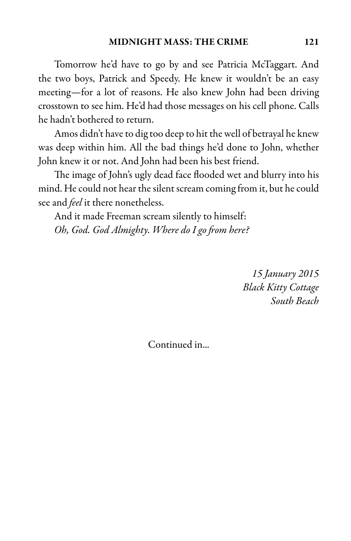Tomorrow he'd have to go by and see Patricia McTaggart. And the two boys, Patrick and Speedy. He knew it wouldn't be an easy meeting—for a lot of reasons. He also knew John had been driving crosstown to see him. He'd had those messages on his cell phone. Calls he hadn't bothered to return.

Amos didn't have to dig too deep to hit the well of betrayal he knew was deep within him. All the bad things he'd done to John, whether John knew it or not. And John had been his best friend.

The image of John's ugly dead face flooded wet and blurry into his mind. He could not hear the silent scream coming from it, but he could see and *feel* it there nonetheless.

And it made Freeman scream silently to himself: Oh, God. God Almighty. Where do I go from here?

> 15 January 2015 Black Kitty Cottage South Beach

Continued in...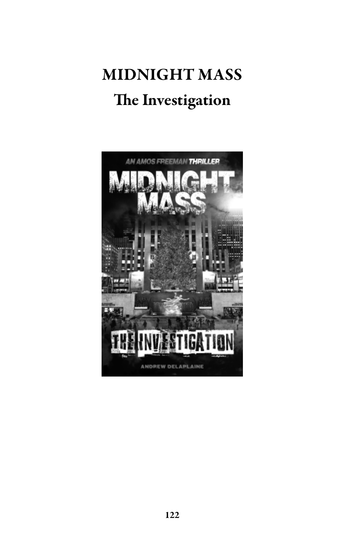# MIDNIGHT MASS The Investigation

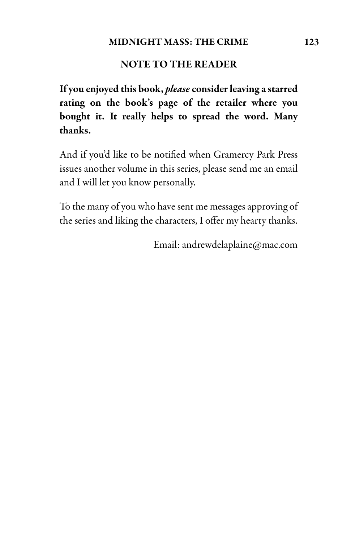### NOTE TO THE READER

If you enjoyed this book, please consider leaving a starred rating on the book's page of the retailer where you bought it. It really helps to spread the word. Many thanks.

And if you'd like to be notified when Gramercy Park Press issues another volume in this series, please send me an email and I will let you know personally.

To the many of you who have sent me messages approving of the series and liking the characters, I offer my hearty thanks.

Email: andrewdelaplaine@mac.com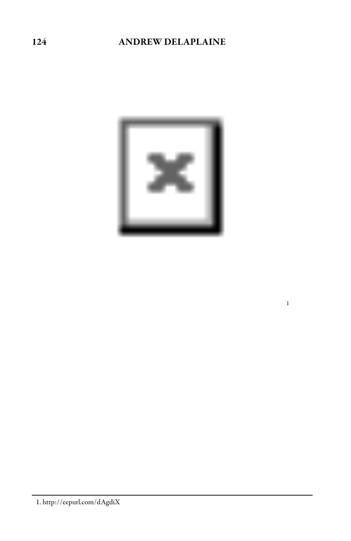## ANDREW DELAPLAINE